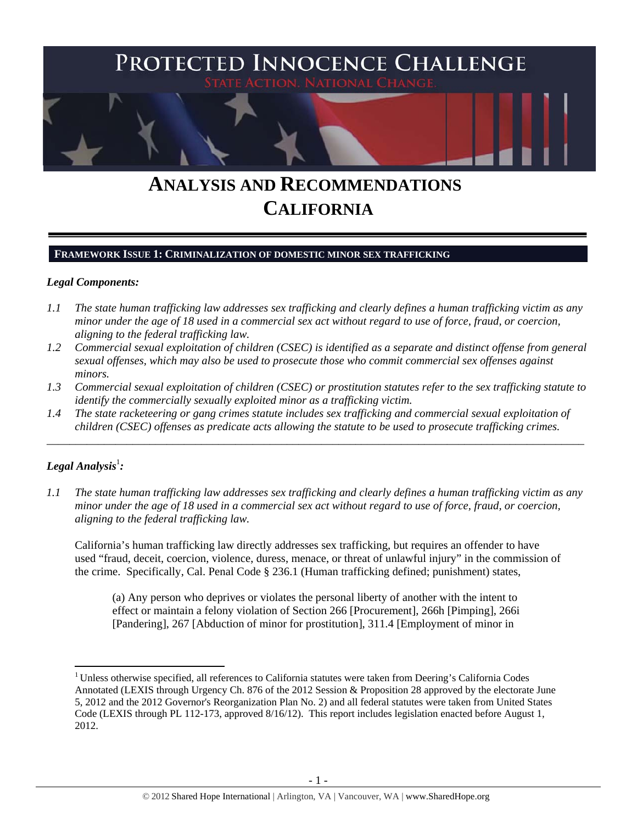

# **ANALYSIS AND RECOMMENDATIONS CALIFORNIA**

### **FRAMEWORK ISSUE 1: CRIMINALIZATION OF DOMESTIC MINOR SEX TRAFFICKING**

### *Legal Components:*

- *1.1 The state human trafficking law addresses sex trafficking and clearly defines a human trafficking victim as any minor under the age of 18 used in a commercial sex act without regard to use of force, fraud, or coercion, aligning to the federal trafficking law.*
- *1.2 Commercial sexual exploitation of children (CSEC) is identified as a separate and distinct offense from general sexual offenses, which may also be used to prosecute those who commit commercial sex offenses against minors.*
- *1.3 Commercial sexual exploitation of children (CSEC) or prostitution statutes refer to the sex trafficking statute to identify the commercially sexually exploited minor as a trafficking victim.*

\_\_\_\_\_\_\_\_\_\_\_\_\_\_\_\_\_\_\_\_\_\_\_\_\_\_\_\_\_\_\_\_\_\_\_\_\_\_\_\_\_\_\_\_\_\_\_\_\_\_\_\_\_\_\_\_\_\_\_\_\_\_\_\_\_\_\_\_\_\_\_\_\_\_\_\_\_\_\_\_\_\_\_\_\_\_\_\_\_\_\_\_\_\_

*1.4 The state racketeering or gang crimes statute includes sex trafficking and commercial sexual exploitation of children (CSEC) offenses as predicate acts allowing the statute to be used to prosecute trafficking crimes.* 

# ${\it Legal Analysis^!}$  :

*1.1 The state human trafficking law addresses sex trafficking and clearly defines a human trafficking victim as any minor under the age of 18 used in a commercial sex act without regard to use of force, fraud, or coercion, aligning to the federal trafficking law.* 

California's human trafficking law directly addresses sex trafficking, but requires an offender to have used "fraud, deceit, coercion, violence, duress, menace, or threat of unlawful injury" in the commission of the crime. Specifically, Cal. Penal Code § 236.1 (Human trafficking defined; punishment) states,

(a) Any person who deprives or violates the personal liberty of another with the intent to effect or maintain a felony violation of Section 266 [Procurement], 266h [Pimping], 266i [Pandering], 267 [Abduction of minor for prostitution], 311.4 [Employment of minor in

<sup>&</sup>lt;sup>1</sup> Unless otherwise specified, all references to California statutes were taken from Deering's California Codes Annotated (LEXIS through Urgency Ch. 876 of the 2012 Session & Proposition 28 approved by the electorate June 5, 2012 and the 2012 Governor's Reorganization Plan No. 2) and all federal statutes were taken from United States Code (LEXIS through PL 112-173, approved 8/16/12). This report includes legislation enacted before August 1, 2012.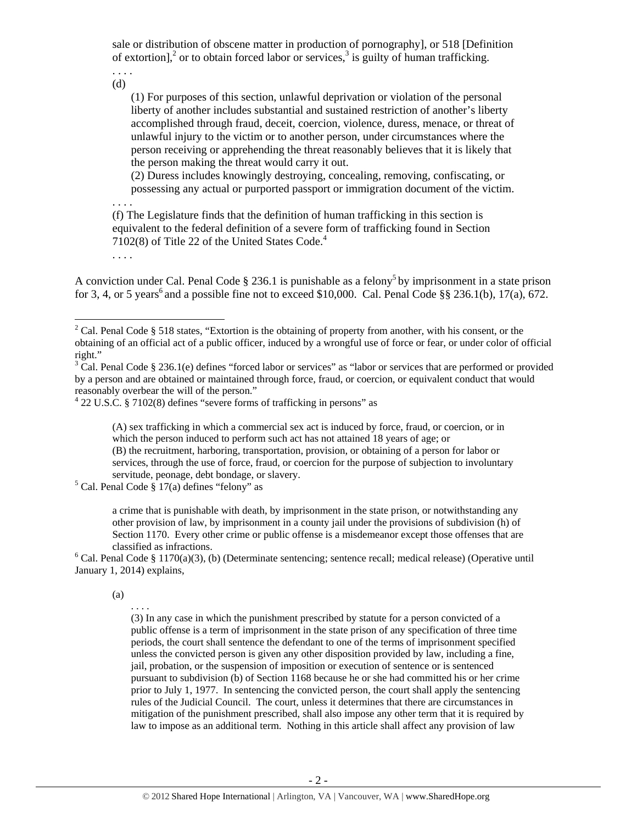sale or distribution of obscene matter in production of pornography], or 518 [Definition of extortion],<sup>2</sup> or to obtain forced labor or services,<sup>3</sup> is guilty of human trafficking.

. . . . (d)

> (1) For purposes of this section, unlawful deprivation or violation of the personal liberty of another includes substantial and sustained restriction of another's liberty accomplished through fraud, deceit, coercion, violence, duress, menace, or threat of unlawful injury to the victim or to another person, under circumstances where the person receiving or apprehending the threat reasonably believes that it is likely that the person making the threat would carry it out.

> (2) Duress includes knowingly destroying, concealing, removing, confiscating, or possessing any actual or purported passport or immigration document of the victim.

(f) The Legislature finds that the definition of human trafficking in this section is equivalent to the federal definition of a severe form of trafficking found in Section 7102(8) of Title 22 of the United States Code.<sup>4</sup>

. . . .

. . . .

A conviction under Cal. Penal Code § 236.1 is punishable as a felony<sup>5</sup> by imprisonment in a state prison for 3, 4, or 5 years<sup>6</sup> and a possible fine not to exceed \$10,000. Cal. Penal Code  $\S$ § 236.1(b), 17(a), 672.

(A) sex trafficking in which a commercial sex act is induced by force, fraud, or coercion, or in which the person induced to perform such act has not attained 18 years of age; or (B) the recruitment, harboring, transportation, provision, or obtaining of a person for labor or services, through the use of force, fraud, or coercion for the purpose of subjection to involuntary servitude, peonage, debt bondage, or slavery.

 $5$  Cal. Penal Code § 17(a) defines "felony" as

a crime that is punishable with death, by imprisonment in the state prison, or notwithstanding any other provision of law, by imprisonment in a county jail under the provisions of subdivision (h) of Section 1170. Every other crime or public offense is a misdemeanor except those offenses that are

classified as infractions.<br><sup>6</sup> Cal. Penal Code § 1170(a)(3), (b) (Determinate sentencing; sentence recall; medical release) (Operative until January 1, 2014) explains,

(a)

. . . .

(3) In any case in which the punishment prescribed by statute for a person convicted of a public offense is a term of imprisonment in the state prison of any specification of three time periods, the court shall sentence the defendant to one of the terms of imprisonment specified unless the convicted person is given any other disposition provided by law, including a fine, jail, probation, or the suspension of imposition or execution of sentence or is sentenced pursuant to subdivision (b) of Section 1168 because he or she had committed his or her crime prior to July 1, 1977. In sentencing the convicted person, the court shall apply the sentencing rules of the Judicial Council. The court, unless it determines that there are circumstances in mitigation of the punishment prescribed, shall also impose any other term that it is required by law to impose as an additional term. Nothing in this article shall affect any provision of law

<sup>&</sup>lt;sup>2</sup> Cal. Penal Code § 518 states, "Extortion is the obtaining of property from another, with his consent, or the obtaining of an official act of a public officer, induced by a wrongful use of force or fear, or under color of official right."

 $3 \text{ Cal}$ . Penal Code § 236.1(e) defines "forced labor or services" as "labor or services that are performed or provided by a person and are obtained or maintained through force, fraud, or coercion, or equivalent conduct that would reasonably overbear the will of the person." 4

 $422$  U.S.C. § 7102(8) defines "severe forms of trafficking in persons" as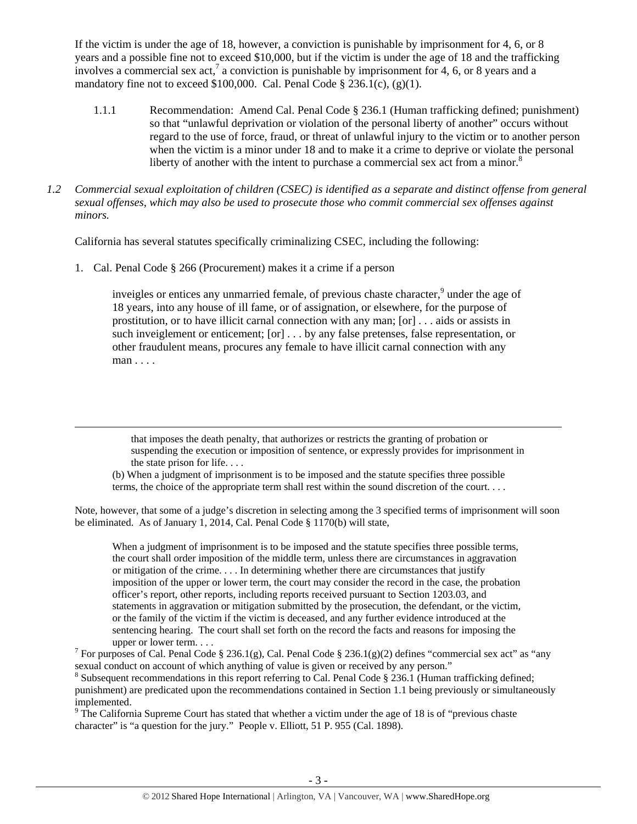If the victim is under the age of 18, however, a conviction is punishable by imprisonment for 4, 6, or 8 years and a possible fine not to exceed \$10,000, but if the victim is under the age of 18 and the trafficking involves a commercial sex act,<sup>7</sup> a conviction is punishable by imprisonment for 4, 6, or 8 years and a mandatory fine not to exceed \$100,000. Cal. Penal Code  $\S 236.1(c)$ ,  $(g)(1)$ .

- 1.1.1 Recommendation: Amend Cal. Penal Code § 236.1 (Human trafficking defined; punishment) so that "unlawful deprivation or violation of the personal liberty of another" occurs without regard to the use of force, fraud, or threat of unlawful injury to the victim or to another person when the victim is a minor under 18 and to make it a crime to deprive or violate the personal liberty of another with the intent to purchase a commercial sex act from a minor.<sup>8</sup>
- *1.2 Commercial sexual exploitation of children (CSEC) is identified as a separate and distinct offense from general sexual offenses, which may also be used to prosecute those who commit commercial sex offenses against minors.*

California has several statutes specifically criminalizing CSEC, including the following:

1. Cal. Penal Code § 266 (Procurement) makes it a crime if a person

inveigles or entices any unmarried female, of previous chaste character,<sup>9</sup> under the age of 18 years, into any house of ill fame, or of assignation, or elsewhere, for the purpose of prostitution, or to have illicit carnal connection with any man; [or] . . . aids or assists in such inveiglement or enticement; [or] . . . by any false pretenses, false representation, or other fraudulent means, procures any female to have illicit carnal connection with any man . . . .

that imposes the death penalty, that authorizes or restricts the granting of probation or suspending the execution or imposition of sentence, or expressly provides for imprisonment in the state prison for life. . . .

<u> 1989 - Jan Samuel Barbara, martxa a shekara tsa 1989 - An tsa 1989 - An tsa 1989 - An tsa 1989 - An tsa 198</u>

(b) When a judgment of imprisonment is to be imposed and the statute specifies three possible terms, the choice of the appropriate term shall rest within the sound discretion of the court. . . .

Note, however, that some of a judge's discretion in selecting among the 3 specified terms of imprisonment will soon be eliminated. As of January 1, 2014, Cal. Penal Code § 1170(b) will state,

When a judgment of imprisonment is to be imposed and the statute specifies three possible terms, the court shall order imposition of the middle term, unless there are circumstances in aggravation or mitigation of the crime. . . . In determining whether there are circumstances that justify imposition of the upper or lower term, the court may consider the record in the case, the probation officer's report, other reports, including reports received pursuant to Section 1203.03, and statements in aggravation or mitigation submitted by the prosecution, the defendant, or the victim, or the family of the victim if the victim is deceased, and any further evidence introduced at the sentencing hearing. The court shall set forth on the record the facts and reasons for imposing the

upper or lower term. . . .<br><sup>7</sup> For purposes of Cal. Penal Code § 236.1(g), Cal. Penal Code § 236.1(g)(2) defines "commercial sex act" as "any sexual conduct on account of which anything of value is given or received by any person."

<sup>8</sup> Subsequent recommendations in this report referring to Cal. Penal Code § 236.1 (Human trafficking defined; punishment) are predicated upon the recommendations contained in Section 1.1 being previously or simultaneously implemented.

 $9$  The California Supreme Court has stated that whether a victim under the age of 18 is of "previous chaste" character" is "a question for the jury." People v. Elliott, 51 P. 955 (Cal. 1898).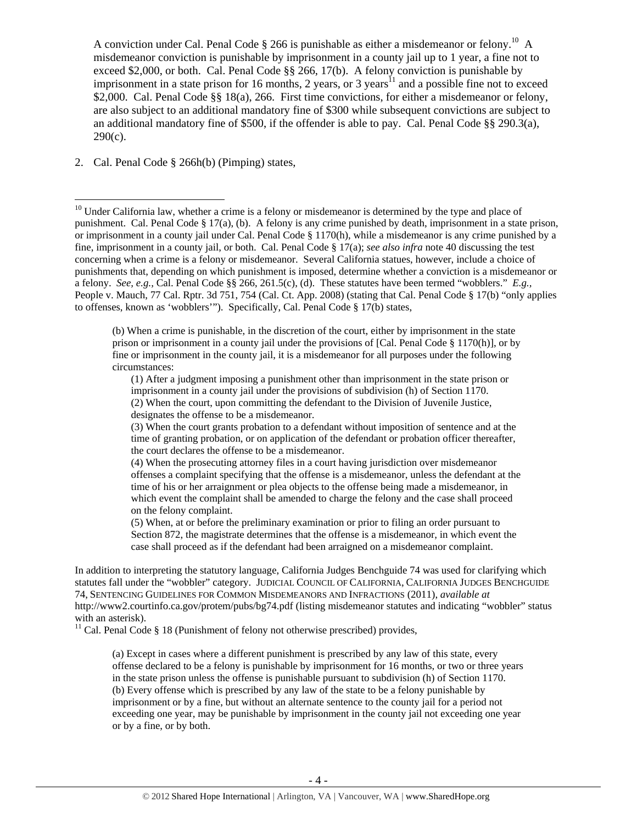A conviction under Cal. Penal Code  $\S 266$  is punishable as either a misdemeanor or felony.<sup>10</sup> A misdemeanor conviction is punishable by imprisonment in a county jail up to 1 year, a fine not to exceed \$2,000, or both. Cal. Penal Code §§ 266, 17(b). A felony conviction is punishable by imprisonment in a state prison for 16 months, 2 years, or 3 years<sup>11</sup> and a possible fine not to exceed \$2,000. Cal. Penal Code §§ 18(a), 266. First time convictions, for either a misdemeanor or felony, are also subject to an additional mandatory fine of \$300 while subsequent convictions are subject to an additional mandatory fine of \$500, if the offender is able to pay. Cal. Penal Code  $\S$ § 290.3(a),  $290(c)$ .

2. Cal. Penal Code § 266h(b) (Pimping) states,

 $10$  Under California law, whether a crime is a felony or misdemeanor is determined by the type and place of punishment. Cal. Penal Code § 17(a), (b). A felony is any crime punished by death, imprisonment in a state prison, or imprisonment in a county jail under Cal. Penal Code § 1170(h), while a misdemeanor is any crime punished by a fine, imprisonment in a county jail, or both. Cal. Penal Code § 17(a); *see also infra* note 40 discussing the test concerning when a crime is a felony or misdemeanor. Several California statues, however, include a choice of punishments that, depending on which punishment is imposed, determine whether a conviction is a misdemeanor or a felony. *See, e.g.,* Cal. Penal Code §§ 266, 261.5(c), (d). These statutes have been termed "wobblers." *E.g.,*  People v. Mauch, 77 Cal. Rptr. 3d 751, 754 (Cal. Ct. App. 2008) (stating that Cal. Penal Code § 17(b) "only applies to offenses, known as 'wobblers'"). Specifically, Cal. Penal Code § 17(b) states,

<sup>(</sup>b) When a crime is punishable, in the discretion of the court, either by imprisonment in the state prison or imprisonment in a county jail under the provisions of [Cal. Penal Code § 1170(h)], or by fine or imprisonment in the county jail, it is a misdemeanor for all purposes under the following circumstances:

<sup>(1)</sup> After a judgment imposing a punishment other than imprisonment in the state prison or imprisonment in a county jail under the provisions of subdivision (h) of Section 1170.

<sup>(2)</sup> When the court, upon committing the defendant to the Division of Juvenile Justice, designates the offense to be a misdemeanor.

<sup>(3)</sup> When the court grants probation to a defendant without imposition of sentence and at the time of granting probation, or on application of the defendant or probation officer thereafter, the court declares the offense to be a misdemeanor.

<sup>(4)</sup> When the prosecuting attorney files in a court having jurisdiction over misdemeanor offenses a complaint specifying that the offense is a misdemeanor, unless the defendant at the time of his or her arraignment or plea objects to the offense being made a misdemeanor, in which event the complaint shall be amended to charge the felony and the case shall proceed on the felony complaint.

<sup>(5)</sup> When, at or before the preliminary examination or prior to filing an order pursuant to Section 872, the magistrate determines that the offense is a misdemeanor, in which event the case shall proceed as if the defendant had been arraigned on a misdemeanor complaint.

In addition to interpreting the statutory language, California Judges Benchguide 74 was used for clarifying which statutes fall under the "wobbler" category. JUDICIAL COUNCIL OF CALIFORNIA, CALIFORNIA JUDGES BENCHGUIDE 74, SENTENCING GUIDELINES FOR COMMON MISDEMEANORS AND INFRACTIONS (2011), *available at*  http://www2.courtinfo.ca.gov/protem/pubs/bg74.pdf (listing misdemeanor statutes and indicating "wobbler" status with an asterisk).

<sup>&</sup>lt;sup>11</sup> Cal. Penal Code § 18 (Punishment of felony not otherwise prescribed) provides,

<sup>(</sup>a) Except in cases where a different punishment is prescribed by any law of this state, every offense declared to be a felony is punishable by imprisonment for 16 months, or two or three years in the state prison unless the offense is punishable pursuant to subdivision (h) of Section 1170. (b) Every offense which is prescribed by any law of the state to be a felony punishable by imprisonment or by a fine, but without an alternate sentence to the county jail for a period not exceeding one year, may be punishable by imprisonment in the county jail not exceeding one year or by a fine, or by both.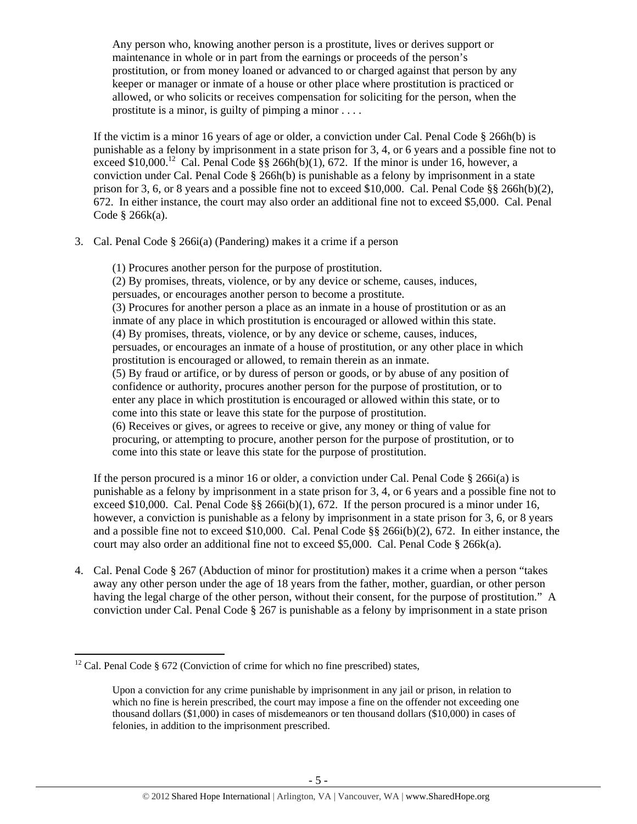Any person who, knowing another person is a prostitute, lives or derives support or maintenance in whole or in part from the earnings or proceeds of the person's prostitution, or from money loaned or advanced to or charged against that person by any keeper or manager or inmate of a house or other place where prostitution is practiced or allowed, or who solicits or receives compensation for soliciting for the person, when the prostitute is a minor, is guilty of pimping a minor . . . .

If the victim is a minor 16 years of age or older, a conviction under Cal. Penal Code  $\S$  266h(b) is punishable as a felony by imprisonment in a state prison for 3, 4, or 6 years and a possible fine not to exceed \$10,000.<sup>12</sup> Cal. Penal Code §§ 266h(b)(1), 672. If the minor is under 16, however, a conviction under Cal. Penal Code  $\S$  266h(b) is punishable as a felony by imprisonment in a state prison for 3, 6, or 8 years and a possible fine not to exceed \$10,000. Cal. Penal Code §§ 266h(b)(2), 672. In either instance, the court may also order an additional fine not to exceed \$5,000. Cal. Penal Code § 266k(a).

- 3. Cal. Penal Code § 266i(a) (Pandering) makes it a crime if a person
	- (1) Procures another person for the purpose of prostitution. (2) By promises, threats, violence, or by any device or scheme, causes, induces,

persuades, or encourages another person to become a prostitute.

(3) Procures for another person a place as an inmate in a house of prostitution or as an inmate of any place in which prostitution is encouraged or allowed within this state. (4) By promises, threats, violence, or by any device or scheme, causes, induces, persuades, or encourages an inmate of a house of prostitution, or any other place in which prostitution is encouraged or allowed, to remain therein as an inmate. (5) By fraud or artifice, or by duress of person or goods, or by abuse of any position of confidence or authority, procures another person for the purpose of prostitution, or to enter any place in which prostitution is encouraged or allowed within this state, or to come into this state or leave this state for the purpose of prostitution. (6) Receives or gives, or agrees to receive or give, any money or thing of value for procuring, or attempting to procure, another person for the purpose of prostitution, or to come into this state or leave this state for the purpose of prostitution.

If the person procured is a minor 16 or older, a conviction under Cal. Penal Code  $\S$  266i(a) is punishable as a felony by imprisonment in a state prison for 3, 4, or 6 years and a possible fine not to exceed \$10,000. Cal. Penal Code  $\&$  266i(b)(1), 672. If the person procured is a minor under 16, however, a conviction is punishable as a felony by imprisonment in a state prison for 3, 6, or 8 years and a possible fine not to exceed \$10,000. Cal. Penal Code §§ 266i(b)(2), 672. In either instance, the court may also order an additional fine not to exceed \$5,000. Cal. Penal Code § 266k(a).

4. Cal. Penal Code § 267 (Abduction of minor for prostitution) makes it a crime when a person "takes away any other person under the age of 18 years from the father, mother, guardian, or other person having the legal charge of the other person, without their consent, for the purpose of prostitution." A conviction under Cal. Penal Code § 267 is punishable as a felony by imprisonment in a state prison

  $12$  Cal. Penal Code § 672 (Conviction of crime for which no fine prescribed) states,

Upon a conviction for any crime punishable by imprisonment in any jail or prison, in relation to which no fine is herein prescribed, the court may impose a fine on the offender not exceeding one thousand dollars (\$1,000) in cases of misdemeanors or ten thousand dollars (\$10,000) in cases of felonies, in addition to the imprisonment prescribed.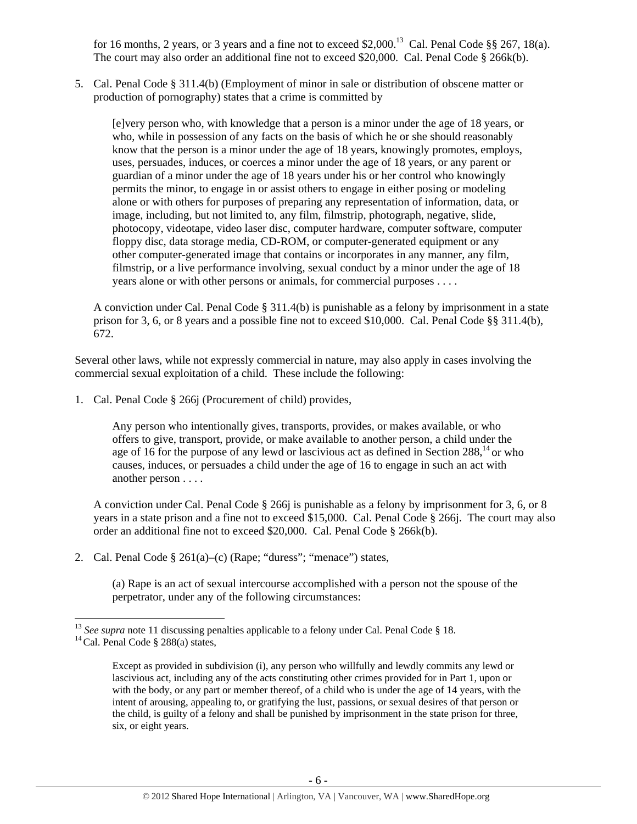for 16 months, 2 years, or 3 years and a fine not to exceed \$2,000.<sup>13</sup> Cal. Penal Code §§ 267, 18(a). The court may also order an additional fine not to exceed \$20,000. Cal. Penal Code § 266k(b).

5. Cal. Penal Code § 311.4(b) (Employment of minor in sale or distribution of obscene matter or production of pornography) states that a crime is committed by

[e]very person who, with knowledge that a person is a minor under the age of 18 years, or who, while in possession of any facts on the basis of which he or she should reasonably know that the person is a minor under the age of 18 years, knowingly promotes, employs, uses, persuades, induces, or coerces a minor under the age of 18 years, or any parent or guardian of a minor under the age of 18 years under his or her control who knowingly permits the minor, to engage in or assist others to engage in either posing or modeling alone or with others for purposes of preparing any representation of information, data, or image, including, but not limited to, any film, filmstrip, photograph, negative, slide, photocopy, videotape, video laser disc, computer hardware, computer software, computer floppy disc, data storage media, CD-ROM, or computer-generated equipment or any other computer-generated image that contains or incorporates in any manner, any film, filmstrip, or a live performance involving, sexual conduct by a minor under the age of 18 years alone or with other persons or animals, for commercial purposes . . . .

A conviction under Cal. Penal Code  $\S 311.4(b)$  is punishable as a felony by imprisonment in a state prison for 3, 6, or 8 years and a possible fine not to exceed \$10,000. Cal. Penal Code §§ 311.4(b), 672.

Several other laws, while not expressly commercial in nature, may also apply in cases involving the commercial sexual exploitation of a child. These include the following:

1. Cal. Penal Code § 266j (Procurement of child) provides,

Any person who intentionally gives, transports, provides, or makes available, or who offers to give, transport, provide, or make available to another person, a child under the age of 16 for the purpose of any lewd or lascivious act as defined in Section  $288$ ,  $^{14}$  or who causes, induces, or persuades a child under the age of 16 to engage in such an act with another person . . . .

A conviction under Cal. Penal Code § 266j is punishable as a felony by imprisonment for 3, 6, or 8 years in a state prison and a fine not to exceed \$15,000. Cal. Penal Code § 266j. The court may also order an additional fine not to exceed \$20,000. Cal. Penal Code § 266k(b).

2. Cal. Penal Code  $\S 261(a)$ –(c) (Rape; "duress"; "menace") states,

(a) Rape is an act of sexual intercourse accomplished with a person not the spouse of the perpetrator, under any of the following circumstances:

<sup>&</sup>lt;sup>13</sup> *See supra* note 11 discussing penalties applicable to a felony under Cal. Penal Code § 18. <sup>14</sup> Cal. Penal Code § 288(a) states,

Except as provided in subdivision (i), any person who willfully and lewdly commits any lewd or lascivious act, including any of the acts constituting other crimes provided for in Part 1, upon or with the body, or any part or member thereof, of a child who is under the age of 14 years, with the intent of arousing, appealing to, or gratifying the lust, passions, or sexual desires of that person or the child, is guilty of a felony and shall be punished by imprisonment in the state prison for three, six, or eight years.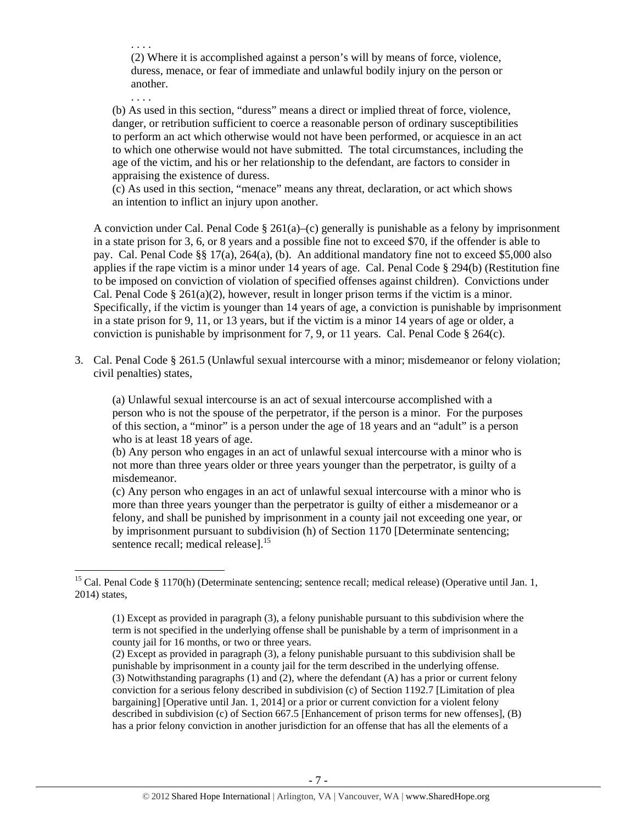. . . . (2) Where it is accomplished against a person's will by means of force, violence, duress, menace, or fear of immediate and unlawful bodily injury on the person or another.

. . . .

(b) As used in this section, "duress" means a direct or implied threat of force, violence, danger, or retribution sufficient to coerce a reasonable person of ordinary susceptibilities to perform an act which otherwise would not have been performed, or acquiesce in an act to which one otherwise would not have submitted. The total circumstances, including the age of the victim, and his or her relationship to the defendant, are factors to consider in appraising the existence of duress.

(c) As used in this section, "menace" means any threat, declaration, or act which shows an intention to inflict an injury upon another.

A conviction under Cal. Penal Code  $\S 261(a)$ –(c) generally is punishable as a felony by imprisonment in a state prison for 3, 6, or 8 years and a possible fine not to exceed \$70, if the offender is able to pay. Cal. Penal Code §§ 17(a), 264(a), (b). An additional mandatory fine not to exceed \$5,000 also applies if the rape victim is a minor under 14 years of age. Cal. Penal Code § 294(b) (Restitution fine to be imposed on conviction of violation of specified offenses against children). Convictions under Cal. Penal Code § 261(a)(2), however, result in longer prison terms if the victim is a minor. Specifically, if the victim is younger than 14 years of age, a conviction is punishable by imprisonment in a state prison for 9, 11, or 13 years, but if the victim is a minor 14 years of age or older, a conviction is punishable by imprisonment for 7, 9, or 11 years. Cal. Penal Code  $\S$  264(c).

3. Cal. Penal Code § 261.5 (Unlawful sexual intercourse with a minor; misdemeanor or felony violation; civil penalties) states,

(a) Unlawful sexual intercourse is an act of sexual intercourse accomplished with a person who is not the spouse of the perpetrator, if the person is a minor. For the purposes of this section, a "minor" is a person under the age of 18 years and an "adult" is a person who is at least 18 years of age.

(b) Any person who engages in an act of unlawful sexual intercourse with a minor who is not more than three years older or three years younger than the perpetrator, is guilty of a misdemeanor.

(c) Any person who engages in an act of unlawful sexual intercourse with a minor who is more than three years younger than the perpetrator is guilty of either a misdemeanor or a felony, and shall be punished by imprisonment in a county jail not exceeding one year, or by imprisonment pursuant to subdivision (h) of Section 1170 [Determinate sentencing; sentence recall; medical release].<sup>15</sup>

<sup>&</sup>lt;sup>15</sup> Cal. Penal Code § 1170(h) (Determinate sentencing; sentence recall; medical release) (Operative until Jan. 1, 2014) states,

<sup>(1)</sup> Except as provided in paragraph (3), a felony punishable pursuant to this subdivision where the term is not specified in the underlying offense shall be punishable by a term of imprisonment in a county jail for 16 months, or two or three years.

<sup>(2)</sup> Except as provided in paragraph (3), a felony punishable pursuant to this subdivision shall be punishable by imprisonment in a county jail for the term described in the underlying offense. (3) Notwithstanding paragraphs (1) and (2), where the defendant (A) has a prior or current felony conviction for a serious felony described in subdivision (c) of Section 1192.7 [Limitation of plea bargaining] [Operative until Jan. 1, 2014] or a prior or current conviction for a violent felony described in subdivision (c) of Section 667.5 [Enhancement of prison terms for new offenses], (B) has a prior felony conviction in another jurisdiction for an offense that has all the elements of a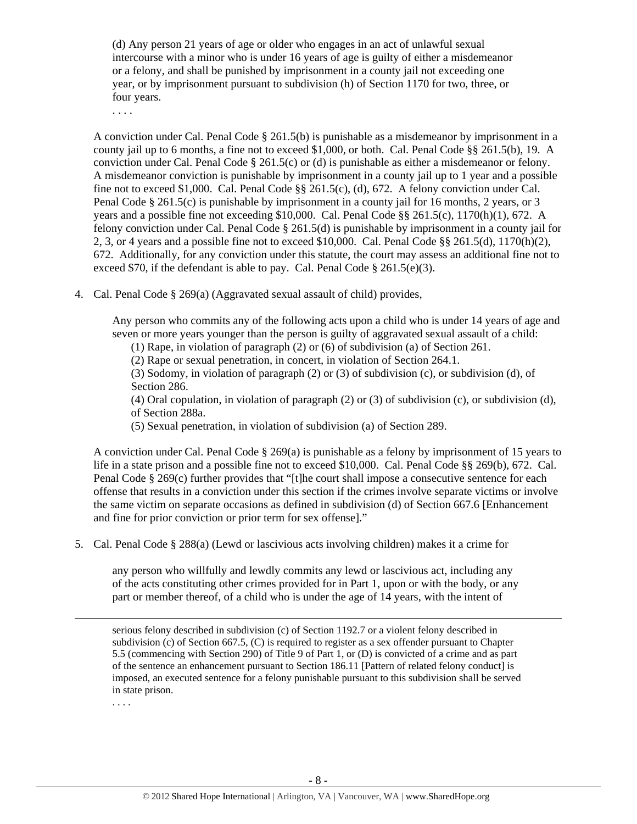(d) Any person 21 years of age or older who engages in an act of unlawful sexual intercourse with a minor who is under 16 years of age is guilty of either a misdemeanor or a felony, and shall be punished by imprisonment in a county jail not exceeding one year, or by imprisonment pursuant to subdivision (h) of Section 1170 for two, three, or four years.

. . . .

A conviction under Cal. Penal Code § 261.5(b) is punishable as a misdemeanor by imprisonment in a county jail up to 6 months, a fine not to exceed \$1,000, or both. Cal. Penal Code §§ 261.5(b), 19. A conviction under Cal. Penal Code  $\S 261.5(c)$  or (d) is punishable as either a misdemeanor or felony. A misdemeanor conviction is punishable by imprisonment in a county jail up to 1 year and a possible fine not to exceed \$1,000. Cal. Penal Code  $\S$ § 261.5(c), (d), 672. A felony conviction under Cal. Penal Code § 261.5(c) is punishable by imprisonment in a county jail for 16 months, 2 years, or 3 years and a possible fine not exceeding \$10,000. Cal. Penal Code §§ 261.5(c), 1170(h)(1), 672. A felony conviction under Cal. Penal Code § 261.5(d) is punishable by imprisonment in a county jail for 2, 3, or 4 years and a possible fine not to exceed \$10,000. Cal. Penal Code  $\S$ § 261.5(d), 1170(h)(2), 672. Additionally, for any conviction under this statute, the court may assess an additional fine not to exceed \$70, if the defendant is able to pay. Cal. Penal Code  $\S 261.5(e)(3)$ .

4. Cal. Penal Code § 269(a) (Aggravated sexual assault of child) provides,

Any person who commits any of the following acts upon a child who is under 14 years of age and seven or more years younger than the person is guilty of aggravated sexual assault of a child:

(1) Rape, in violation of paragraph (2) or (6) of subdivision (a) of Section 261.

(2) Rape or sexual penetration, in concert, in violation of Section 264.1.

(3) Sodomy, in violation of paragraph (2) or (3) of subdivision (c), or subdivision (d), of Section 286.

(4) Oral copulation, in violation of paragraph (2) or (3) of subdivision (c), or subdivision (d), of Section 288a.

(5) Sexual penetration, in violation of subdivision (a) of Section 289.

A conviction under Cal. Penal Code § 269(a) is punishable as a felony by imprisonment of 15 years to life in a state prison and a possible fine not to exceed \$10,000. Cal. Penal Code §§ 269(b), 672. Cal. Penal Code § 269(c) further provides that "[t]he court shall impose a consecutive sentence for each offense that results in a conviction under this section if the crimes involve separate victims or involve the same victim on separate occasions as defined in subdivision (d) of Section 667.6 [Enhancement and fine for prior conviction or prior term for sex offense]."

5. Cal. Penal Code § 288(a) (Lewd or lascivious acts involving children) makes it a crime for

any person who willfully and lewdly commits any lewd or lascivious act, including any of the acts constituting other crimes provided for in Part 1, upon or with the body, or any part or member thereof, of a child who is under the age of 14 years, with the intent of

serious felony described in subdivision (c) of Section 1192.7 or a violent felony described in subdivision (c) of Section 667.5, (C) is required to register as a sex offender pursuant to Chapter 5.5 (commencing with Section 290) of Title 9 of Part 1, or (D) is convicted of a crime and as part of the sentence an enhancement pursuant to Section 186.11 [Pattern of related felony conduct] is imposed, an executed sentence for a felony punishable pursuant to this subdivision shall be served in state prison.

<u> Andrewski politika (za obrazu pod predsjednika u predsjednika u predsjednika u predsjednika (za obrazu pod p</u>

. . . .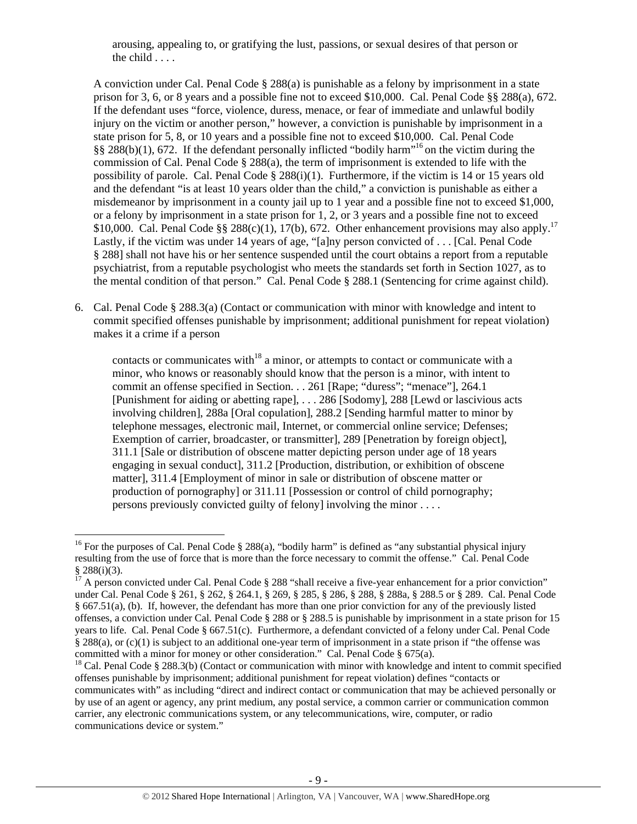arousing, appealing to, or gratifying the lust, passions, or sexual desires of that person or the child . . . .

A conviction under Cal. Penal Code  $\S 288(a)$  is punishable as a felony by imprisonment in a state prison for 3, 6, or 8 years and a possible fine not to exceed \$10,000. Cal. Penal Code §§ 288(a), 672. If the defendant uses "force, violence, duress, menace, or fear of immediate and unlawful bodily injury on the victim or another person," however, a conviction is punishable by imprisonment in a state prison for 5, 8, or 10 years and a possible fine not to exceed \$10,000. Cal. Penal Code  $\S$ § 288(b)(1), 672. If the defendant personally inflicted "bodily harm"<sup>16</sup> on the victim during the commission of Cal. Penal Code  $\S 288(a)$ , the term of imprisonment is extended to life with the possibility of parole. Cal. Penal Code  $\S 288(i)(1)$ . Furthermore, if the victim is 14 or 15 years old and the defendant "is at least 10 years older than the child," a conviction is punishable as either a misdemeanor by imprisonment in a county jail up to 1 year and a possible fine not to exceed \$1,000, or a felony by imprisonment in a state prison for 1, 2, or 3 years and a possible fine not to exceed \$10,000. Cal. Penal Code §§ 288(c)(1), 17(b), 672. Other enhancement provisions may also apply.<sup>17</sup> Lastly, if the victim was under 14 years of age, "[a]ny person convicted of . . . [Cal. Penal Code § 288] shall not have his or her sentence suspended until the court obtains a report from a reputable psychiatrist, from a reputable psychologist who meets the standards set forth in Section 1027, as to the mental condition of that person." Cal. Penal Code § 288.1 (Sentencing for crime against child).

6. Cal. Penal Code § 288.3(a) (Contact or communication with minor with knowledge and intent to commit specified offenses punishable by imprisonment; additional punishment for repeat violation) makes it a crime if a person

contacts or communicates with<sup>18</sup> a minor, or attempts to contact or communicate with a minor, who knows or reasonably should know that the person is a minor, with intent to commit an offense specified in Section. . . 261 [Rape; "duress"; "menace"], 264.1 [Punishment for aiding or abetting rape], . . . 286 [Sodomy], 288 [Lewd or lascivious acts involving children], 288a [Oral copulation], 288.2 [Sending harmful matter to minor by telephone messages, electronic mail, Internet, or commercial online service; Defenses; Exemption of carrier, broadcaster, or transmitter], 289 [Penetration by foreign object], 311.1 [Sale or distribution of obscene matter depicting person under age of 18 years engaging in sexual conduct], 311.2 [Production, distribution, or exhibition of obscene matter], 311.4 [Employment of minor in sale or distribution of obscene matter or production of pornography] or 311.11 [Possession or control of child pornography; persons previously convicted guilty of felonyl involving the minor  $\dots$ 

<sup>&</sup>lt;sup>16</sup> For the purposes of Cal. Penal Code § 288(a), "bodily harm" is defined as "any substantial physical injury resulting from the use of force that is more than the force necessary to commit the offense." Cal. Penal Code § 288(i)(3).

 $17$  A person convicted under Cal. Penal Code § 288 "shall receive a five-year enhancement for a prior conviction" under Cal. Penal Code § 261, § 262, § 264.1, § 269, § 285, § 286, § 288, § 288a, § 288.5 or § 289. Cal. Penal Code § 667.51(a), (b). If, however, the defendant has more than one prior conviction for any of the previously listed offenses, a conviction under Cal. Penal Code § 288 or § 288.5 is punishable by imprisonment in a state prison for 15 years to life. Cal. Penal Code § 667.51(c). Furthermore, a defendant convicted of a felony under Cal. Penal Code § 288(a), or (c)(1) is subject to an additional one-year term of imprisonment in a state prison if "the offense was committed with a minor for money or other consideration." Cal. Penal Code § 675(a).

<sup>&</sup>lt;sup>18</sup> Cal. Penal Code § 288.3(b) (Contact or communication with minor with knowledge and intent to commit specified offenses punishable by imprisonment; additional punishment for repeat violation) defines "contacts or communicates with" as including "direct and indirect contact or communication that may be achieved personally or by use of an agent or agency, any print medium, any postal service, a common carrier or communication common carrier, any electronic communications system, or any telecommunications, wire, computer, or radio communications device or system."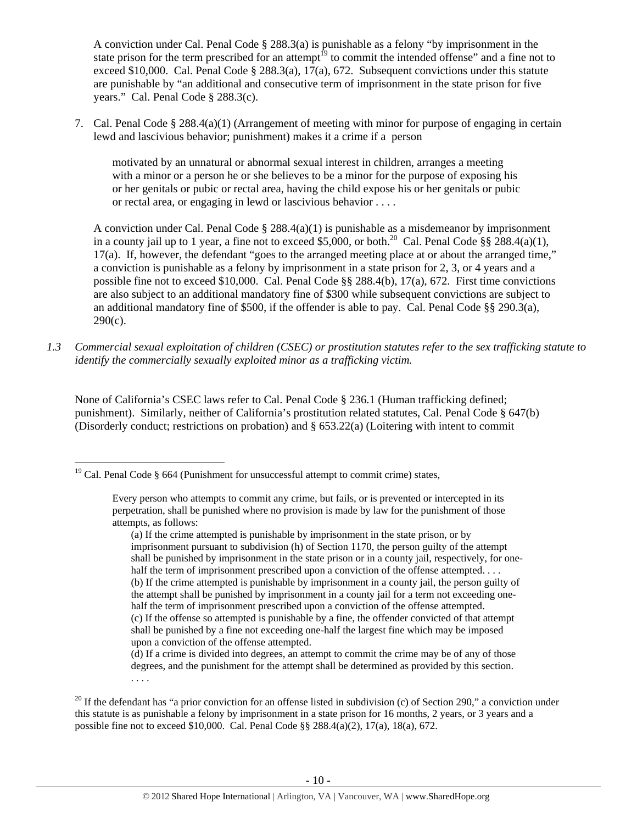A conviction under Cal. Penal Code § 288.3(a) is punishable as a felony "by imprisonment in the state prison for the term prescribed for an attempt<sup>19</sup> to commit the intended offense" and a fine not to exceed \$10,000. Cal. Penal Code § 288.3(a), 17(a), 672. Subsequent convictions under this statute are punishable by "an additional and consecutive term of imprisonment in the state prison for five years." Cal. Penal Code § 288.3(c).

7. Cal. Penal Code § 288.4(a)(1) (Arrangement of meeting with minor for purpose of engaging in certain lewd and lascivious behavior; punishment) makes it a crime if a person

motivated by an unnatural or abnormal sexual interest in children, arranges a meeting with a minor or a person he or she believes to be a minor for the purpose of exposing his or her genitals or pubic or rectal area, having the child expose his or her genitals or pubic or rectal area, or engaging in lewd or lascivious behavior . . . .

A conviction under Cal. Penal Code  $\S 288.4(a)(1)$  is punishable as a misdemeanor by imprisonment in a county jail up to 1 year, a fine not to exceed \$5,000, or both.<sup>20</sup> Cal. Penal Code §§ 288.4(a)(1). 17(a). If, however, the defendant "goes to the arranged meeting place at or about the arranged time," a conviction is punishable as a felony by imprisonment in a state prison for 2, 3, or 4 years and a possible fine not to exceed \$10,000. Cal. Penal Code §§ 288.4(b), 17(a), 672. First time convictions are also subject to an additional mandatory fine of \$300 while subsequent convictions are subject to an additional mandatory fine of \$500, if the offender is able to pay. Cal. Penal Code  $\S$ § 290.3(a),  $290(c)$ .

*1.3 Commercial sexual exploitation of children (CSEC) or prostitution statutes refer to the sex trafficking statute to identify the commercially sexually exploited minor as a trafficking victim.* 

None of California's CSEC laws refer to Cal. Penal Code § 236.1 (Human trafficking defined; punishment). Similarly, neither of California's prostitution related statutes, Cal. Penal Code § 647(b) (Disorderly conduct; restrictions on probation) and § 653.22(a) (Loitering with intent to commit

<sup>&</sup>lt;sup>19</sup> Cal. Penal Code § 664 (Punishment for unsuccessful attempt to commit crime) states,

Every person who attempts to commit any crime, but fails, or is prevented or intercepted in its perpetration, shall be punished where no provision is made by law for the punishment of those attempts, as follows:

<sup>(</sup>a) If the crime attempted is punishable by imprisonment in the state prison, or by imprisonment pursuant to subdivision (h) of Section 1170, the person guilty of the attempt shall be punished by imprisonment in the state prison or in a county jail, respectively, for onehalf the term of imprisonment prescribed upon a conviction of the offense attempted. . . . (b) If the crime attempted is punishable by imprisonment in a county jail, the person guilty of the attempt shall be punished by imprisonment in a county jail for a term not exceeding onehalf the term of imprisonment prescribed upon a conviction of the offense attempted. (c) If the offense so attempted is punishable by a fine, the offender convicted of that attempt shall be punished by a fine not exceeding one-half the largest fine which may be imposed upon a conviction of the offense attempted.

<sup>(</sup>d) If a crime is divided into degrees, an attempt to commit the crime may be of any of those degrees, and the punishment for the attempt shall be determined as provided by this section. . . . .

<sup>&</sup>lt;sup>20</sup> If the defendant has "a prior conviction for an offense listed in subdivision (c) of Section 290," a conviction under this statute is as punishable a felony by imprisonment in a state prison for 16 months, 2 years, or 3 years and a possible fine not to exceed \$10,000. Cal. Penal Code §§ 288.4(a)(2), 17(a), 18(a), 672.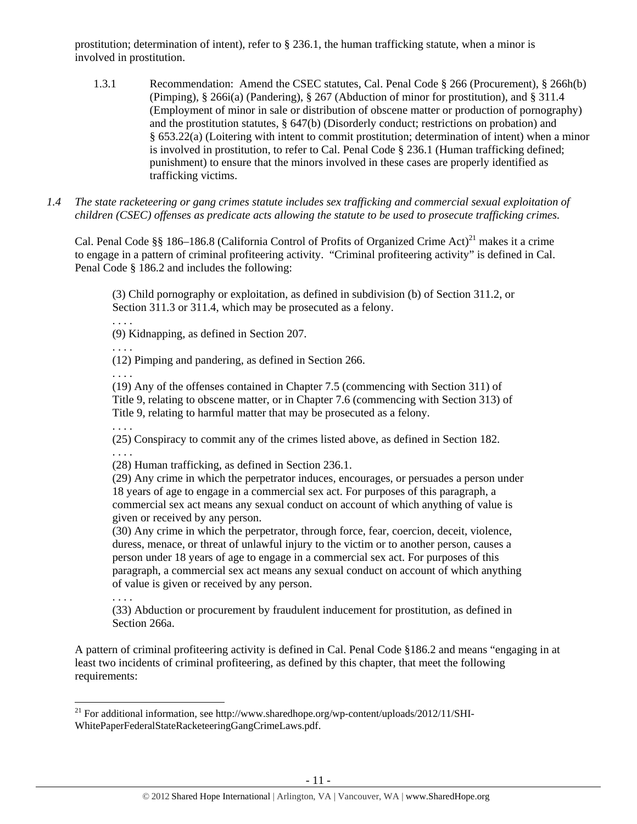prostitution; determination of intent), refer to § 236.1, the human trafficking statute, when a minor is involved in prostitution.

- 1.3.1 Recommendation: Amend the CSEC statutes, Cal. Penal Code § 266 (Procurement), § 266h(b) (Pimping), § 266i(a) (Pandering), § 267 (Abduction of minor for prostitution), and § 311.4 (Employment of minor in sale or distribution of obscene matter or production of pornography) and the prostitution statutes, § 647(b) (Disorderly conduct; restrictions on probation) and § 653.22(a) (Loitering with intent to commit prostitution; determination of intent) when a minor is involved in prostitution, to refer to Cal. Penal Code § 236.1 (Human trafficking defined; punishment) to ensure that the minors involved in these cases are properly identified as trafficking victims.
- *1.4 The state racketeering or gang crimes statute includes sex trafficking and commercial sexual exploitation of children (CSEC) offenses as predicate acts allowing the statute to be used to prosecute trafficking crimes.*

Cal. Penal Code §§ 186–186.8 (California Control of Profits of Organized Crime Act)<sup>21</sup> makes it a crime to engage in a pattern of criminal profiteering activity. "Criminal profiteering activity" is defined in Cal. Penal Code § 186.2 and includes the following:

(3) Child pornography or exploitation, as defined in subdivision (b) of Section 311.2, or Section 311.3 or 311.4, which may be prosecuted as a felony.

(9) Kidnapping, as defined in Section 207.

. . . .

. . . .

(12) Pimping and pandering, as defined in Section 266.

. . . .

. . . .

(19) Any of the offenses contained in Chapter 7.5 (commencing with Section 311) of Title 9, relating to obscene matter, or in Chapter 7.6 (commencing with Section 313) of Title 9, relating to harmful matter that may be prosecuted as a felony.

. . . . (25) Conspiracy to commit any of the crimes listed above, as defined in Section 182. . . . .

(28) Human trafficking, as defined in Section 236.1.

(29) Any crime in which the perpetrator induces, encourages, or persuades a person under 18 years of age to engage in a commercial sex act. For purposes of this paragraph, a commercial sex act means any sexual conduct on account of which anything of value is given or received by any person.

(30) Any crime in which the perpetrator, through force, fear, coercion, deceit, violence, duress, menace, or threat of unlawful injury to the victim or to another person, causes a person under 18 years of age to engage in a commercial sex act. For purposes of this paragraph, a commercial sex act means any sexual conduct on account of which anything of value is given or received by any person.

(33) Abduction or procurement by fraudulent inducement for prostitution, as defined in Section 266a.

A pattern of criminal profiteering activity is defined in Cal. Penal Code §186.2 and means "engaging in at least two incidents of criminal profiteering, as defined by this chapter, that meet the following requirements:

 <sup>21</sup> For additional information, see http://www.sharedhope.org/wp-content/uploads/2012/11/SHI-WhitePaperFederalStateRacketeeringGangCrimeLaws.pdf.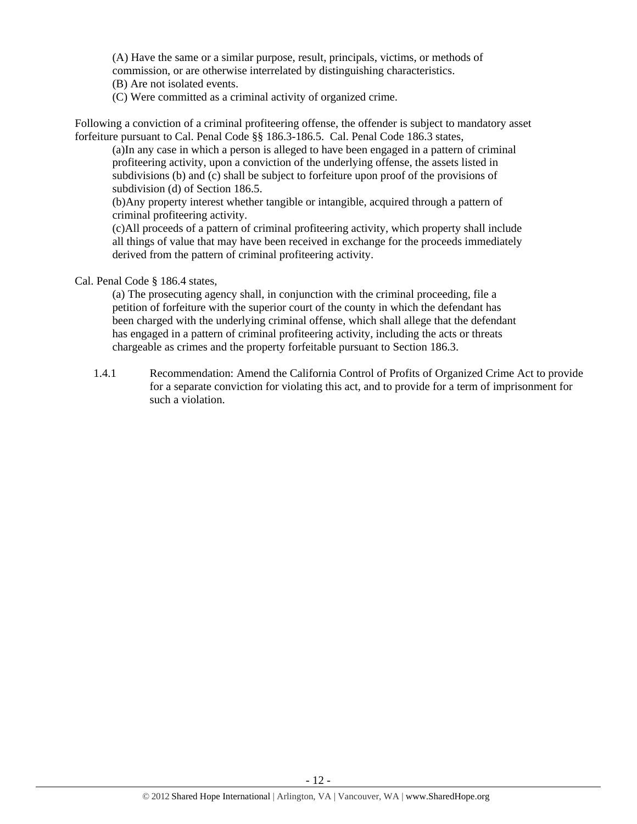(A) Have the same or a similar purpose, result, principals, victims, or methods of commission, or are otherwise interrelated by distinguishing characteristics. (B) Are not isolated events.

(C) Were committed as a criminal activity of organized crime.

Following a conviction of a criminal profiteering offense, the offender is subject to mandatory asset forfeiture pursuant to Cal. Penal Code §§ 186.3-186.5. Cal. Penal Code 186.3 states,

(a)In any case in which a person is alleged to have been engaged in a pattern of criminal profiteering activity, upon a conviction of the underlying offense, the assets listed in subdivisions (b) and (c) shall be subject to forfeiture upon proof of the provisions of subdivision (d) of Section 186.5.

(b)Any property interest whether tangible or intangible, acquired through a pattern of criminal profiteering activity.

(c)All proceeds of a pattern of criminal profiteering activity, which property shall include all things of value that may have been received in exchange for the proceeds immediately derived from the pattern of criminal profiteering activity.

## Cal. Penal Code § 186.4 states,

(a) The prosecuting agency shall, in conjunction with the criminal proceeding, file a petition of forfeiture with the superior court of the county in which the defendant has been charged with the underlying criminal offense, which shall allege that the defendant has engaged in a pattern of criminal profiteering activity, including the acts or threats chargeable as crimes and the property forfeitable pursuant to Section 186.3.

1.4.1 Recommendation: Amend the California Control of Profits of Organized Crime Act to provide for a separate conviction for violating this act, and to provide for a term of imprisonment for such a violation.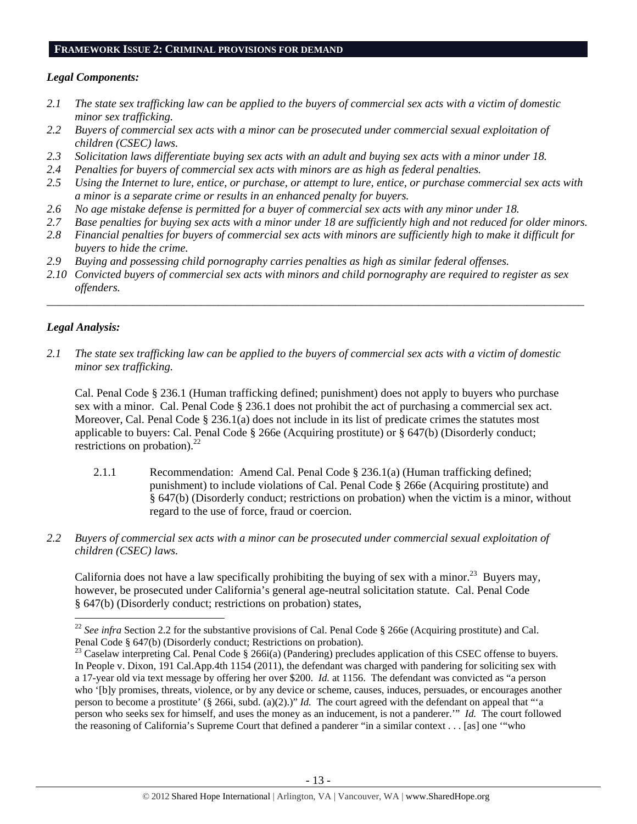### **FRAMEWORK ISSUE 2: CRIMINAL PROVISIONS FOR DEMAND**

# *Legal Components:*

- *2.1 The state sex trafficking law can be applied to the buyers of commercial sex acts with a victim of domestic minor sex trafficking.*
- *2.2 Buyers of commercial sex acts with a minor can be prosecuted under commercial sexual exploitation of children (CSEC) laws.*
- *2.3 Solicitation laws differentiate buying sex acts with an adult and buying sex acts with a minor under 18.*
- *2.4 Penalties for buyers of commercial sex acts with minors are as high as federal penalties.*
- *2.5 Using the Internet to lure, entice, or purchase, or attempt to lure, entice, or purchase commercial sex acts with a minor is a separate crime or results in an enhanced penalty for buyers.*
- *2.6 No age mistake defense is permitted for a buyer of commercial sex acts with any minor under 18.*
- *2.7 Base penalties for buying sex acts with a minor under 18 are sufficiently high and not reduced for older minors.*
- *2.8 Financial penalties for buyers of commercial sex acts with minors are sufficiently high to make it difficult for buyers to hide the crime.*
- *2.9 Buying and possessing child pornography carries penalties as high as similar federal offenses.*
- *2.10 Convicted buyers of commercial sex acts with minors and child pornography are required to register as sex offenders.*

\_\_\_\_\_\_\_\_\_\_\_\_\_\_\_\_\_\_\_\_\_\_\_\_\_\_\_\_\_\_\_\_\_\_\_\_\_\_\_\_\_\_\_\_\_\_\_\_\_\_\_\_\_\_\_\_\_\_\_\_\_\_\_\_\_\_\_\_\_\_\_\_\_\_\_\_\_\_\_\_\_\_\_\_\_\_\_\_\_\_\_\_\_\_

# *Legal Analysis:*

*2.1 The state sex trafficking law can be applied to the buyers of commercial sex acts with a victim of domestic minor sex trafficking.* 

Cal. Penal Code § 236.1 (Human trafficking defined; punishment) does not apply to buyers who purchase sex with a minor. Cal. Penal Code § 236.1 does not prohibit the act of purchasing a commercial sex act. Moreover, Cal. Penal Code § 236.1(a) does not include in its list of predicate crimes the statutes most applicable to buyers: Cal. Penal Code § 266e (Acquiring prostitute) or § 647(b) (Disorderly conduct; restrictions on probation). $^{22}$ 

- 2.1.1 Recommendation: Amend Cal. Penal Code § 236.1(a) (Human trafficking defined; punishment) to include violations of Cal. Penal Code § 266e (Acquiring prostitute) and § 647(b) (Disorderly conduct; restrictions on probation) when the victim is a minor, without regard to the use of force, fraud or coercion.
- *2.2 Buyers of commercial sex acts with a minor can be prosecuted under commercial sexual exploitation of children (CSEC) laws.*

California does not have a law specifically prohibiting the buying of sex with a minor.<sup>23</sup> Buyers may, however, be prosecuted under California's general age-neutral solicitation statute. Cal. Penal Code § 647(b) (Disorderly conduct; restrictions on probation) states,

<sup>&</sup>lt;sup>22</sup> *See infra* Section 2.2 for the substantive provisions of Cal. Penal Code § 266e (Acquiring prostitute) and Cal. Penal Code § 647(b) (Disorderly conduct; Restrictions on probation).

<sup>&</sup>lt;sup>23</sup> Caselaw interpreting Cal. Penal Code § 266i(a) (Pandering) precludes application of this CSEC offense to buyers. In People v. Dixon, 191 Cal.App.4th 1154 (2011), the defendant was charged with pandering for soliciting sex with a 17-year old via text message by offering her over \$200. *Id.* at 1156. The defendant was convicted as "a person who '[b]y promises, threats, violence, or by any device or scheme, causes, induces, persuades, or encourages another person to become a prostitute' (§ 266i, subd. (a)(2).)" *Id.* The court agreed with the defendant on appeal that "'a person who seeks sex for himself, and uses the money as an inducement, is not a panderer.'" *Id.* The court followed the reasoning of California's Supreme Court that defined a panderer "in a similar context . . . [as] one '"who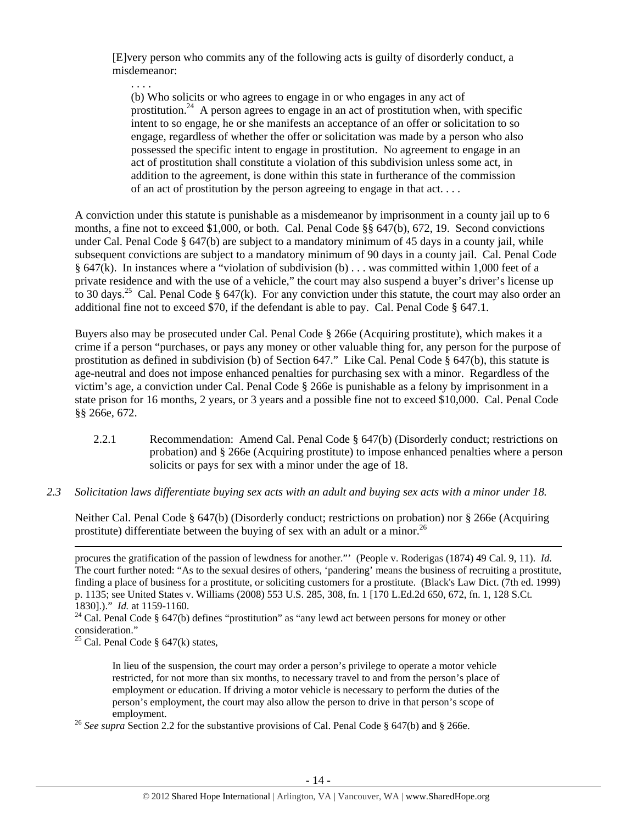[E]very person who commits any of the following acts is guilty of disorderly conduct, a misdemeanor:

. . . .

(b) Who solicits or who agrees to engage in or who engages in any act of prostitution.<sup>24</sup> A person agrees to engage in an act of prostitution when, with specific intent to so engage, he or she manifests an acceptance of an offer or solicitation to so engage, regardless of whether the offer or solicitation was made by a person who also possessed the specific intent to engage in prostitution. No agreement to engage in an act of prostitution shall constitute a violation of this subdivision unless some act, in addition to the agreement, is done within this state in furtherance of the commission of an act of prostitution by the person agreeing to engage in that act. . . .

A conviction under this statute is punishable as a misdemeanor by imprisonment in a county jail up to 6 months, a fine not to exceed \$1,000, or both. Cal. Penal Code §§ 647(b), 672, 19. Second convictions under Cal. Penal Code § 647(b) are subject to a mandatory minimum of 45 days in a county jail, while subsequent convictions are subject to a mandatory minimum of 90 days in a county jail. Cal. Penal Code § 647(k). In instances where a "violation of subdivision (b) . . . was committed within 1,000 feet of a private residence and with the use of a vehicle," the court may also suspend a buyer's driver's license up to 30 days.<sup>25</sup> Cal. Penal Code  $\S 647(k)$ . For any conviction under this statute, the court may also order an additional fine not to exceed \$70, if the defendant is able to pay. Cal. Penal Code § 647.1.

Buyers also may be prosecuted under Cal. Penal Code § 266e (Acquiring prostitute), which makes it a crime if a person "purchases, or pays any money or other valuable thing for, any person for the purpose of prostitution as defined in subdivision (b) of Section 647." Like Cal. Penal Code § 647(b), this statute is age-neutral and does not impose enhanced penalties for purchasing sex with a minor. Regardless of the victim's age, a conviction under Cal. Penal Code § 266e is punishable as a felony by imprisonment in a state prison for 16 months, 2 years, or 3 years and a possible fine not to exceed \$10,000. Cal. Penal Code §§ 266e, 672.

- 2.2.1 Recommendation: Amend Cal. Penal Code § 647(b) (Disorderly conduct; restrictions on probation) and § 266e (Acquiring prostitute) to impose enhanced penalties where a person solicits or pays for sex with a minor under the age of 18.
- *2.3 Solicitation laws differentiate buying sex acts with an adult and buying sex acts with a minor under 18.*

Neither Cal. Penal Code § 647(b) (Disorderly conduct; restrictions on probation) nor § 266e (Acquiring prostitute) differentiate between the buying of sex with an adult or a minor.<sup>26</sup>

<u> 1989 - Johann Stein, marwolaethau a gweledydd a ganlad y ganlad y ganlad y ganlad y ganlad y ganlad y ganlad</u>

<sup>25</sup> Cal. Penal Code  $\S$  647(k) states,

In lieu of the suspension, the court may order a person's privilege to operate a motor vehicle restricted, for not more than six months, to necessary travel to and from the person's place of employment or education. If driving a motor vehicle is necessary to perform the duties of the person's employment, the court may also allow the person to drive in that person's scope of

employment.<br><sup>26</sup> *See supra* Section 2.2 for the substantive provisions of Cal. Penal Code § 647(b) and § 266e.

procures the gratification of the passion of lewdness for another."' (People v. Roderigas (1874) 49 Cal. 9, 11). *Id.* The court further noted: "As to the sexual desires of others, 'pandering' means the business of recruiting a prostitute, finding a place of business for a prostitute, or soliciting customers for a prostitute. (Black's Law Dict. (7th ed. 1999) p. 1135; see United States v. Williams (2008) 553 U.S. 285, 308, fn. 1 [170 L.Ed.2d 650, 672, fn. 1, 128 S.Ct. 1830].)." *Id.* at 1159-1160.<br><sup>24</sup> Cal. Penal Code § 647(b) defines "prostitution" as "any lewd act between persons for money or other

consideration."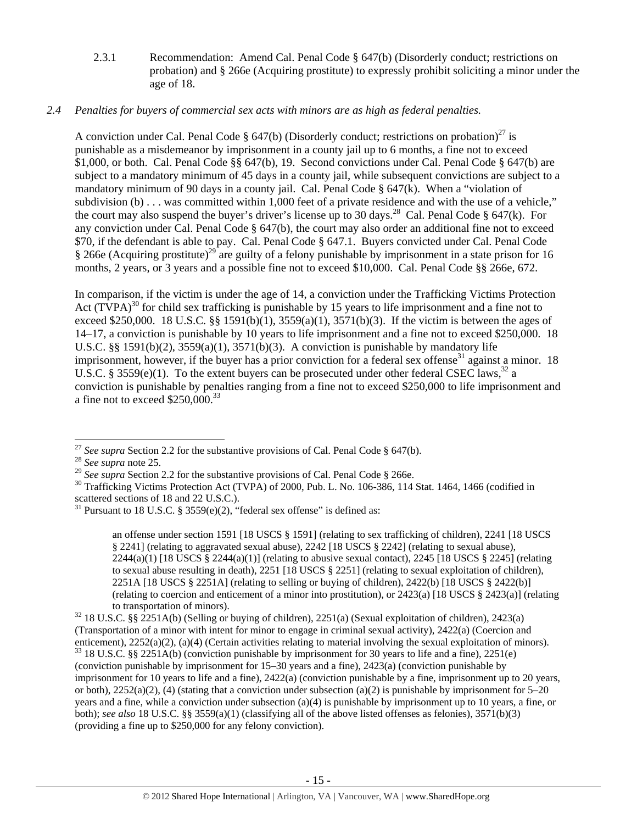2.3.1 Recommendation: Amend Cal. Penal Code § 647(b) (Disorderly conduct; restrictions on probation) and § 266e (Acquiring prostitute) to expressly prohibit soliciting a minor under the age of 18.

# *2.4 Penalties for buyers of commercial sex acts with minors are as high as federal penalties.*

A conviction under Cal. Penal Code § 647(b) (Disorderly conduct; restrictions on probation)<sup>27</sup> is punishable as a misdemeanor by imprisonment in a county jail up to 6 months, a fine not to exceed \$1,000, or both. Cal. Penal Code §§ 647(b), 19. Second convictions under Cal. Penal Code § 647(b) are subject to a mandatory minimum of 45 days in a county jail, while subsequent convictions are subject to a mandatory minimum of 90 days in a county jail. Cal. Penal Code  $\S$  647(k). When a "violation of subdivision (b) . . . was committed within 1,000 feet of a private residence and with the use of a vehicle," the court may also suspend the buyer's driver's license up to 30 days.<sup>28</sup> Cal. Penal Code § 647(k). For any conviction under Cal. Penal Code  $\S$  647(b), the court may also order an additional fine not to exceed \$70, if the defendant is able to pay. Cal. Penal Code § 647.1. Buyers convicted under Cal. Penal Code § 266e (Acquiring prostitute)<sup>29</sup> are guilty of a felony punishable by imprisonment in a state prison for 16 months, 2 years, or 3 years and a possible fine not to exceed \$10,000. Cal. Penal Code §§ 266e, 672.

In comparison, if the victim is under the age of 14, a conviction under the Trafficking Victims Protection Act  $(TVPA)^{30}$  for child sex trafficking is punishable by 15 years to life imprisonment and a fine not to exceed \$250,000. 18 U.S.C. §§ 1591(b)(1), 3559(a)(1), 3571(b)(3). If the victim is between the ages of 14–17, a conviction is punishable by 10 years to life imprisonment and a fine not to exceed \$250,000. 18 U.S.C.  $\S$ § 1591(b)(2), 3559(a)(1), 3571(b)(3). A conviction is punishable by mandatory life imprisonment, however, if the buyer has a prior conviction for a federal sex offense<sup>31</sup> against a minor. 18 U.S.C. § 3559(e)(1). To the extent buyers can be prosecuted under other federal CSEC laws,<sup>32</sup> a conviction is punishable by penalties ranging from a fine not to exceed \$250,000 to life imprisonment and a fine not to exceed  $$250,000.<sup>33</sup>$ 

an offense under section 1591 [18 USCS § 1591] (relating to sex trafficking of children), 2241 [18 USCS § 2241] (relating to aggravated sexual abuse), 2242 [18 USCS § 2242] (relating to sexual abuse),  $2244(a)(1)$  [18 USCS §  $2244(a)(1)$ ] (relating to abusive sexual contact),  $2245$  [18 USCS § 2245] (relating to sexual abuse resulting in death), 2251 [18 USCS § 2251] (relating to sexual exploitation of children), 2251A [18 USCS § 2251A] (relating to selling or buying of children), 2422(b) [18 USCS § 2422(b)] (relating to coercion and enticement of a minor into prostitution), or 2423(a) [18 USCS § 2423(a)] (relating to transportation of minors). 32 18 U.S.C. §§ 2251A(b) (Selling or buying of children), 2251(a) (Sexual exploitation of children), 2423(a)

(Transportation of a minor with intent for minor to engage in criminal sexual activity), 2422(a) (Coercion and enticement), 2252(a)(2), (a)(4) (Certain activities relating to material involving the sexual exploitation of minors).  $33$  18 U.S.C. §§ 2251A(b) (conviction punishable by imprisonment for 30 years to life and a fine), 22 (conviction punishable by imprisonment for 15–30 years and a fine), 2423(a) (conviction punishable by imprisonment for 10 years to life and a fine), 2422(a) (conviction punishable by a fine, imprisonment up to 20 years, or both),  $2252(a)(2)$ , (4) (stating that a conviction under subsection (a)(2) is punishable by imprisonment for 5–20 years and a fine, while a conviction under subsection (a)(4) is punishable by imprisonment up to 10 years, a fine, or both); *see also* 18 U.S.C. §§ 3559(a)(1) (classifying all of the above listed offenses as felonies), 3571(b)(3) (providing a fine up to \$250,000 for any felony conviction).

 <sup>27</sup> *See supra* Section 2.2 for the substantive provisions of Cal. Penal Code § 647(b). <sup>28</sup> *See supra* note 25.

<sup>&</sup>lt;sup>28</sup> *See supra* note 25.<br><sup>29</sup> *See supra* Section 2.2 for the substantive provisions of Cal. Penal Code § 266e.<br><sup>30</sup> Trafficking Victims Protection Act (TVPA) of 2000, Pub. L. No. 106-386, 114 Stat. 1464, 1466 (codified i scattered sections of 18 and 22 U.S.C.).

 $31$  Pursuant to 18 U.S.C. § 3559(e)(2), "federal sex offense" is defined as: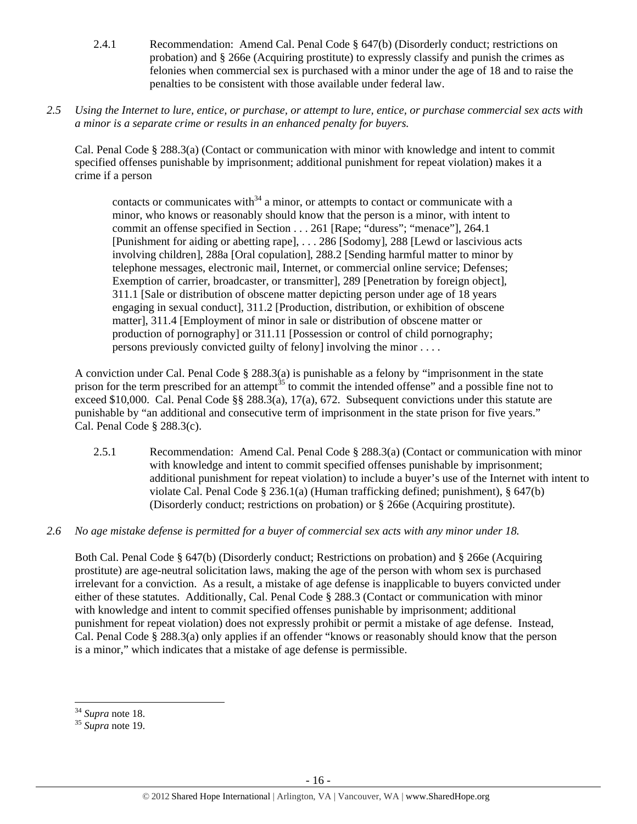- 2.4.1 Recommendation: Amend Cal. Penal Code § 647(b) (Disorderly conduct; restrictions on probation) and § 266e (Acquiring prostitute) to expressly classify and punish the crimes as felonies when commercial sex is purchased with a minor under the age of 18 and to raise the penalties to be consistent with those available under federal law.
- *2.5 Using the Internet to lure, entice, or purchase, or attempt to lure, entice, or purchase commercial sex acts with a minor is a separate crime or results in an enhanced penalty for buyers.*

Cal. Penal Code § 288.3(a) (Contact or communication with minor with knowledge and intent to commit specified offenses punishable by imprisonment; additional punishment for repeat violation) makes it a crime if a person

contacts or communicates with $34$  a minor, or attempts to contact or communicate with a minor, who knows or reasonably should know that the person is a minor, with intent to commit an offense specified in Section . . . 261 [Rape; "duress"; "menace"], 264.1 [Punishment for aiding or abetting rape], . . . 286 [Sodomy], 288 [Lewd or lascivious acts involving children], 288a [Oral copulation], 288.2 [Sending harmful matter to minor by telephone messages, electronic mail, Internet, or commercial online service; Defenses; Exemption of carrier, broadcaster, or transmitter], 289 [Penetration by foreign object], 311.1 [Sale or distribution of obscene matter depicting person under age of 18 years engaging in sexual conduct], 311.2 [Production, distribution, or exhibition of obscene matter], 311.4 [Employment of minor in sale or distribution of obscene matter or production of pornography] or 311.11 [Possession or control of child pornography; persons previously convicted guilty of felony] involving the minor . . . .

A conviction under Cal. Penal Code § 288.3(a) is punishable as a felony by "imprisonment in the state prison for the term prescribed for an attempt<sup>35</sup> to commit the intended offense" and a possible fine not to exceed \$10,000. Cal. Penal Code §§ 288.3(a), 17(a), 672. Subsequent convictions under this statute are punishable by "an additional and consecutive term of imprisonment in the state prison for five years." Cal. Penal Code § 288.3(c).

- 2.5.1 Recommendation: Amend Cal. Penal Code § 288.3(a) (Contact or communication with minor with knowledge and intent to commit specified offenses punishable by imprisonment; additional punishment for repeat violation) to include a buyer's use of the Internet with intent to violate Cal. Penal Code § 236.1(a) (Human trafficking defined; punishment), § 647(b) (Disorderly conduct; restrictions on probation) or § 266e (Acquiring prostitute).
- *2.6 No age mistake defense is permitted for a buyer of commercial sex acts with any minor under 18.*

Both Cal. Penal Code § 647(b) (Disorderly conduct; Restrictions on probation) and § 266e (Acquiring prostitute) are age-neutral solicitation laws, making the age of the person with whom sex is purchased irrelevant for a conviction. As a result, a mistake of age defense is inapplicable to buyers convicted under either of these statutes. Additionally, Cal. Penal Code § 288.3 (Contact or communication with minor with knowledge and intent to commit specified offenses punishable by imprisonment; additional punishment for repeat violation) does not expressly prohibit or permit a mistake of age defense. Instead, Cal. Penal Code § 288.3(a) only applies if an offender "knows or reasonably should know that the person is a minor," which indicates that a mistake of age defense is permissible.

<sup>34</sup> *Supra* note 18. 35 *Supra* note 19.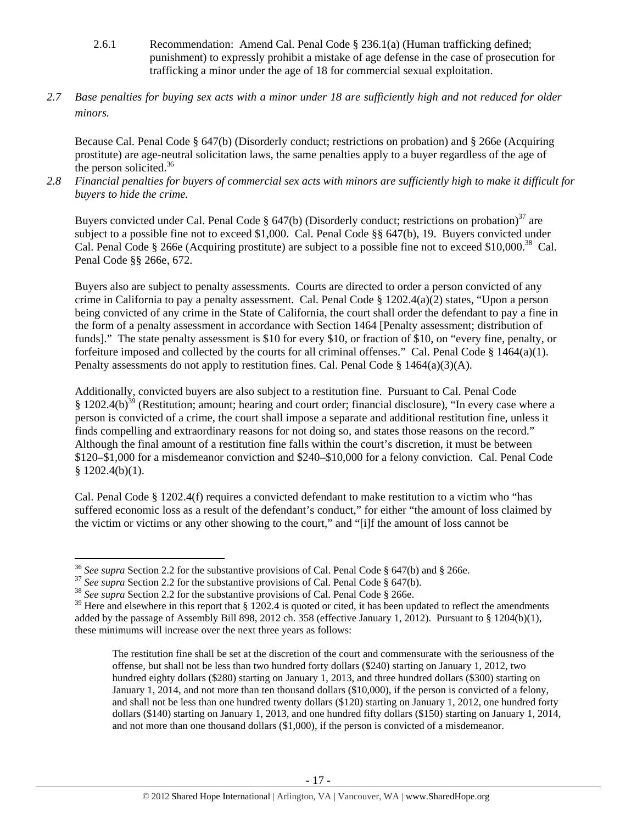- 2.6.1 Recommendation: Amend Cal. Penal Code § 236.1(a) (Human trafficking defined; punishment) to expressly prohibit a mistake of age defense in the case of prosecution for trafficking a minor under the age of 18 for commercial sexual exploitation.
- *2.7 Base penalties for buying sex acts with a minor under 18 are sufficiently high and not reduced for older minors.*

Because Cal. Penal Code § 647(b) (Disorderly conduct; restrictions on probation) and § 266e (Acquiring prostitute) are age-neutral solicitation laws, the same penalties apply to a buyer regardless of the age of the person solicited. $36$ 

*2.8 Financial penalties for buyers of commercial sex acts with minors are sufficiently high to make it difficult for buyers to hide the crime.* 

Buyers convicted under Cal. Penal Code § 647(b) (Disorderly conduct; restrictions on probation)<sup>37</sup> are subject to a possible fine not to exceed \$1,000. Cal. Penal Code §§ 647(b), 19. Buyers convicted under Cal. Penal Code § 266e (Acquiring prostitute) are subject to a possible fine not to exceed \$10,000.<sup>38</sup> Cal. Penal Code §§ 266e, 672.

Buyers also are subject to penalty assessments. Courts are directed to order a person convicted of any crime in California to pay a penalty assessment. Cal. Penal Code § 1202.4(a)(2) states, "Upon a person being convicted of any crime in the State of California, the court shall order the defendant to pay a fine in the form of a penalty assessment in accordance with Section 1464 [Penalty assessment; distribution of funds]." The state penalty assessment is \$10 for every \$10, or fraction of \$10, on "every fine, penalty, or forfeiture imposed and collected by the courts for all criminal offenses." Cal. Penal Code § 1464(a)(1). Penalty assessments do not apply to restitution fines. Cal. Penal Code  $\S$  1464(a)(3)(A).

Additionally, convicted buyers are also subject to a restitution fine. Pursuant to Cal. Penal Code  $§$  1202.4(b)<sup>39</sup> (Restitution; amount; hearing and court order; financial disclosure), "In every case where a person is convicted of a crime, the court shall impose a separate and additional restitution fine, unless it finds compelling and extraordinary reasons for not doing so, and states those reasons on the record." Although the final amount of a restitution fine falls within the court's discretion, it must be between \$120–\$1,000 for a misdemeanor conviction and \$240–\$10,000 for a felony conviction. Cal. Penal Code § 1202.4(b)(1).

Cal. Penal Code § 1202.4(f) requires a convicted defendant to make restitution to a victim who "has suffered economic loss as a result of the defendant's conduct," for either "the amount of loss claimed by the victim or victims or any other showing to the court," and "[i]f the amount of loss cannot be

<sup>&</sup>lt;sup>36</sup> See supra Section 2.2 for the substantive provisions of Cal. Penal Code § 647(b) and § 266e.

<sup>&</sup>lt;sup>37</sup> See supra Section 2.2 for the substantive provisions of Cal. Penal Code § 647(b).<br><sup>38</sup> See supra Section 2.2 for the substantive provisions of Cal. Penal Code § 266e.

 $39$  Here and elsewhere in this report that § 1202.4 is quoted or cited, it has been updated to reflect the amendments added by the passage of Assembly Bill 898, 2012 ch. 358 (effective January 1, 2012). Pursuant to § 1204(b)(1), these minimums will increase over the next three years as follows:

The restitution fine shall be set at the discretion of the court and commensurate with the seriousness of the offense, but shall not be less than two hundred forty dollars (\$240) starting on January 1, 2012, two hundred eighty dollars (\$280) starting on January 1, 2013, and three hundred dollars (\$300) starting on January 1, 2014, and not more than ten thousand dollars (\$10,000), if the person is convicted of a felony, and shall not be less than one hundred twenty dollars (\$120) starting on January 1, 2012, one hundred forty dollars (\$140) starting on January 1, 2013, and one hundred fifty dollars (\$150) starting on January 1, 2014, and not more than one thousand dollars (\$1,000), if the person is convicted of a misdemeanor.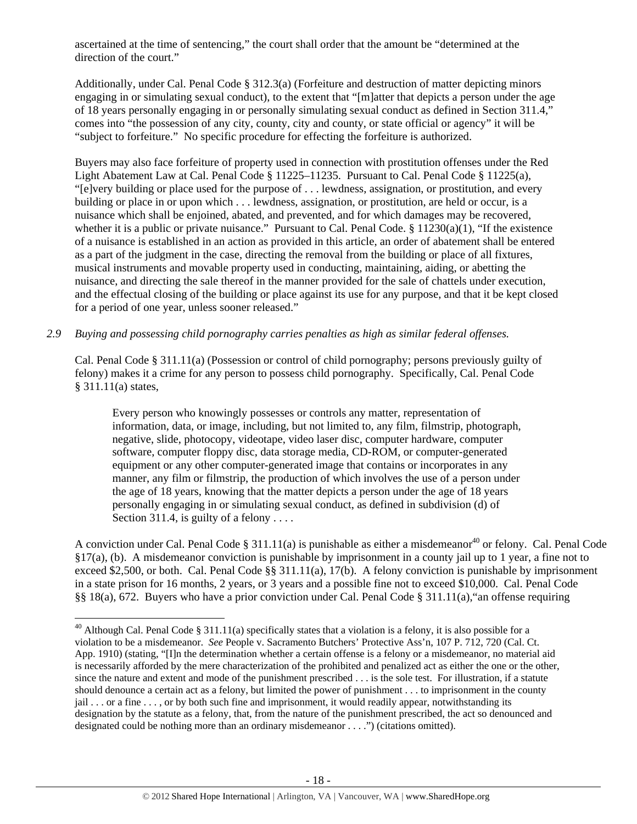ascertained at the time of sentencing," the court shall order that the amount be "determined at the direction of the court."

Additionally, under Cal. Penal Code § 312.3(a) (Forfeiture and destruction of matter depicting minors engaging in or simulating sexual conduct), to the extent that "[m]atter that depicts a person under the age of 18 years personally engaging in or personally simulating sexual conduct as defined in Section 311.4," comes into "the possession of any city, county, city and county, or state official or agency" it will be "subject to forfeiture." No specific procedure for effecting the forfeiture is authorized.

Buyers may also face forfeiture of property used in connection with prostitution offenses under the Red Light Abatement Law at Cal. Penal Code § 11225–11235. Pursuant to Cal. Penal Code § 11225(a), "[e]very building or place used for the purpose of . . . lewdness, assignation, or prostitution, and every building or place in or upon which . . . lewdness, assignation, or prostitution, are held or occur, is a nuisance which shall be enjoined, abated, and prevented, and for which damages may be recovered, whether it is a public or private nuisance." Pursuant to Cal. Penal Code.  $\S 11230(a)(1)$ , "If the existence of a nuisance is established in an action as provided in this article, an order of abatement shall be entered as a part of the judgment in the case, directing the removal from the building or place of all fixtures, musical instruments and movable property used in conducting, maintaining, aiding, or abetting the nuisance, and directing the sale thereof in the manner provided for the sale of chattels under execution, and the effectual closing of the building or place against its use for any purpose, and that it be kept closed for a period of one year, unless sooner released."

# *2.9 Buying and possessing child pornography carries penalties as high as similar federal offenses.*

Cal. Penal Code § 311.11(a) (Possession or control of child pornography; persons previously guilty of felony) makes it a crime for any person to possess child pornography. Specifically, Cal. Penal Code § 311.11(a) states,

Every person who knowingly possesses or controls any matter, representation of information, data, or image, including, but not limited to, any film, filmstrip, photograph, negative, slide, photocopy, videotape, video laser disc, computer hardware, computer software, computer floppy disc, data storage media, CD-ROM, or computer-generated equipment or any other computer-generated image that contains or incorporates in any manner, any film or filmstrip, the production of which involves the use of a person under the age of 18 years, knowing that the matter depicts a person under the age of 18 years personally engaging in or simulating sexual conduct, as defined in subdivision (d) of Section 311.4, is guilty of a felony  $\dots$ 

A conviction under Cal. Penal Code § 311.11(a) is punishable as either a misdemeanor<sup>40</sup> or felony. Cal. Penal Code §17(a), (b). A misdemeanor conviction is punishable by imprisonment in a county jail up to 1 year, a fine not to exceed \$2,500, or both. Cal. Penal Code  $\S$ § 311.11(a), 17(b). A felony conviction is punishable by imprisonment in a state prison for 16 months, 2 years, or 3 years and a possible fine not to exceed \$10,000. Cal. Penal Code §§ 18(a), 672. Buyers who have a prior conviction under Cal. Penal Code § 311.11(a),"an offense requiring

<sup>&</sup>lt;sup>40</sup> Although Cal. Penal Code § 311.11(a) specifically states that a violation is a felony, it is also possible for a violation to be a misdemeanor. *See* People v. Sacramento Butchers' Protective Ass'n, 107 P. 712, 720 (Cal. Ct. App. 1910) (stating, "[I]n the determination whether a certain offense is a felony or a misdemeanor, no material aid is necessarily afforded by the mere characterization of the prohibited and penalized act as either the one or the other, since the nature and extent and mode of the punishment prescribed . . . is the sole test. For illustration, if a statute should denounce a certain act as a felony, but limited the power of punishment . . . to imprisonment in the county jail . . . or a fine . . . , or by both such fine and imprisonment, it would readily appear, notwithstanding its designation by the statute as a felony, that, from the nature of the punishment prescribed, the act so denounced and designated could be nothing more than an ordinary misdemeanor . . . .") (citations omitted).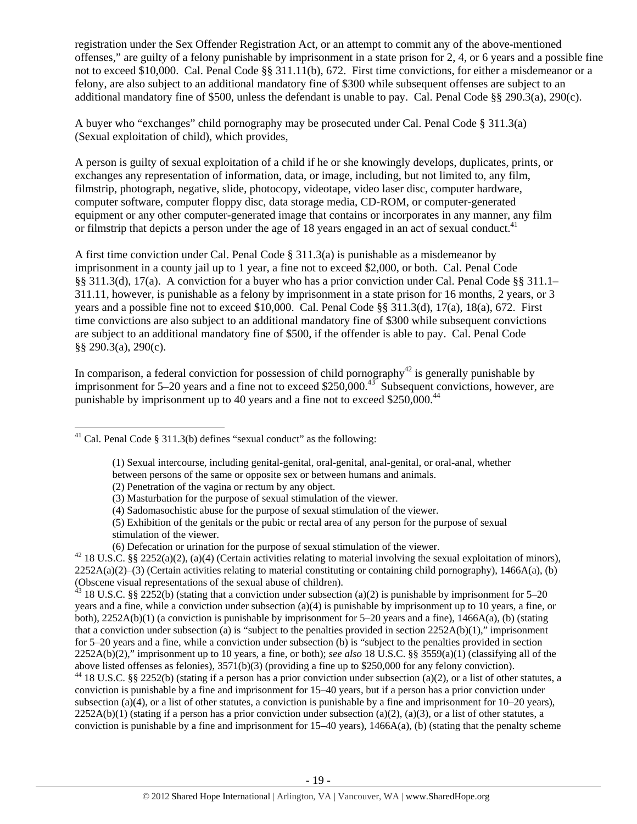registration under the Sex Offender Registration Act, or an attempt to commit any of the above-mentioned offenses," are guilty of a felony punishable by imprisonment in a state prison for 2, 4, or 6 years and a possible fine not to exceed \$10,000. Cal. Penal Code §§ 311.11(b), 672. First time convictions, for either a misdemeanor or a felony, are also subject to an additional mandatory fine of \$300 while subsequent offenses are subject to an additional mandatory fine of \$500, unless the defendant is unable to pay. Cal. Penal Code §§ 290.3(a), 290(c).

A buyer who "exchanges" child pornography may be prosecuted under Cal. Penal Code § 311.3(a) (Sexual exploitation of child), which provides,

A person is guilty of sexual exploitation of a child if he or she knowingly develops, duplicates, prints, or exchanges any representation of information, data, or image, including, but not limited to, any film, filmstrip, photograph, negative, slide, photocopy, videotape, video laser disc, computer hardware, computer software, computer floppy disc, data storage media, CD-ROM, or computer-generated equipment or any other computer-generated image that contains or incorporates in any manner, any film or filmstrip that depicts a person under the age of 18 years engaged in an act of sexual conduct.<sup>41</sup>

A first time conviction under Cal. Penal Code  $\S 311.3(a)$  is punishable as a misdemeanor by imprisonment in a county jail up to 1 year, a fine not to exceed \$2,000, or both. Cal. Penal Code §§ 311.3(d), 17(a). A conviction for a buyer who has a prior conviction under Cal. Penal Code §§ 311.1– 311.11, however, is punishable as a felony by imprisonment in a state prison for 16 months, 2 years, or 3 years and a possible fine not to exceed \$10,000. Cal. Penal Code §§ 311.3(d), 17(a), 18(a), 672. First time convictions are also subject to an additional mandatory fine of \$300 while subsequent convictions are subject to an additional mandatory fine of \$500, if the offender is able to pay. Cal. Penal Code §§ 290.3(a), 290(c).

In comparison, a federal conviction for possession of child pornography<sup>42</sup> is generally punishable by imprisonment for  $5-20$  years and a fine not to exceed \$250,000.<sup>43</sup> Subsequent convictions, however, are punishable by imprisonment up to 40 years and a fine not to exceed  $$250,000.<sup>44</sup>$ 

<sup>43</sup> 18 U.S.C. §§ 2252(b) (stating that a conviction under subsection (a)(2) is punishable by imprisonment for 5–20 years and a fine, while a conviction under subsection (a)(4) is punishable by imprisonment up to 10 years, a fine, or both), 2252A(b)(1) (a conviction is punishable by imprisonment for 5–20 years and a fine), 1466A(a), (b) (stating that a conviction under subsection (a) is "subject to the penalties provided in section  $2252A(b)(1)$ ," imprisonment for 5–20 years and a fine, while a conviction under subsection (b) is "subject to the penalties provided in section 2252A(b)(2)," imprisonment up to 10 years, a fine, or both); *see also* 18 U.S.C. §§ 3559(a)(1) (classifying all of the above listed offenses as felonies), 3571(b)(3) (providing a fine up to \$250,000 for any felony conviction).

 $44$  18 U.S.C. §§ 2252(b) (stating if a person has a prior conviction under subsection (a)(2), or a list of other statutes, a conviction is punishable by a fine and imprisonment for 15–40 years, but if a person has a prior conviction under subsection (a)(4), or a list of other statutes, a conviction is punishable by a fine and imprisonment for  $10-20$  years),  $2252A(b)(1)$  (stating if a person has a prior conviction under subsection (a)(2), (a)(3), or a list of other statutes, a conviction is punishable by a fine and imprisonment for  $15-40$  years),  $1466A(a)$ , (b) (stating that the penalty scheme

<sup>&</sup>lt;sup>41</sup> Cal. Penal Code § 311.3(b) defines "sexual conduct" as the following:

<sup>(1)</sup> Sexual intercourse, including genital-genital, oral-genital, anal-genital, or oral-anal, whether

between persons of the same or opposite sex or between humans and animals.

<sup>(2)</sup> Penetration of the vagina or rectum by any object.

<sup>(3)</sup> Masturbation for the purpose of sexual stimulation of the viewer.

<sup>(4)</sup> Sadomasochistic abuse for the purpose of sexual stimulation of the viewer.

<sup>(5)</sup> Exhibition of the genitals or the pubic or rectal area of any person for the purpose of sexual stimulation of the viewer.

<sup>(6)</sup> Defecation or urination for the purpose of sexual stimulation of the viewer.<br><sup>42</sup> 18 U.S.C. §§ 2252(a)(2), (a)(4) (Certain activities relating to material involving the sexual exploitation of minors),  $2252A(a)(2)$ –(3) (Certain activities relating to material constituting or containing child pornography), 1466A(a), (b) (Obscene visual representations of the sexual abuse of children).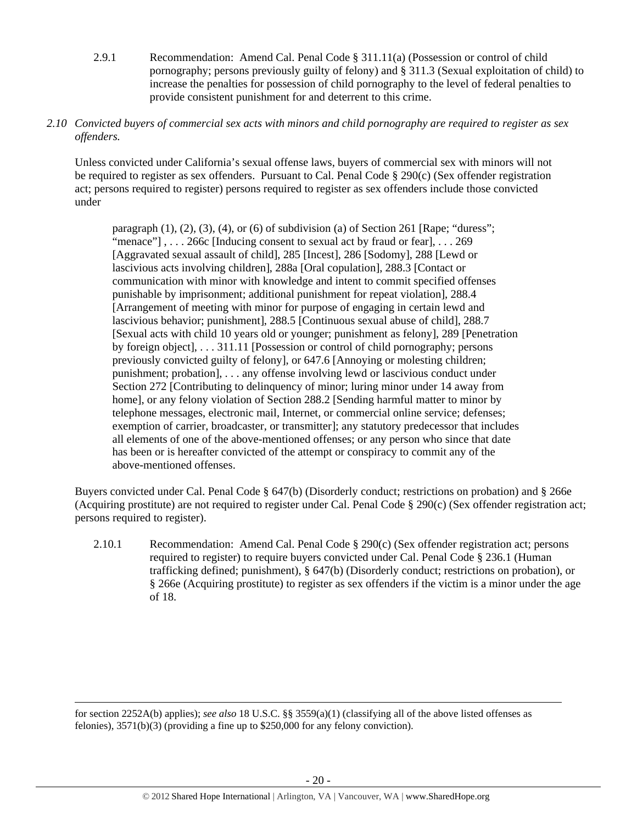- 2.9.1 Recommendation: Amend Cal. Penal Code § 311.11(a) (Possession or control of child pornography; persons previously guilty of felony) and § 311.3 (Sexual exploitation of child) to increase the penalties for possession of child pornography to the level of federal penalties to provide consistent punishment for and deterrent to this crime.
- *2.10 Convicted buyers of commercial sex acts with minors and child pornography are required to register as sex offenders.*

Unless convicted under California's sexual offense laws, buyers of commercial sex with minors will not be required to register as sex offenders. Pursuant to Cal. Penal Code § 290(c) (Sex offender registration act; persons required to register) persons required to register as sex offenders include those convicted under

paragraph  $(1)$ ,  $(2)$ ,  $(3)$ ,  $(4)$ , or  $(6)$  of subdivision  $(a)$  of Section 261 [Rape; "duress"; "menace"],... 266c [Inducing consent to sexual act by fraud or fear],... 269 [Aggravated sexual assault of child], 285 [Incest], 286 [Sodomy], 288 [Lewd or lascivious acts involving children], 288a [Oral copulation], 288.3 [Contact or communication with minor with knowledge and intent to commit specified offenses punishable by imprisonment; additional punishment for repeat violation], 288.4 [Arrangement of meeting with minor for purpose of engaging in certain lewd and lascivious behavior; punishment], 288.5 [Continuous sexual abuse of child], 288.7 [Sexual acts with child 10 years old or younger; punishment as felony], 289 [Penetration by foreign object], . . . 311.11 [Possession or control of child pornography; persons previously convicted guilty of felony], or 647.6 [Annoying or molesting children; punishment; probation], . . . any offense involving lewd or lascivious conduct under Section 272 [Contributing to delinquency of minor; luring minor under 14 away from home], or any felony violation of Section 288.2 [Sending harmful matter to minor by telephone messages, electronic mail, Internet, or commercial online service; defenses; exemption of carrier, broadcaster, or transmitter]; any statutory predecessor that includes all elements of one of the above-mentioned offenses; or any person who since that date has been or is hereafter convicted of the attempt or conspiracy to commit any of the above-mentioned offenses.

Buyers convicted under Cal. Penal Code § 647(b) (Disorderly conduct; restrictions on probation) and § 266e (Acquiring prostitute) are not required to register under Cal. Penal Code § 290(c) (Sex offender registration act; persons required to register).

2.10.1 Recommendation: Amend Cal. Penal Code § 290(c) (Sex offender registration act; persons required to register) to require buyers convicted under Cal. Penal Code § 236.1 (Human trafficking defined; punishment), § 647(b) (Disorderly conduct; restrictions on probation), or § 266e (Acquiring prostitute) to register as sex offenders if the victim is a minor under the age of 18.

for section 2252A(b) applies); *see also* 18 U.S.C. §§ 3559(a)(1) (classifying all of the above listed offenses as felonies), 3571(b)(3) (providing a fine up to \$250,000 for any felony conviction).

<u> Andrewski politika (za obrazu pod predsjednika u predsjednika u predsjednika u predsjednika (za obrazu pod p</u>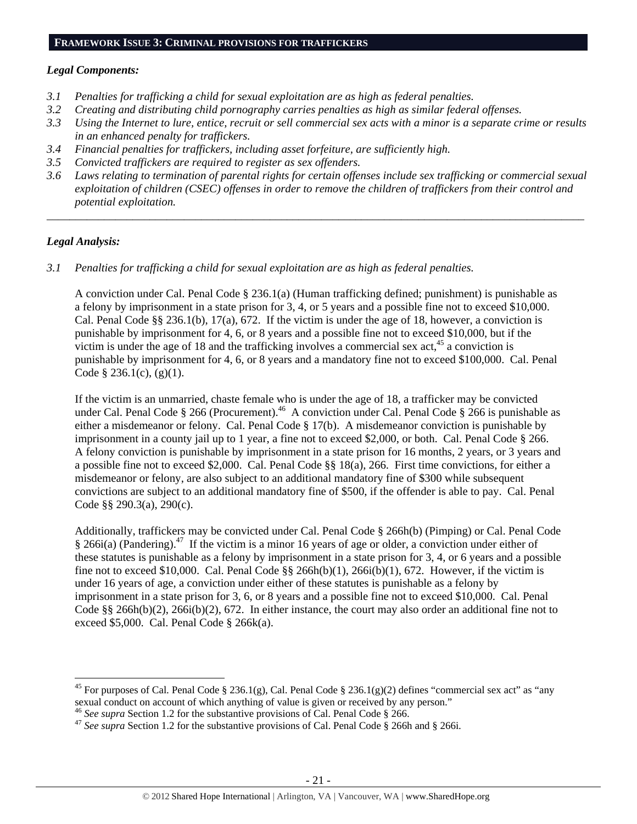# **FRAMEWORK ISSUE 3: CRIMINAL PROVISIONS FOR TRAFFICKERS**

### *Legal Components:*

- *3.1 Penalties for trafficking a child for sexual exploitation are as high as federal penalties.*
- *3.2 Creating and distributing child pornography carries penalties as high as similar federal offenses.*
- *3.3 Using the Internet to lure, entice, recruit or sell commercial sex acts with a minor is a separate crime or results in an enhanced penalty for traffickers.*
- *3.4 Financial penalties for traffickers, including asset forfeiture, are sufficiently high.*
- *3.5 Convicted traffickers are required to register as sex offenders.*
- *3.6 Laws relating to termination of parental rights for certain offenses include sex trafficking or commercial sexual exploitation of children (CSEC) offenses in order to remove the children of traffickers from their control and potential exploitation.*

*\_\_\_\_\_\_\_\_\_\_\_\_\_\_\_\_\_\_\_\_\_\_\_\_\_\_\_\_\_\_\_\_\_\_\_\_\_\_\_\_\_\_\_\_\_\_\_\_\_\_\_\_\_\_\_\_\_\_\_\_\_\_\_\_\_\_\_\_\_\_\_\_\_\_\_\_\_\_\_\_\_\_\_\_\_\_\_\_\_\_\_\_\_\_* 

# *Legal Analysis:*

*3.1 Penalties for trafficking a child for sexual exploitation are as high as federal penalties.* 

A conviction under Cal. Penal Code § 236.1(a) (Human trafficking defined; punishment) is punishable as a felony by imprisonment in a state prison for 3, 4, or 5 years and a possible fine not to exceed \$10,000. Cal. Penal Code §§ 236.1(b), 17(a), 672. If the victim is under the age of 18, however, a conviction is punishable by imprisonment for 4, 6, or 8 years and a possible fine not to exceed \$10,000, but if the victim is under the age of 18 and the trafficking involves a commercial sex act,  $45$  a conviction is punishable by imprisonment for 4, 6, or 8 years and a mandatory fine not to exceed \$100,000. Cal. Penal Code § 236.1(c),  $(g)(1)$ .

If the victim is an unmarried, chaste female who is under the age of 18, a trafficker may be convicted under Cal. Penal Code § 266 (Procurement).<sup>46</sup> A conviction under Cal. Penal Code § 266 is punishable as either a misdemeanor or felony. Cal. Penal Code § 17(b). A misdemeanor conviction is punishable by imprisonment in a county jail up to 1 year, a fine not to exceed \$2,000, or both. Cal. Penal Code § 266. A felony conviction is punishable by imprisonment in a state prison for 16 months, 2 years, or 3 years and a possible fine not to exceed \$2,000. Cal. Penal Code §§ 18(a), 266. First time convictions, for either a misdemeanor or felony, are also subject to an additional mandatory fine of \$300 while subsequent convictions are subject to an additional mandatory fine of \$500, if the offender is able to pay. Cal. Penal Code §§ 290.3(a), 290(c).

Additionally, traffickers may be convicted under Cal. Penal Code § 266h(b) (Pimping) or Cal. Penal Code § 266i(a) (Pandering).<sup>47</sup> If the victim is a minor 16 years of age or older, a conviction under either of these statutes is punishable as a felony by imprisonment in a state prison for 3, 4, or 6 years and a possible fine not to exceed \$10,000. Cal. Penal Code  $\S$ § 266h(b)(1), 266i(b)(1), 672. However, if the victim is under 16 years of age, a conviction under either of these statutes is punishable as a felony by imprisonment in a state prison for 3, 6, or 8 years and a possible fine not to exceed \$10,000. Cal. Penal Code §§ 266h(b)(2), 266i(b)(2), 672. In either instance, the court may also order an additional fine not to exceed \$5,000. Cal. Penal Code § 266k(a).

<sup>&</sup>lt;sup>45</sup> For purposes of Cal. Penal Code § 236.1(g), Cal. Penal Code § 236.1(g)(2) defines "commercial sex act" as "any sexual conduct on account of which anything of value is given or received by any person."<br><sup>46</sup> See supra Section 1.2 for the substantive provisions of Cal. Penal Code § 266.<br><sup>47</sup> See supra Section 1.2 for the substantive p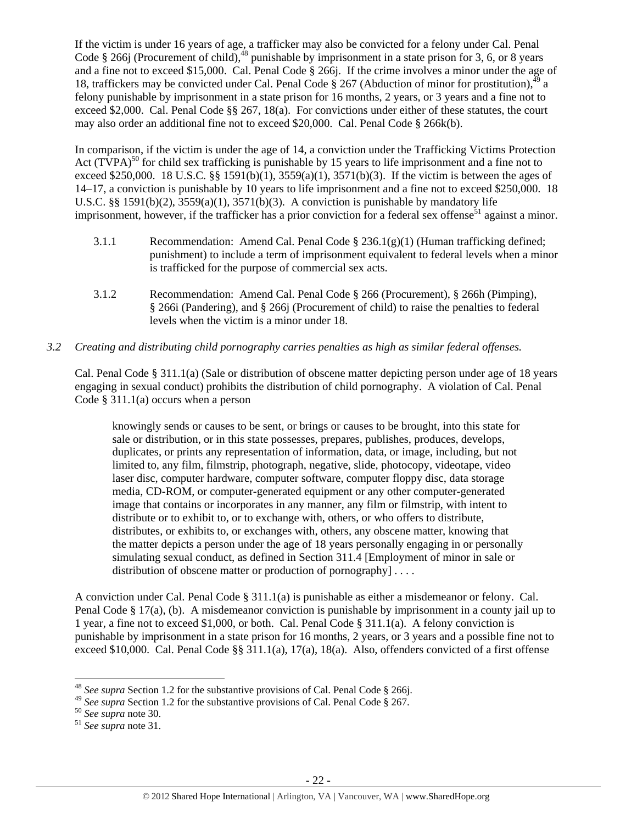If the victim is under 16 years of age, a trafficker may also be convicted for a felony under Cal. Penal Code § 266j (Procurement of child),<sup>48</sup> punishable by imprisonment in a state prison for 3, 6, or 8 years and a fine not to exceed \$15,000. Cal. Penal Code § 266j. If the crime involves a minor under the age of 18, traffickers may be convicted under Cal. Penal Code  $\S 267$  (Abduction of minor for prostitution),<sup>49</sup> a felony punishable by imprisonment in a state prison for 16 months, 2 years, or 3 years and a fine not to exceed \$2,000. Cal. Penal Code §§ 267, 18(a). For convictions under either of these statutes, the court may also order an additional fine not to exceed \$20,000. Cal. Penal Code § 266k(b).

In comparison, if the victim is under the age of 14, a conviction under the Trafficking Victims Protection Act (TVPA)<sup>50</sup> for child sex trafficking is punishable by 15 years to life imprisonment and a fine not to exceed \$250,000. 18 U.S.C. §§ 1591(b)(1),  $3559(a)(1)$ ,  $3571(b)(3)$ . If the victim is between the ages of 14–17, a conviction is punishable by 10 years to life imprisonment and a fine not to exceed \$250,000. 18 U.S.C. §§ 1591(b)(2),  $3559(a)(1)$ ,  $3571(b)(3)$ . A conviction is punishable by mandatory life imprisonment, however, if the trafficker has a prior conviction for a federal sex offense<sup>51</sup> against a minor.

- 3.1.1 Recommendation: Amend Cal. Penal Code  $\S 236.1(g)(1)$  (Human trafficking defined; punishment) to include a term of imprisonment equivalent to federal levels when a minor is trafficked for the purpose of commercial sex acts.
- 3.1.2 Recommendation: Amend Cal. Penal Code § 266 (Procurement), § 266h (Pimping), § 266i (Pandering), and § 266j (Procurement of child) to raise the penalties to federal levels when the victim is a minor under 18.

# *3.2 Creating and distributing child pornography carries penalties as high as similar federal offenses.*

Cal. Penal Code § 311.1(a) (Sale or distribution of obscene matter depicting person under age of 18 years engaging in sexual conduct) prohibits the distribution of child pornography. A violation of Cal. Penal Code  $\S 311.1(a)$  occurs when a person

knowingly sends or causes to be sent, or brings or causes to be brought, into this state for sale or distribution, or in this state possesses, prepares, publishes, produces, develops, duplicates, or prints any representation of information, data, or image, including, but not limited to, any film, filmstrip, photograph, negative, slide, photocopy, videotape, video laser disc, computer hardware, computer software, computer floppy disc, data storage media, CD-ROM, or computer-generated equipment or any other computer-generated image that contains or incorporates in any manner, any film or filmstrip, with intent to distribute or to exhibit to, or to exchange with, others, or who offers to distribute, distributes, or exhibits to, or exchanges with, others, any obscene matter, knowing that the matter depicts a person under the age of 18 years personally engaging in or personally simulating sexual conduct, as defined in Section 311.4 [Employment of minor in sale or distribution of obscene matter or production of pornography  $] \ldots$ .

A conviction under Cal. Penal Code § 311.1(a) is punishable as either a misdemeanor or felony. Cal. Penal Code § 17(a), (b). A misdemeanor conviction is punishable by imprisonment in a county jail up to 1 year, a fine not to exceed \$1,000, or both. Cal. Penal Code § 311.1(a). A felony conviction is punishable by imprisonment in a state prison for 16 months, 2 years, or 3 years and a possible fine not to exceed \$10,000. Cal. Penal Code §§ 311.1(a), 17(a), 18(a). Also, offenders convicted of a first offense

<sup>48</sup> *See supra* Section 1.2 for the substantive provisions of Cal. Penal Code § 266j.

<sup>49</sup> *See supra* Section 1.2 for the substantive provisions of Cal. Penal Code § 267. 50 *See supra* note 30. 51 *See supra* note 31.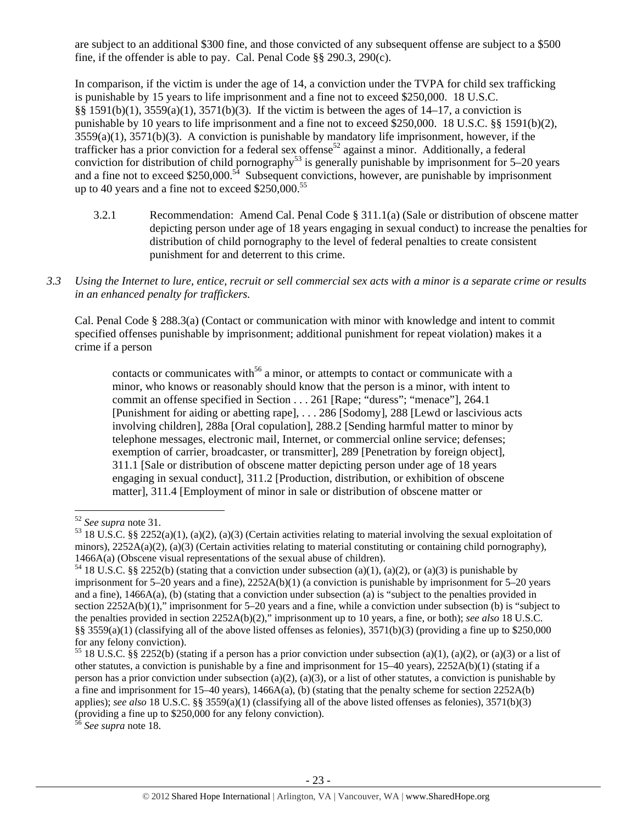are subject to an additional \$300 fine, and those convicted of any subsequent offense are subject to a \$500 fine, if the offender is able to pay. Cal. Penal Code §§ 290.3, 290(c).

In comparison, if the victim is under the age of 14, a conviction under the TVPA for child sex trafficking is punishable by 15 years to life imprisonment and a fine not to exceed \$250,000. 18 U.S.C.  $§§ 1591(b)(1), 3559(a)(1), 3571(b)(3).$  If the victim is between the ages of  $14-17$ , a conviction is punishable by 10 years to life imprisonment and a fine not to exceed \$250,000. 18 U.S.C. §§ 1591(b)(2),  $3559(a)(1)$ ,  $3571(b)(3)$ . A conviction is punishable by mandatory life imprisonment, however, if the trafficker has a prior conviction for a federal sex offense<sup>52</sup> against a minor. Additionally, a federal conviction for distribution of child pornography<sup>53</sup> is generally punishable by imprisonment for 5–20 years and a fine not to exceed \$250,000.<sup>54</sup> Subsequent convictions, however, are punishable by imprisonment up to 40 years and a fine not to exceed  $$250,000.<sup>55</sup>$ 

- 3.2.1 Recommendation: Amend Cal. Penal Code § 311.1(a) (Sale or distribution of obscene matter depicting person under age of 18 years engaging in sexual conduct) to increase the penalties for distribution of child pornography to the level of federal penalties to create consistent punishment for and deterrent to this crime.
- *3.3 Using the Internet to lure, entice, recruit or sell commercial sex acts with a minor is a separate crime or results in an enhanced penalty for traffickers.*

Cal. Penal Code § 288.3(a) (Contact or communication with minor with knowledge and intent to commit specified offenses punishable by imprisonment; additional punishment for repeat violation) makes it a crime if a person

contacts or communicates with<sup>56</sup> a minor, or attempts to contact or communicate with a minor, who knows or reasonably should know that the person is a minor, with intent to commit an offense specified in Section . . . 261 [Rape; "duress"; "menace"], 264.1 [Punishment for aiding or abetting rape], . . . 286 [Sodomy], 288 [Lewd or lascivious acts involving children], 288a [Oral copulation], 288.2 [Sending harmful matter to minor by telephone messages, electronic mail, Internet, or commercial online service; defenses; exemption of carrier, broadcaster, or transmitter], 289 [Penetration by foreign object], 311.1 [Sale or distribution of obscene matter depicting person under age of 18 years engaging in sexual conduct], 311.2 [Production, distribution, or exhibition of obscene matter], 311.4 [Employment of minor in sale or distribution of obscene matter or

<sup>56</sup> *See supra* note 18.

<sup>&</sup>lt;sup>52</sup> *See supra* note 31.<br><sup>53</sup> 18 U.S.C. §§ 2252(a)(1), (a)(2), (a)(3) (Certain activities relating to material involving the sexual exploitation of minors), 2252A(a)(2), (a)(3) (Certain activities relating to material constituting or containing child pornography), 1466A(a) (Obscene visual representations of the sexual abuse of children).

<sup>&</sup>lt;sup>54</sup> 18 U.S.C. §§ 2252(b) (stating that a conviction under subsection (a)(1), (a)(2), or (a)(3) is punishable by imprisonment for 5–20 years and a fine), 2252A(b)(1) (a conviction is punishable by imprisonment for 5–20 years and a fine), 1466A(a), (b) (stating that a conviction under subsection (a) is "subject to the penalties provided in section 2252A(b)(1)," imprisonment for 5–20 years and a fine, while a conviction under subsection (b) is "subject to the penalties provided in section 2252A(b)(2)," imprisonment up to 10 years, a fine, or both); *see also* 18 U.S.C. §§ 3559(a)(1) (classifying all of the above listed offenses as felonies), 3571(b)(3) (providing a fine up to \$250,000 for any felony conviction).

<sup>&</sup>lt;sup>55</sup> 18 U.S.C. §§ 2252(b) (stating if a person has a prior conviction under subsection (a)(1), (a)(2), or (a)(3) or a list of other statutes, a conviction is punishable by a fine and imprisonment for 15–40 years), 2252A(b)(1) (stating if a person has a prior conviction under subsection (a)(2), (a)(3), or a list of other statutes, a conviction is punishable by a fine and imprisonment for 15–40 years), 1466A(a), (b) (stating that the penalty scheme for section 2252A(b) applies); *see also* 18 U.S.C. §§ 3559(a)(1) (classifying all of the above listed offenses as felonies), 3571(b)(3) (providing a fine up to \$250,000 for any felony conviction).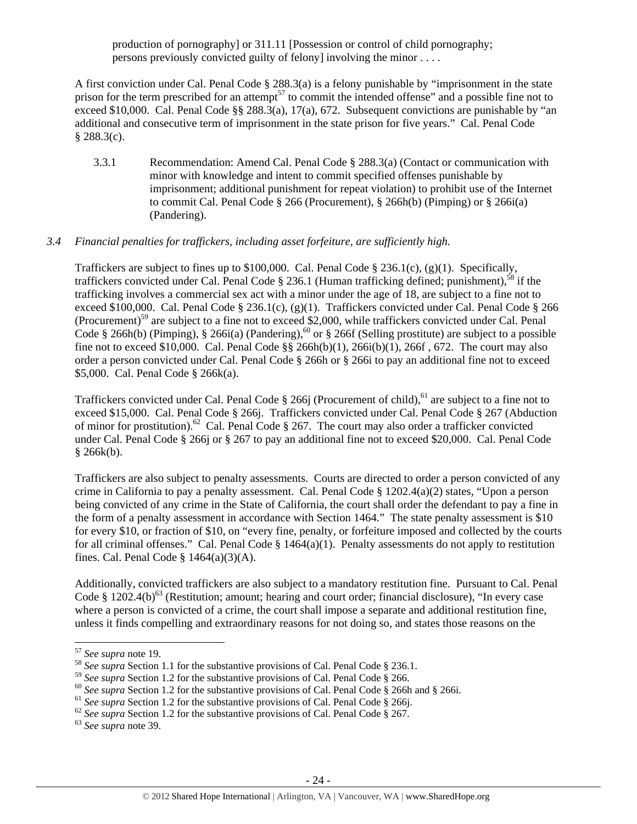production of pornography] or 311.11 [Possession or control of child pornography; persons previously convicted guilty of felony] involving the minor . . . .

A first conviction under Cal. Penal Code § 288.3(a) is a felony punishable by "imprisonment in the state prison for the term prescribed for an attempt<sup>57</sup> to commit the intended offense" and a possible fine not to exceed \$10,000. Cal. Penal Code §§ 288.3(a), 17(a), 672. Subsequent convictions are punishable by "an additional and consecutive term of imprisonment in the state prison for five years." Cal. Penal Code  $§ 288.3(c).$ 

3.3.1 Recommendation: Amend Cal. Penal Code § 288.3(a) (Contact or communication with minor with knowledge and intent to commit specified offenses punishable by imprisonment; additional punishment for repeat violation) to prohibit use of the Internet to commit Cal. Penal Code § 266 (Procurement), § 266h(b) (Pimping) or § 266i(a) (Pandering).

# *3.4 Financial penalties for traffickers, including asset forfeiture, are sufficiently high.*

Traffickers are subject to fines up to \$100,000. Cal. Penal Code § 236.1(c), (g)(1). Specifically, traffickers convicted under Cal. Penal Code  $\S 236.1$  (Human trafficking defined; punishment),<sup>58</sup> if the trafficking involves a commercial sex act with a minor under the age of 18, are subject to a fine not to exceed \$100,000. Cal. Penal Code § 236.1(c), (g)(1). Traffickers convicted under Cal. Penal Code § 266 (Procurement)59 are subject to a fine not to exceed \$2,000, while traffickers convicted under Cal. Penal Code § 266h(b) (Pimping), § 266i(a) (Pandering),<sup>60</sup> or § 266f (Selling prostitute) are subject to a possible fine not to exceed \$10,000. Cal. Penal Code  $\S\$  266h(b)(1), 266i(b)(1), 266f, 672. The court may also order a person convicted under Cal. Penal Code § 266h or § 266i to pay an additional fine not to exceed \$5,000. Cal. Penal Code § 266k(a).

Traffickers convicted under Cal. Penal Code § 266j (Procurement of child),<sup>61</sup> are subject to a fine not to exceed \$15,000. Cal. Penal Code § 266j. Traffickers convicted under Cal. Penal Code § 267 (Abduction of minor for prostitution).<sup>62</sup> Cal. Penal Code § 267. The court may also order a trafficker convicted under Cal. Penal Code § 266j or § 267 to pay an additional fine not to exceed \$20,000. Cal. Penal Code  $§$  266 $k(b)$ .

Traffickers are also subject to penalty assessments. Courts are directed to order a person convicted of any crime in California to pay a penalty assessment. Cal. Penal Code § 1202.4(a)(2) states, "Upon a person being convicted of any crime in the State of California, the court shall order the defendant to pay a fine in the form of a penalty assessment in accordance with Section 1464." The state penalty assessment is \$10 for every \$10, or fraction of \$10, on "every fine, penalty, or forfeiture imposed and collected by the courts for all criminal offenses." Cal. Penal Code  $\S 1464(a)(1)$ . Penalty assessments do not apply to restitution fines. Cal. Penal Code § 1464(a)(3)(A).

Additionally, convicted traffickers are also subject to a mandatory restitution fine. Pursuant to Cal. Penal Code  $§$  1202.4(b)<sup>63</sup> (Restitution; amount; hearing and court order; financial disclosure), "In every case where a person is convicted of a crime, the court shall impose a separate and additional restitution fine, unless it finds compelling and extraordinary reasons for not doing so, and states those reasons on the

<sup>&</sup>lt;sup>57</sup> *See supra* note 19.<br><sup>58</sup> *See supra* Section 1.1 for the substantive provisions of Cal. Penal Code § 236.1.<br><sup>59</sup> *See supra* Section 1.2 for the substantive provisions of Cal. Penal Code § 266.

<sup>&</sup>lt;sup>60</sup> See supra Section 1.2 for the substantive provisions of Cal. Penal Code § 266h and § 266i.<br><sup>61</sup> See supra Section 1.2 for the substantive provisions of Cal. Penal Code § 266j.<br><sup>62</sup> See supra Section 1.2 for the subst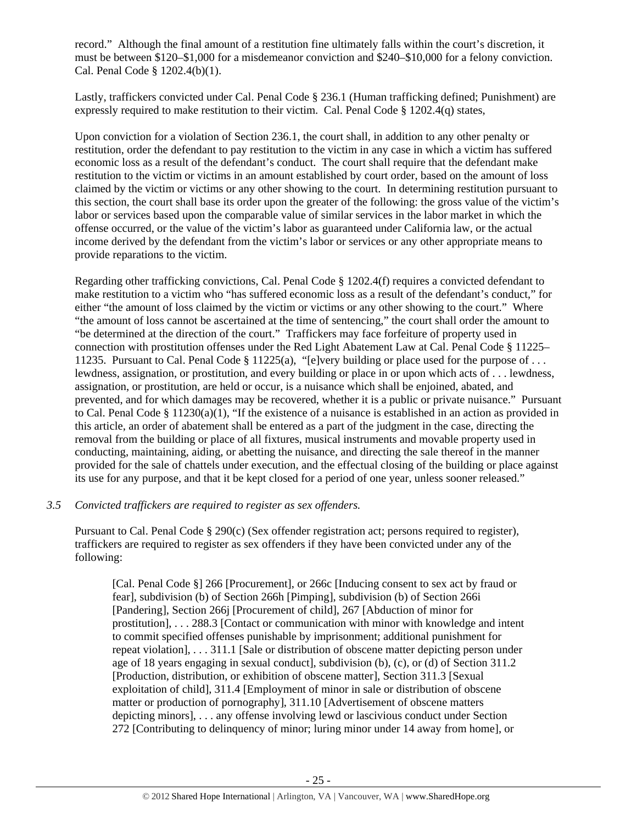record." Although the final amount of a restitution fine ultimately falls within the court's discretion, it must be between \$120–\$1,000 for a misdemeanor conviction and \$240–\$10,000 for a felony conviction. Cal. Penal Code § 1202.4(b)(1).

Lastly, traffickers convicted under Cal. Penal Code § 236.1 (Human trafficking defined; Punishment) are expressly required to make restitution to their victim. Cal. Penal Code § 1202.4(q) states,

Upon conviction for a violation of Section 236.1, the court shall, in addition to any other penalty or restitution, order the defendant to pay restitution to the victim in any case in which a victim has suffered economic loss as a result of the defendant's conduct. The court shall require that the defendant make restitution to the victim or victims in an amount established by court order, based on the amount of loss claimed by the victim or victims or any other showing to the court. In determining restitution pursuant to this section, the court shall base its order upon the greater of the following: the gross value of the victim's labor or services based upon the comparable value of similar services in the labor market in which the offense occurred, or the value of the victim's labor as guaranteed under California law, or the actual income derived by the defendant from the victim's labor or services or any other appropriate means to provide reparations to the victim.

Regarding other trafficking convictions, Cal. Penal Code § 1202.4(f) requires a convicted defendant to make restitution to a victim who "has suffered economic loss as a result of the defendant's conduct," for either "the amount of loss claimed by the victim or victims or any other showing to the court." Where "the amount of loss cannot be ascertained at the time of sentencing," the court shall order the amount to "be determined at the direction of the court." Traffickers may face forfeiture of property used in connection with prostitution offenses under the Red Light Abatement Law at Cal. Penal Code § 11225– 11235. Pursuant to Cal. Penal Code § 11225(a), "[e]very building or place used for the purpose of . . . lewdness, assignation, or prostitution, and every building or place in or upon which acts of . . . lewdness, assignation, or prostitution, are held or occur, is a nuisance which shall be enjoined, abated, and prevented, and for which damages may be recovered, whether it is a public or private nuisance." Pursuant to Cal. Penal Code § 11230(a)(1), "If the existence of a nuisance is established in an action as provided in this article, an order of abatement shall be entered as a part of the judgment in the case, directing the removal from the building or place of all fixtures, musical instruments and movable property used in conducting, maintaining, aiding, or abetting the nuisance, and directing the sale thereof in the manner provided for the sale of chattels under execution, and the effectual closing of the building or place against its use for any purpose, and that it be kept closed for a period of one year, unless sooner released."

# *3.5 Convicted traffickers are required to register as sex offenders.*

Pursuant to Cal. Penal Code § 290(c) (Sex offender registration act; persons required to register), traffickers are required to register as sex offenders if they have been convicted under any of the following:

[Cal. Penal Code §] 266 [Procurement], or 266c [Inducing consent to sex act by fraud or fear], subdivision (b) of Section 266h [Pimping], subdivision (b) of Section 266i [Pandering], Section 266j [Procurement of child], 267 [Abduction of minor for prostitution], . . . 288.3 [Contact or communication with minor with knowledge and intent to commit specified offenses punishable by imprisonment; additional punishment for repeat violation], . . . 311.1 [Sale or distribution of obscene matter depicting person under age of 18 years engaging in sexual conduct], subdivision (b), (c), or (d) of Section 311.2 [Production, distribution, or exhibition of obscene matter], Section 311.3 [Sexual exploitation of child], 311.4 [Employment of minor in sale or distribution of obscene matter or production of pornography], 311.10 [Advertisement of obscene matters depicting minors], . . . any offense involving lewd or lascivious conduct under Section 272 [Contributing to delinquency of minor; luring minor under 14 away from home], or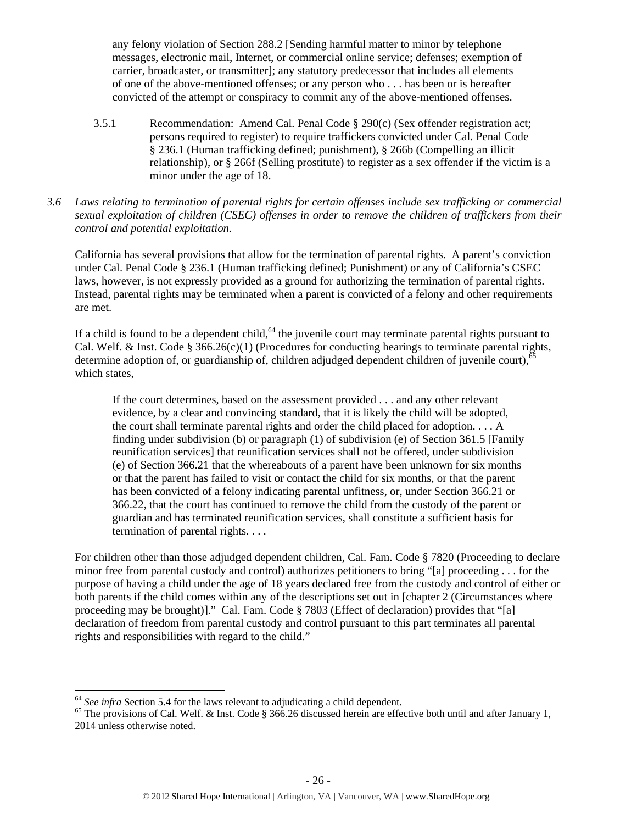any felony violation of Section 288.2 [Sending harmful matter to minor by telephone messages, electronic mail, Internet, or commercial online service; defenses; exemption of carrier, broadcaster, or transmitter]; any statutory predecessor that includes all elements of one of the above-mentioned offenses; or any person who . . . has been or is hereafter convicted of the attempt or conspiracy to commit any of the above-mentioned offenses.

- 3.5.1 Recommendation: Amend Cal. Penal Code § 290(c) (Sex offender registration act; persons required to register) to require traffickers convicted under Cal. Penal Code § 236.1 (Human trafficking defined; punishment), § 266b (Compelling an illicit relationship), or § 266f (Selling prostitute) to register as a sex offender if the victim is a minor under the age of 18.
- *3.6 Laws relating to termination of parental rights for certain offenses include sex trafficking or commercial sexual exploitation of children (CSEC) offenses in order to remove the children of traffickers from their control and potential exploitation.*

California has several provisions that allow for the termination of parental rights. A parent's conviction under Cal. Penal Code § 236.1 (Human trafficking defined; Punishment) or any of California's CSEC laws, however, is not expressly provided as a ground for authorizing the termination of parental rights. Instead, parental rights may be terminated when a parent is convicted of a felony and other requirements are met.

If a child is found to be a dependent child, $64$  the juvenile court may terminate parental rights pursuant to Cal. Welf. & Inst. Code §  $366.26(c)(1)$  (Procedures for conducting hearings to terminate parental rights, determine adoption of, or guardianship of, children adjudged dependent children of juvenile court),<sup>65</sup> which states,

If the court determines, based on the assessment provided . . . and any other relevant evidence, by a clear and convincing standard, that it is likely the child will be adopted, the court shall terminate parental rights and order the child placed for adoption. . . . A finding under subdivision (b) or paragraph (1) of subdivision (e) of Section 361.5 [Family reunification services] that reunification services shall not be offered, under subdivision (e) of Section 366.21 that the whereabouts of a parent have been unknown for six months or that the parent has failed to visit or contact the child for six months, or that the parent has been convicted of a felony indicating parental unfitness, or, under Section 366.21 or 366.22, that the court has continued to remove the child from the custody of the parent or guardian and has terminated reunification services, shall constitute a sufficient basis for termination of parental rights. . . .

For children other than those adjudged dependent children, Cal. Fam. Code § 7820 (Proceeding to declare minor free from parental custody and control) authorizes petitioners to bring "[a] proceeding . . . for the purpose of having a child under the age of 18 years declared free from the custody and control of either or both parents if the child comes within any of the descriptions set out in [chapter 2 (Circumstances where proceeding may be brought)]." Cal. Fam. Code § 7803 (Effect of declaration) provides that "[a] declaration of freedom from parental custody and control pursuant to this part terminates all parental rights and responsibilities with regard to the child."

<sup>&</sup>lt;sup>64</sup> See infra Section 5.4 for the laws relevant to adjudicating a child dependent.<br><sup>65</sup> The provisions of Cal. Welf. & Inst. Code § 366.26 discussed herein are effective both until and after January 1, 2014 unless otherwise noted.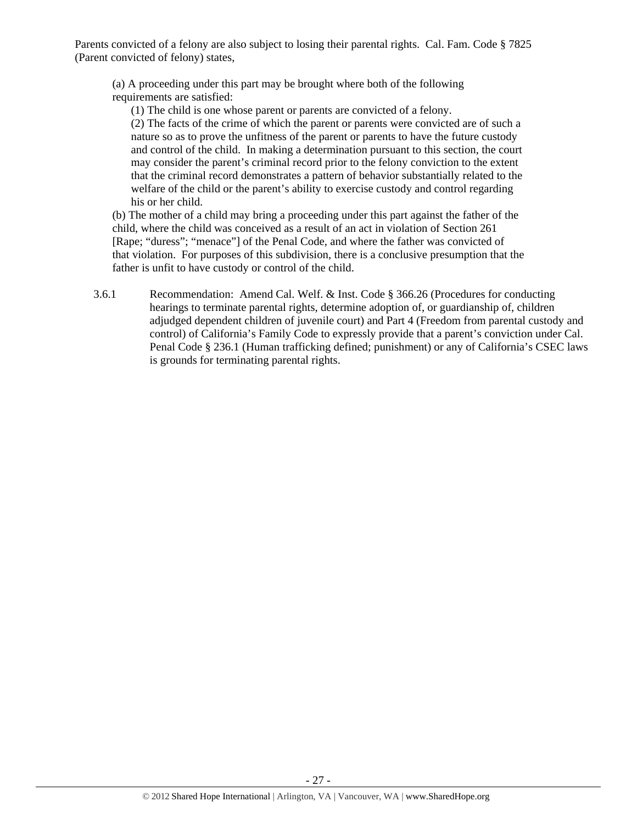Parents convicted of a felony are also subject to losing their parental rights. Cal. Fam. Code § 7825 (Parent convicted of felony) states,

(a) A proceeding under this part may be brought where both of the following requirements are satisfied:

(1) The child is one whose parent or parents are convicted of a felony.

(2) The facts of the crime of which the parent or parents were convicted are of such a nature so as to prove the unfitness of the parent or parents to have the future custody and control of the child. In making a determination pursuant to this section, the court may consider the parent's criminal record prior to the felony conviction to the extent that the criminal record demonstrates a pattern of behavior substantially related to the welfare of the child or the parent's ability to exercise custody and control regarding his or her child.

(b) The mother of a child may bring a proceeding under this part against the father of the child, where the child was conceived as a result of an act in violation of Section 261 [Rape; "duress"; "menace"] of the Penal Code, and where the father was convicted of that violation. For purposes of this subdivision, there is a conclusive presumption that the father is unfit to have custody or control of the child.

3.6.1 Recommendation: Amend Cal. Welf. & Inst. Code § 366.26 (Procedures for conducting hearings to terminate parental rights, determine adoption of, or guardianship of, children adjudged dependent children of juvenile court) and Part 4 (Freedom from parental custody and control) of California's Family Code to expressly provide that a parent's conviction under Cal. Penal Code § 236.1 (Human trafficking defined; punishment) or any of California's CSEC laws is grounds for terminating parental rights.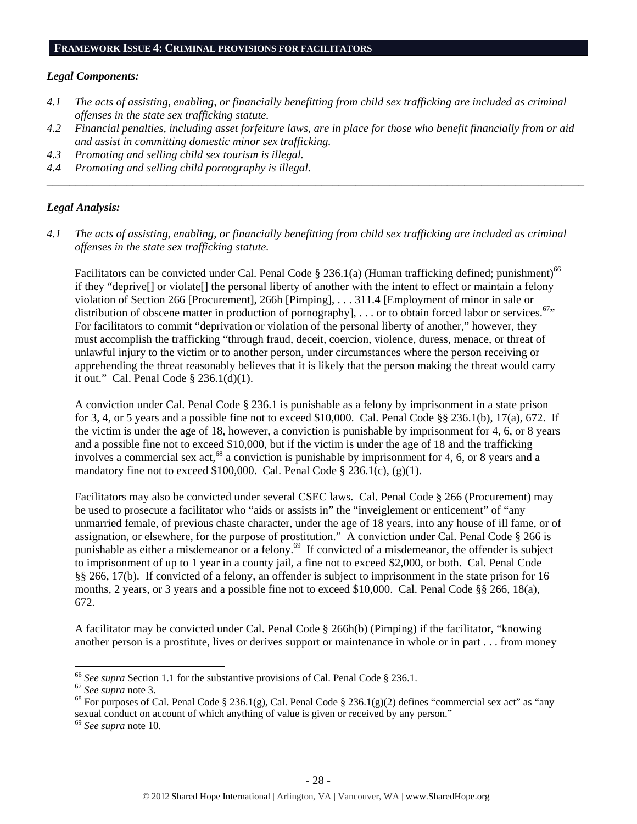### *Legal Components:*

- *4.1 The acts of assisting, enabling, or financially benefitting from child sex trafficking are included as criminal offenses in the state sex trafficking statute.*
- *4.2 Financial penalties, including asset forfeiture laws, are in place for those who benefit financially from or aid and assist in committing domestic minor sex trafficking.*

*\_\_\_\_\_\_\_\_\_\_\_\_\_\_\_\_\_\_\_\_\_\_\_\_\_\_\_\_\_\_\_\_\_\_\_\_\_\_\_\_\_\_\_\_\_\_\_\_\_\_\_\_\_\_\_\_\_\_\_\_\_\_\_\_\_\_\_\_\_\_\_\_\_\_\_\_\_\_\_\_\_\_\_\_\_\_\_\_\_\_\_\_\_\_* 

- *4.3 Promoting and selling child sex tourism is illegal.*
- *4.4 Promoting and selling child pornography is illegal.*

## *Legal Analysis:*

*4.1 The acts of assisting, enabling, or financially benefitting from child sex trafficking are included as criminal offenses in the state sex trafficking statute.* 

Facilitators can be convicted under Cal. Penal Code  $\S 236.1(a)$  (Human trafficking defined; punishment)<sup>66</sup> if they "deprive[] or violate[] the personal liberty of another with the intent to effect or maintain a felony violation of Section 266 [Procurement], 266h [Pimping], . . . 311.4 [Employment of minor in sale or distribution of obscene matter in production of pornography], ... or to obtain forced labor or services.<sup>67</sup>" For facilitators to commit "deprivation or violation of the personal liberty of another," however, they must accomplish the trafficking "through fraud, deceit, coercion, violence, duress, menace, or threat of unlawful injury to the victim or to another person, under circumstances where the person receiving or apprehending the threat reasonably believes that it is likely that the person making the threat would carry it out." Cal. Penal Code § 236.1(d)(1).

A conviction under Cal. Penal Code § 236.1 is punishable as a felony by imprisonment in a state prison for 3, 4, or 5 years and a possible fine not to exceed \$10,000. Cal. Penal Code §§ 236.1(b), 17(a), 672. If the victim is under the age of 18, however, a conviction is punishable by imprisonment for 4, 6, or 8 years and a possible fine not to exceed \$10,000, but if the victim is under the age of 18 and the trafficking involves a commercial sex act,<sup>68</sup> a conviction is punishable by imprisonment for 4, 6, or 8 years and a mandatory fine not to exceed \$100,000. Cal. Penal Code  $\S 236.1(c)$ , (g)(1).

Facilitators may also be convicted under several CSEC laws. Cal. Penal Code § 266 (Procurement) may be used to prosecute a facilitator who "aids or assists in" the "inveiglement or enticement" of "any unmarried female, of previous chaste character, under the age of 18 years, into any house of ill fame, or of assignation, or elsewhere, for the purpose of prostitution." A conviction under Cal. Penal Code § 266 is punishable as either a misdemeanor or a felony.69 If convicted of a misdemeanor, the offender is subject to imprisonment of up to 1 year in a county jail, a fine not to exceed \$2,000, or both. Cal. Penal Code §§ 266, 17(b). If convicted of a felony, an offender is subject to imprisonment in the state prison for 16 months, 2 years, or 3 years and a possible fine not to exceed \$10,000. Cal. Penal Code §§ 266, 18(a), 672.

A facilitator may be convicted under Cal. Penal Code § 266h(b) (Pimping) if the facilitator, "knowing another person is a prostitute, lives or derives support or maintenance in whole or in part . . . from money

<sup>&</sup>lt;sup>66</sup> See supra Section 1.1 for the substantive provisions of Cal. Penal Code § 236.1.

<sup>&</sup>lt;sup>67</sup> See supra note 3.<br><sup>68</sup> For purposes of Cal. Penal Code § 236.1(g), Cal. Penal Code § 236.1(g)(2) defines "commercial sex act" as "any sexual conduct on account of which anything of value is given or received by any person." 69 *See supra* note 10.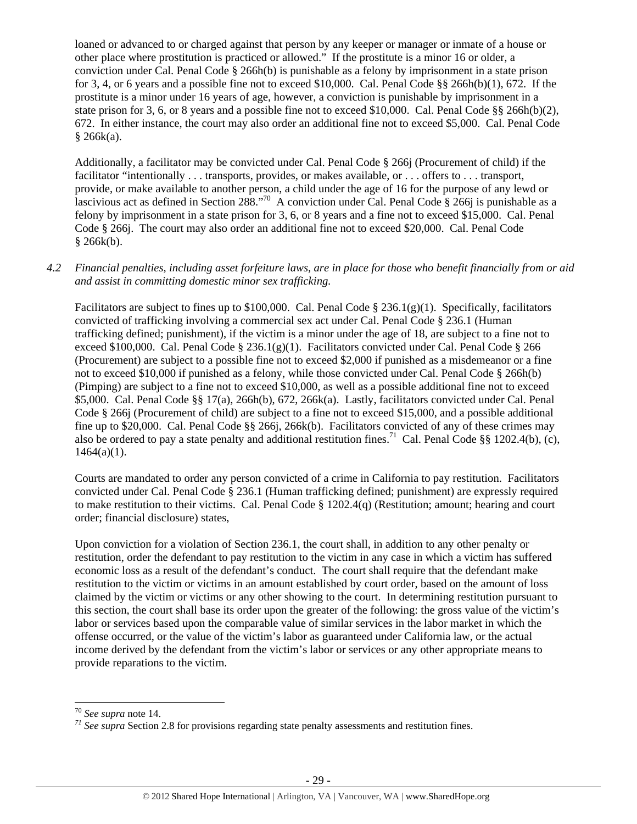loaned or advanced to or charged against that person by any keeper or manager or inmate of a house or other place where prostitution is practiced or allowed." If the prostitute is a minor 16 or older, a conviction under Cal. Penal Code § 266h(b) is punishable as a felony by imprisonment in a state prison for 3, 4, or 6 years and a possible fine not to exceed  $$10,000$ . Cal. Penal Code  $\S$ § 266h(b)(1), 672. If the prostitute is a minor under 16 years of age, however, a conviction is punishable by imprisonment in a state prison for 3, 6, or 8 years and a possible fine not to exceed \$10,000. Cal. Penal Code §§ 266h(b)(2), 672. In either instance, the court may also order an additional fine not to exceed \$5,000. Cal. Penal Code  $§ 266k(a).$ 

Additionally, a facilitator may be convicted under Cal. Penal Code § 266j (Procurement of child) if the facilitator "intentionally . . . transports, provides, or makes available, or . . . offers to . . . transport, provide, or make available to another person, a child under the age of 16 for the purpose of any lewd or lascivious act as defined in Section 288."<sup>70</sup> A conviction under Cal. Penal Code  $\hat{\S}$  266j is punishable as a felony by imprisonment in a state prison for 3, 6, or 8 years and a fine not to exceed \$15,000. Cal. Penal Code § 266j. The court may also order an additional fine not to exceed \$20,000. Cal. Penal Code  $§$  266 $k(b)$ .

# *4.2 Financial penalties, including asset forfeiture laws, are in place for those who benefit financially from or aid and assist in committing domestic minor sex trafficking.*

Facilitators are subject to fines up to \$100,000. Cal. Penal Code § 236.1(g)(1). Specifically, facilitators convicted of trafficking involving a commercial sex act under Cal. Penal Code § 236.1 (Human trafficking defined; punishment), if the victim is a minor under the age of 18, are subject to a fine not to exceed \$100,000. Cal. Penal Code § 236.1(g)(1). Facilitators convicted under Cal. Penal Code § 266 (Procurement) are subject to a possible fine not to exceed \$2,000 if punished as a misdemeanor or a fine not to exceed \$10,000 if punished as a felony, while those convicted under Cal. Penal Code § 266h(b) (Pimping) are subject to a fine not to exceed \$10,000, as well as a possible additional fine not to exceed \$5,000. Cal. Penal Code §§ 17(a), 266h(b), 672, 266k(a). Lastly, facilitators convicted under Cal. Penal Code § 266j (Procurement of child) are subject to a fine not to exceed \$15,000, and a possible additional fine up to \$20,000. Cal. Penal Code §§ 266j, 266k(b). Facilitators convicted of any of these crimes may also be ordered to pay a state penalty and additional restitution fines.<sup>71</sup> Cal. Penal Code §§ 1202.4(b), (c),  $1464(a)(1)$ .

Courts are mandated to order any person convicted of a crime in California to pay restitution. Facilitators convicted under Cal. Penal Code § 236.1 (Human trafficking defined; punishment) are expressly required to make restitution to their victims. Cal. Penal Code § 1202.4(q) (Restitution; amount; hearing and court order; financial disclosure) states,

Upon conviction for a violation of Section 236.1, the court shall, in addition to any other penalty or restitution, order the defendant to pay restitution to the victim in any case in which a victim has suffered economic loss as a result of the defendant's conduct. The court shall require that the defendant make restitution to the victim or victims in an amount established by court order, based on the amount of loss claimed by the victim or victims or any other showing to the court. In determining restitution pursuant to this section, the court shall base its order upon the greater of the following: the gross value of the victim's labor or services based upon the comparable value of similar services in the labor market in which the offense occurred, or the value of the victim's labor as guaranteed under California law, or the actual income derived by the defendant from the victim's labor or services or any other appropriate means to provide reparations to the victim.

<sup>70</sup> *See supra* note 14. *<sup>71</sup> See supra* Section 2.8 for provisions regarding state penalty assessments and restitution fines.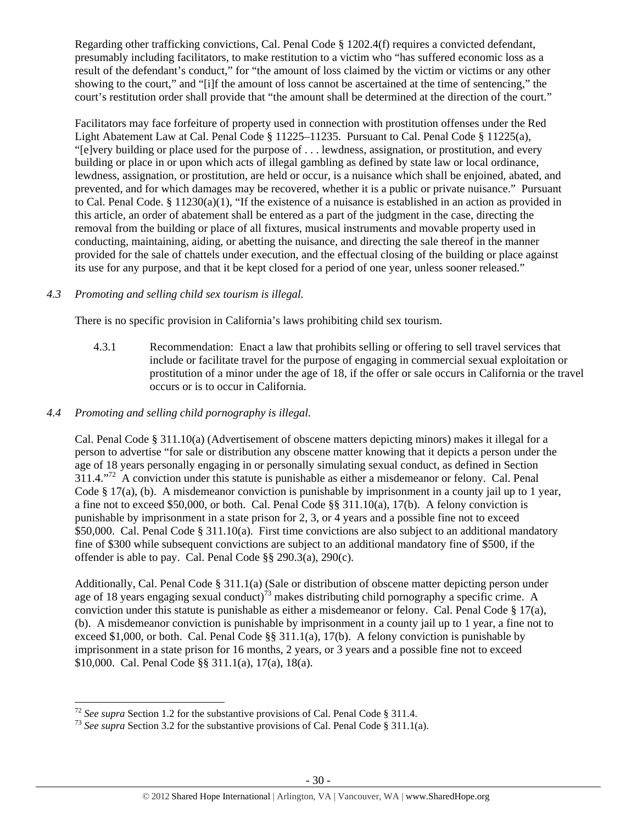Regarding other trafficking convictions, Cal. Penal Code § 1202.4(f) requires a convicted defendant, presumably including facilitators, to make restitution to a victim who "has suffered economic loss as a result of the defendant's conduct," for "the amount of loss claimed by the victim or victims or any other showing to the court," and "[i]f the amount of loss cannot be ascertained at the time of sentencing," the court's restitution order shall provide that "the amount shall be determined at the direction of the court."

Facilitators may face forfeiture of property used in connection with prostitution offenses under the Red Light Abatement Law at Cal. Penal Code § 11225–11235. Pursuant to Cal. Penal Code § 11225(a), "[e]very building or place used for the purpose of . . . lewdness, assignation, or prostitution, and every building or place in or upon which acts of illegal gambling as defined by state law or local ordinance, lewdness, assignation, or prostitution, are held or occur, is a nuisance which shall be enjoined, abated, and prevented, and for which damages may be recovered, whether it is a public or private nuisance." Pursuant to Cal. Penal Code. § 11230(a)(1), "If the existence of a nuisance is established in an action as provided in this article, an order of abatement shall be entered as a part of the judgment in the case, directing the removal from the building or place of all fixtures, musical instruments and movable property used in conducting, maintaining, aiding, or abetting the nuisance, and directing the sale thereof in the manner provided for the sale of chattels under execution, and the effectual closing of the building or place against its use for any purpose, and that it be kept closed for a period of one year, unless sooner released."

# *4.3 Promoting and selling child sex tourism is illegal.*

There is no specific provision in California's laws prohibiting child sex tourism.

4.3.1 Recommendation: Enact a law that prohibits selling or offering to sell travel services that include or facilitate travel for the purpose of engaging in commercial sexual exploitation or prostitution of a minor under the age of 18, if the offer or sale occurs in California or the travel occurs or is to occur in California.

# *4.4 Promoting and selling child pornography is illegal.*

Cal. Penal Code § 311.10(a) (Advertisement of obscene matters depicting minors) makes it illegal for a person to advertise "for sale or distribution any obscene matter knowing that it depicts a person under the age of 18 years personally engaging in or personally simulating sexual conduct, as defined in Section 311.4."72 A conviction under this statute is punishable as either a misdemeanor or felony. Cal. Penal Code § 17(a), (b). A misdemeanor conviction is punishable by imprisonment in a county jail up to 1 year, a fine not to exceed \$50,000, or both. Cal. Penal Code §§ 311.10(a), 17(b). A felony conviction is punishable by imprisonment in a state prison for 2, 3, or 4 years and a possible fine not to exceed \$50,000. Cal. Penal Code § 311.10(a). First time convictions are also subject to an additional mandatory fine of \$300 while subsequent convictions are subject to an additional mandatory fine of \$500, if the offender is able to pay. Cal. Penal Code §§ 290.3(a), 290(c).

Additionally, Cal. Penal Code § 311.1(a) (Sale or distribution of obscene matter depicting person under age of 18 years engaging sexual conduct)<sup>73</sup> makes distributing child pornography a specific crime. A conviction under this statute is punishable as either a misdemeanor or felony. Cal. Penal Code  $\S 17(a)$ , (b). A misdemeanor conviction is punishable by imprisonment in a county jail up to 1 year, a fine not to exceed \$1,000, or both. Cal. Penal Code §§ 311.1(a), 17(b). A felony conviction is punishable by imprisonment in a state prison for 16 months, 2 years, or 3 years and a possible fine not to exceed \$10,000. Cal. Penal Code §§ 311.1(a), 17(a), 18(a).

<sup>&</sup>lt;sup>72</sup> See supra Section 1.2 for the substantive provisions of Cal. Penal Code § 311.4.

<sup>&</sup>lt;sup>73</sup> *See supra* Section 3.2 for the substantive provisions of Cal. Penal Code § 311.1(a).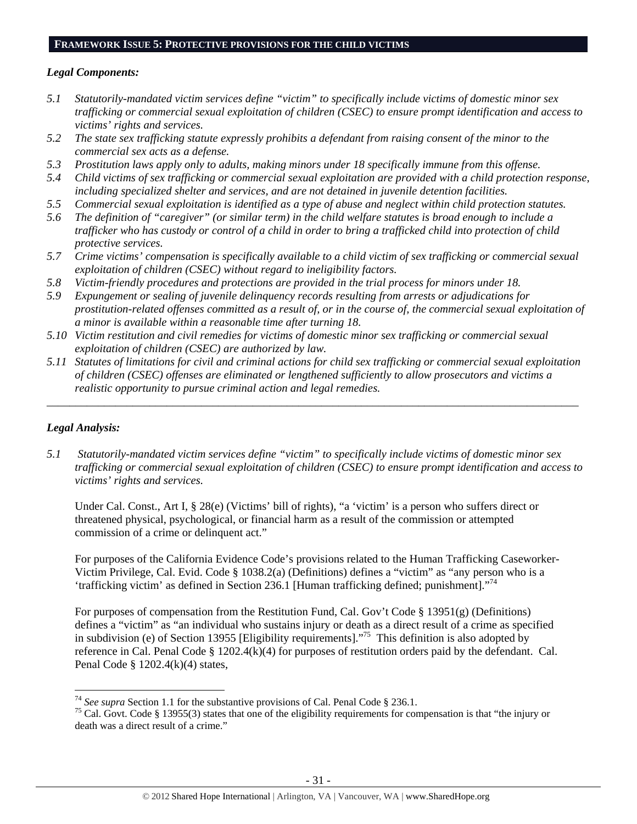### **FRAMEWORK ISSUE 5: PROTECTIVE PROVISIONS FOR THE CHILD VICTIMS**

# *Legal Components:*

- *5.1 Statutorily-mandated victim services define "victim" to specifically include victims of domestic minor sex trafficking or commercial sexual exploitation of children (CSEC) to ensure prompt identification and access to victims' rights and services.*
- *5.2 The state sex trafficking statute expressly prohibits a defendant from raising consent of the minor to the commercial sex acts as a defense.*
- *5.3 Prostitution laws apply only to adults, making minors under 18 specifically immune from this offense.*
- *5.4 Child victims of sex trafficking or commercial sexual exploitation are provided with a child protection response, including specialized shelter and services, and are not detained in juvenile detention facilities.*
- *5.5 Commercial sexual exploitation is identified as a type of abuse and neglect within child protection statutes.*
- *5.6 The definition of "caregiver" (or similar term) in the child welfare statutes is broad enough to include a trafficker who has custody or control of a child in order to bring a trafficked child into protection of child protective services.*
- *5.7 Crime victims' compensation is specifically available to a child victim of sex trafficking or commercial sexual exploitation of children (CSEC) without regard to ineligibility factors.*
- *5.8 Victim-friendly procedures and protections are provided in the trial process for minors under 18.*
- *5.9 Expungement or sealing of juvenile delinquency records resulting from arrests or adjudications for prostitution-related offenses committed as a result of, or in the course of, the commercial sexual exploitation of a minor is available within a reasonable time after turning 18.*
- *5.10 Victim restitution and civil remedies for victims of domestic minor sex trafficking or commercial sexual exploitation of children (CSEC) are authorized by law.*
- *5.11 Statutes of limitations for civil and criminal actions for child sex trafficking or commercial sexual exploitation of children (CSEC) offenses are eliminated or lengthened sufficiently to allow prosecutors and victims a realistic opportunity to pursue criminal action and legal remedies.*

*\_\_\_\_\_\_\_\_\_\_\_\_\_\_\_\_\_\_\_\_\_\_\_\_\_\_\_\_\_\_\_\_\_\_\_\_\_\_\_\_\_\_\_\_\_\_\_\_\_\_\_\_\_\_\_\_\_\_\_\_\_\_\_\_\_\_\_\_\_\_\_\_\_\_\_\_\_\_\_\_\_\_\_\_\_\_\_\_\_\_\_\_\_* 

# *Legal Analysis:*

*5.1 Statutorily-mandated victim services define "victim" to specifically include victims of domestic minor sex trafficking or commercial sexual exploitation of children (CSEC) to ensure prompt identification and access to victims' rights and services.* 

Under Cal. Const., Art I, § 28(e) (Victims' bill of rights), "a 'victim' is a person who suffers direct or threatened physical, psychological, or financial harm as a result of the commission or attempted commission of a crime or delinquent act."

For purposes of the California Evidence Code's provisions related to the Human Trafficking Caseworker-Victim Privilege, Cal. Evid. Code § 1038.2(a) (Definitions) defines a "victim" as "any person who is a 'trafficking victim' as defined in Section 236.1 [Human trafficking defined; punishment]."74

For purposes of compensation from the Restitution Fund, Cal. Gov't Code § 13951(g) (Definitions) defines a "victim" as "an individual who sustains injury or death as a direct result of a crime as specified in subdivision (e) of Section 13955 [Eligibility requirements]."75 This definition is also adopted by reference in Cal. Penal Code § 1202.4(k)(4) for purposes of restitution orders paid by the defendant. Cal. Penal Code § 1202.4(k)(4) states,

<sup>&</sup>lt;sup>74</sup> See supra Section 1.1 for the substantive provisions of Cal. Penal Code § 236.1.

<sup>&</sup>lt;sup>75</sup> Cal. Govt. Code § 13955(3) states that one of the eligibility requirements for compensation is that "the injury or death was a direct result of a crime."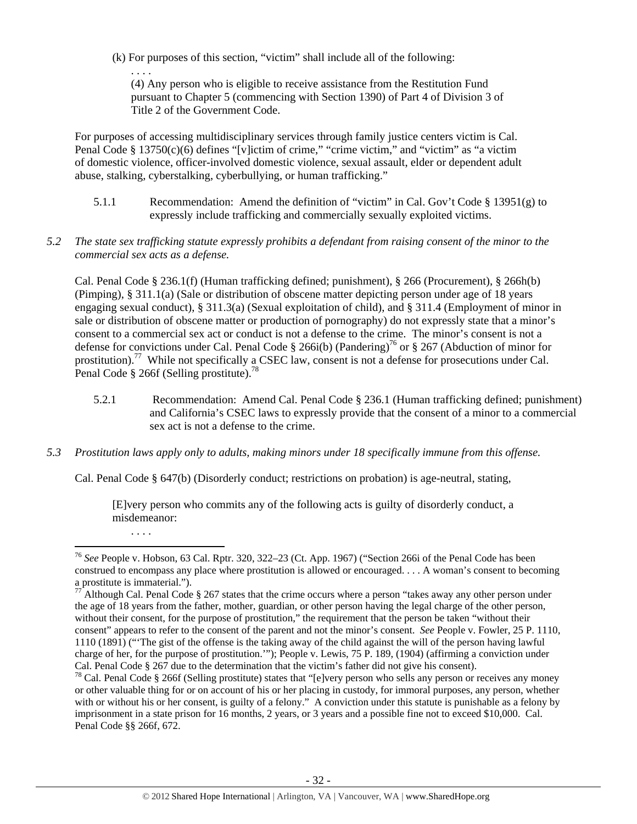(k) For purposes of this section, "victim" shall include all of the following:

(4) Any person who is eligible to receive assistance from the Restitution Fund pursuant to Chapter 5 (commencing with Section 1390) of Part 4 of Division 3 of Title 2 of the Government Code.

For purposes of accessing multidisciplinary services through family justice centers victim is Cal. Penal Code  $\S 13750(c)(6)$  defines "[v]ictim of crime," "crime victim," and "victim" as "a victim" of domestic violence, officer-involved domestic violence, sexual assault, elder or dependent adult abuse, stalking, cyberstalking, cyberbullying, or human trafficking."

- 5.1.1 Recommendation: Amend the definition of "victim" in Cal. Gov't Code § 13951(g) to expressly include trafficking and commercially sexually exploited victims.
- *5.2 The state sex trafficking statute expressly prohibits a defendant from raising consent of the minor to the commercial sex acts as a defense.*

Cal. Penal Code § 236.1(f) (Human trafficking defined; punishment), § 266 (Procurement), § 266h(b) (Pimping), § 311.1(a) (Sale or distribution of obscene matter depicting person under age of 18 years engaging sexual conduct), § 311.3(a) (Sexual exploitation of child), and § 311.4 (Employment of minor in sale or distribution of obscene matter or production of pornography) do not expressly state that a minor's consent to a commercial sex act or conduct is not a defense to the crime. The minor's consent is not a defense for convictions under Cal. Penal Code § 266i(b) (Pandering)<sup>76</sup> or § 267 (Abduction of minor for prostitution).77 While not specifically a CSEC law, consent is not a defense for prosecutions under Cal. Penal Code § 266f (Selling prostitute).<sup>78</sup>

- 5.2.1 Recommendation: Amend Cal. Penal Code § 236.1 (Human trafficking defined; punishment) and California's CSEC laws to expressly provide that the consent of a minor to a commercial sex act is not a defense to the crime.
- *5.3 Prostitution laws apply only to adults, making minors under 18 specifically immune from this offense.*

Cal. Penal Code § 647(b) (Disorderly conduct; restrictions on probation) is age-neutral, stating,

[E]very person who commits any of the following acts is guilty of disorderly conduct, a misdemeanor:

. . . .

<sup>. . . .</sup> 

 <sup>76</sup> *See* People v. Hobson, 63 Cal. Rptr. 320, 322–23 (Ct. App. 1967) ("Section 266i of the Penal Code has been construed to encompass any place where prostitution is allowed or encouraged. . . . A woman's consent to becoming a prostitute is immaterial.").

Although Cal. Penal Code § 267 states that the crime occurs where a person "takes away any other person under the age of 18 years from the father, mother, guardian, or other person having the legal charge of the other person, without their consent, for the purpose of prostitution," the requirement that the person be taken "without their consent" appears to refer to the consent of the parent and not the minor's consent. *See* People v. Fowler, 25 P. 1110, 1110 (1891) ("'The gist of the offense is the taking away of the child against the will of the person having lawful charge of her, for the purpose of prostitution.'"); People v. Lewis, 75 P. 189, (1904) (affirming a conviction under Cal. Penal Code § 267 due to the determination that the victim's father did not give his consent).

 $78$  Cal. Penal Code § 266f (Selling prostitute) states that "[e]very person who sells any person or receives any money or other valuable thing for or on account of his or her placing in custody, for immoral purposes, any person, whether with or without his or her consent, is guilty of a felony." A conviction under this statute is punishable as a felony by imprisonment in a state prison for 16 months, 2 years, or 3 years and a possible fine not to exceed \$10,000. Cal. Penal Code §§ 266f, 672.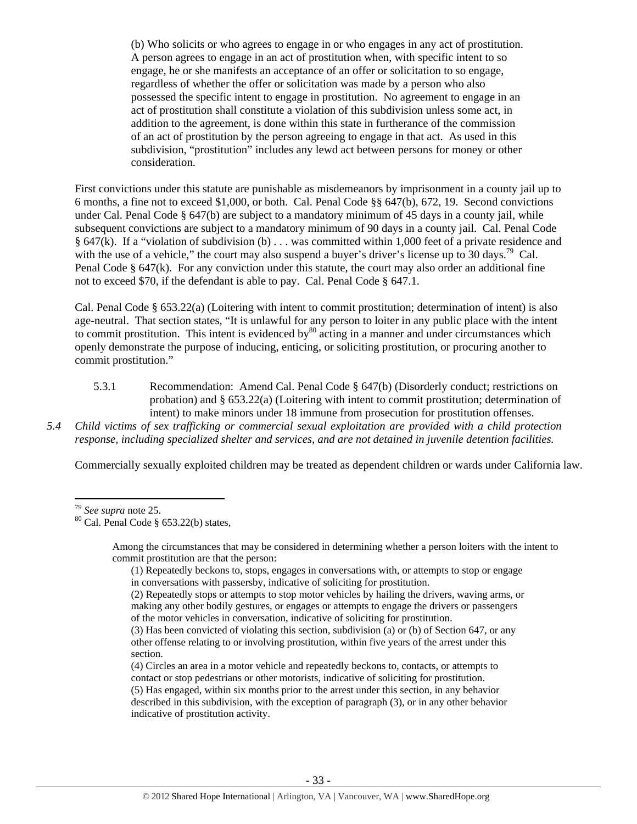(b) Who solicits or who agrees to engage in or who engages in any act of prostitution. A person agrees to engage in an act of prostitution when, with specific intent to so engage, he or she manifests an acceptance of an offer or solicitation to so engage, regardless of whether the offer or solicitation was made by a person who also possessed the specific intent to engage in prostitution. No agreement to engage in an act of prostitution shall constitute a violation of this subdivision unless some act, in addition to the agreement, is done within this state in furtherance of the commission of an act of prostitution by the person agreeing to engage in that act. As used in this subdivision, "prostitution" includes any lewd act between persons for money or other consideration.

First convictions under this statute are punishable as misdemeanors by imprisonment in a county jail up to 6 months, a fine not to exceed \$1,000, or both. Cal. Penal Code §§ 647(b), 672, 19. Second convictions under Cal. Penal Code § 647(b) are subject to a mandatory minimum of 45 days in a county jail, while subsequent convictions are subject to a mandatory minimum of 90 days in a county jail. Cal. Penal Code § 647(k). If a "violation of subdivision (b) . . . was committed within 1,000 feet of a private residence and with the use of a vehicle," the court may also suspend a buyer's driver's license up to  $30 \text{ days}$ .<sup>79</sup> Cal. Penal Code § 647(k). For any conviction under this statute, the court may also order an additional fine not to exceed \$70, if the defendant is able to pay. Cal. Penal Code § 647.1.

Cal. Penal Code § 653.22(a) (Loitering with intent to commit prostitution; determination of intent) is also age-neutral. That section states, "It is unlawful for any person to loiter in any public place with the intent to commit prostitution. This intent is evidenced by $80$  acting in a manner and under circumstances which openly demonstrate the purpose of inducing, enticing, or soliciting prostitution, or procuring another to commit prostitution."

- 5.3.1 Recommendation: Amend Cal. Penal Code § 647(b) (Disorderly conduct; restrictions on probation) and § 653.22(a) (Loitering with intent to commit prostitution; determination of intent) to make minors under 18 immune from prosecution for prostitution offenses.
- *5.4 Child victims of sex trafficking or commercial sexual exploitation are provided with a child protection response, including specialized shelter and services, and are not detained in juvenile detention facilities.*

Commercially sexually exploited children may be treated as dependent children or wards under California law.

Among the circumstances that may be considered in determining whether a person loiters with the intent to commit prostitution are that the person:

- (1) Repeatedly beckons to, stops, engages in conversations with, or attempts to stop or engage in conversations with passersby, indicative of soliciting for prostitution.
- (2) Repeatedly stops or attempts to stop motor vehicles by hailing the drivers, waving arms, or making any other bodily gestures, or engages or attempts to engage the drivers or passengers of the motor vehicles in conversation, indicative of soliciting for prostitution.

(4) Circles an area in a motor vehicle and repeatedly beckons to, contacts, or attempts to contact or stop pedestrians or other motorists, indicative of soliciting for prostitution.

<sup>&</sup>lt;sup>79</sup> *See supra* note 25.<br><sup>80</sup> Cal. Penal Code § 653.22(b) states,

<sup>(3)</sup> Has been convicted of violating this section, subdivision (a) or (b) of Section 647, or any other offense relating to or involving prostitution, within five years of the arrest under this section.

<sup>(5)</sup> Has engaged, within six months prior to the arrest under this section, in any behavior described in this subdivision, with the exception of paragraph (3), or in any other behavior indicative of prostitution activity.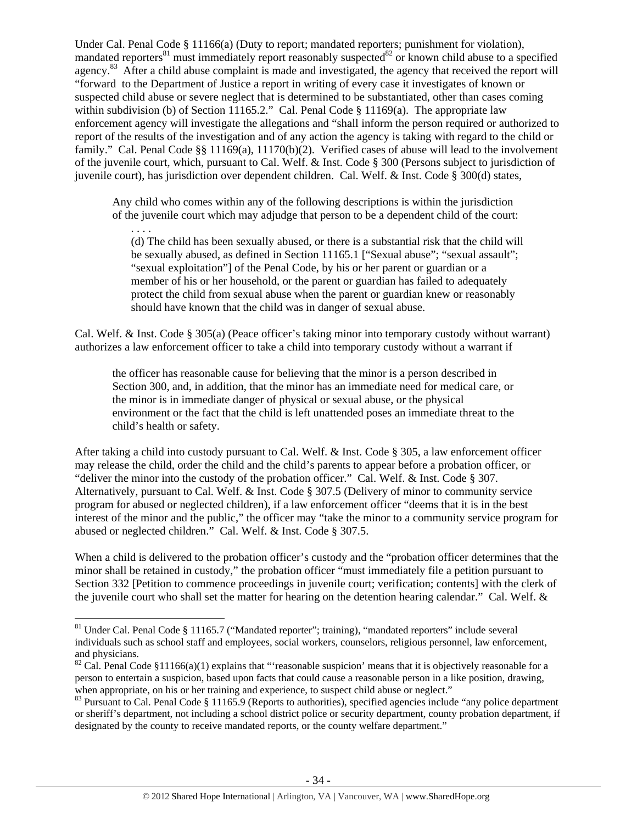Under Cal. Penal Code § 11166(a) (Duty to report; mandated reporters; punishment for violation), mandated reporters<sup>81</sup> must immediately report reasonably suspected<sup>82</sup> or known child abuse to a specified agency.<sup>83</sup> After a child abuse complaint is made and investigated, the agency that received the report will "forward to the Department of Justice a report in writing of every case it investigates of known or suspected child abuse or severe neglect that is determined to be substantiated, other than cases coming within subdivision (b) of Section 11165.2." Cal. Penal Code § 11169(a). The appropriate law enforcement agency will investigate the allegations and "shall inform the person required or authorized to report of the results of the investigation and of any action the agency is taking with regard to the child or family." Cal. Penal Code §§ 11169(a), 11170(b)(2). Verified cases of abuse will lead to the involvement of the juvenile court, which, pursuant to Cal. Welf. & Inst. Code § 300 (Persons subject to jurisdiction of juvenile court), has jurisdiction over dependent children. Cal. Welf. & Inst. Code § 300(d) states,

Any child who comes within any of the following descriptions is within the jurisdiction of the juvenile court which may adjudge that person to be a dependent child of the court:

. . . . (d) The child has been sexually abused, or there is a substantial risk that the child will be sexually abused, as defined in Section 11165.1 ["Sexual abuse"; "sexual assault"; "sexual exploitation"] of the Penal Code, by his or her parent or guardian or a member of his or her household, or the parent or guardian has failed to adequately protect the child from sexual abuse when the parent or guardian knew or reasonably should have known that the child was in danger of sexual abuse.

Cal. Welf. & Inst. Code § 305(a) (Peace officer's taking minor into temporary custody without warrant) authorizes a law enforcement officer to take a child into temporary custody without a warrant if

the officer has reasonable cause for believing that the minor is a person described in Section 300, and, in addition, that the minor has an immediate need for medical care, or the minor is in immediate danger of physical or sexual abuse, or the physical environment or the fact that the child is left unattended poses an immediate threat to the child's health or safety.

After taking a child into custody pursuant to Cal. Welf. & Inst. Code § 305, a law enforcement officer may release the child, order the child and the child's parents to appear before a probation officer, or "deliver the minor into the custody of the probation officer." Cal. Welf. & Inst. Code § 307. Alternatively, pursuant to Cal. Welf. & Inst. Code § 307.5 (Delivery of minor to community service program for abused or neglected children), if a law enforcement officer "deems that it is in the best interest of the minor and the public," the officer may "take the minor to a community service program for abused or neglected children." Cal. Welf. & Inst. Code § 307.5.

When a child is delivered to the probation officer's custody and the "probation officer determines that the minor shall be retained in custody," the probation officer "must immediately file a petition pursuant to Section 332 [Petition to commence proceedings in juvenile court; verification; contents] with the clerk of the juvenile court who shall set the matter for hearing on the detention hearing calendar." Cal. Welf. &

<sup>&</sup>lt;sup>81</sup> Under Cal. Penal Code § 11165.7 ("Mandated reporter"; training), "mandated reporters" include several individuals such as school staff and employees, social workers, counselors, religious personnel, law enforcement, and physicians.

<sup>&</sup>lt;sup>82</sup> Cal. Penal Code §11166(a)(1) explains that "reasonable suspicion' means that it is objectively reasonable for a person to entertain a suspicion, based upon facts that could cause a reasonable person in a like position, drawing, when appropriate, on his or her training and experience, to suspect child abuse or neglect."

<sup>&</sup>lt;sup>83</sup> Pursuant to Cal. Penal Code  $\S$  11165.9 (Reports to authorities), specified agencies include "any police department" or sheriff's department, not including a school district police or security department, county probation department, if designated by the county to receive mandated reports, or the county welfare department."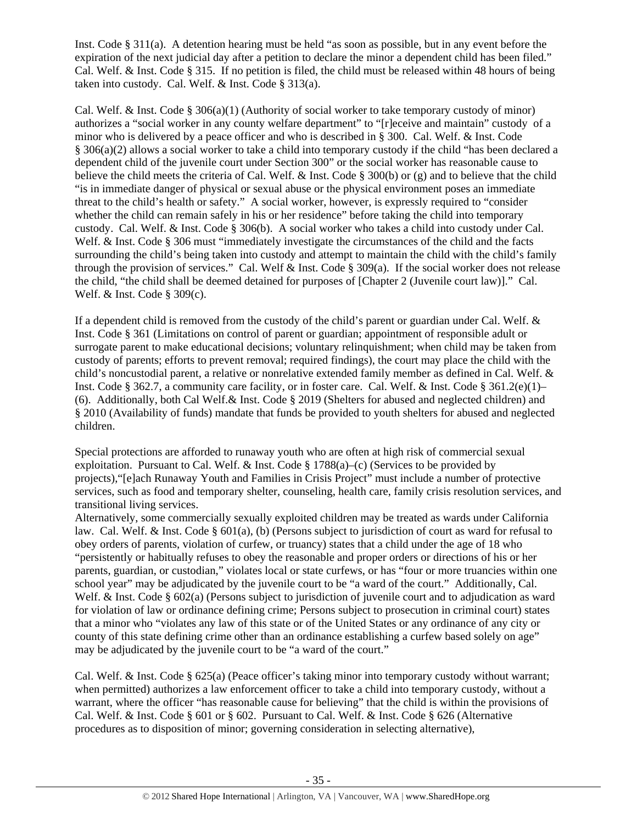Inst. Code § 311(a). A detention hearing must be held "as soon as possible, but in any event before the expiration of the next judicial day after a petition to declare the minor a dependent child has been filed." Cal. Welf. & Inst. Code § 315. If no petition is filed, the child must be released within 48 hours of being taken into custody. Cal. Welf. & Inst. Code § 313(a).

Cal. Welf. & Inst. Code  $\S 306(a)(1)$  (Authority of social worker to take temporary custody of minor) authorizes a "social worker in any county welfare department" to "[r]eceive and maintain" custody of a minor who is delivered by a peace officer and who is described in § 300. Cal. Welf. & Inst. Code § 306(a)(2) allows a social worker to take a child into temporary custody if the child "has been declared a dependent child of the juvenile court under Section 300" or the social worker has reasonable cause to believe the child meets the criteria of Cal. Welf.  $\&$  Inst. Code § 300(b) or (g) and to believe that the child "is in immediate danger of physical or sexual abuse or the physical environment poses an immediate threat to the child's health or safety." A social worker, however, is expressly required to "consider whether the child can remain safely in his or her residence" before taking the child into temporary custody. Cal. Welf. & Inst. Code § 306(b). A social worker who takes a child into custody under Cal. Welf. & Inst. Code § 306 must "immediately investigate the circumstances of the child and the facts surrounding the child's being taken into custody and attempt to maintain the child with the child's family through the provision of services." Cal. Welf & Inst. Code § 309(a). If the social worker does not release the child, "the child shall be deemed detained for purposes of [Chapter 2 (Juvenile court law)]." Cal. Welf. & Inst. Code § 309(c).

If a dependent child is removed from the custody of the child's parent or guardian under Cal. Welf. & Inst. Code § 361 (Limitations on control of parent or guardian; appointment of responsible adult or surrogate parent to make educational decisions; voluntary relinquishment; when child may be taken from custody of parents; efforts to prevent removal; required findings), the court may place the child with the child's noncustodial parent, a relative or nonrelative extended family member as defined in Cal. Welf. & Inst. Code § 362.7, a community care facility, or in foster care. Cal. Welf. & Inst. Code § 361.2(e)(1)– (6). Additionally, both Cal Welf.& Inst. Code § 2019 (Shelters for abused and neglected children) and § 2010 (Availability of funds) mandate that funds be provided to youth shelters for abused and neglected children.

Special protections are afforded to runaway youth who are often at high risk of commercial sexual exploitation. Pursuant to Cal. Welf. & Inst. Code  $\S 1788(a)$ –(c) (Services to be provided by projects),"[e]ach Runaway Youth and Families in Crisis Project" must include a number of protective services, such as food and temporary shelter, counseling, health care, family crisis resolution services, and transitional living services.

Alternatively, some commercially sexually exploited children may be treated as wards under California law. Cal. Welf. & Inst. Code § 601(a), (b) (Persons subject to jurisdiction of court as ward for refusal to obey orders of parents, violation of curfew, or truancy) states that a child under the age of 18 who "persistently or habitually refuses to obey the reasonable and proper orders or directions of his or her parents, guardian, or custodian," violates local or state curfews, or has "four or more truancies within one school year" may be adjudicated by the juvenile court to be "a ward of the court." Additionally, Cal. Welf. & Inst. Code § 602(a) (Persons subject to jurisdiction of juvenile court and to adjudication as ward for violation of law or ordinance defining crime; Persons subject to prosecution in criminal court) states that a minor who "violates any law of this state or of the United States or any ordinance of any city or county of this state defining crime other than an ordinance establishing a curfew based solely on age" may be adjudicated by the juvenile court to be "a ward of the court."

Cal. Welf. & Inst. Code § 625(a) (Peace officer's taking minor into temporary custody without warrant; when permitted) authorizes a law enforcement officer to take a child into temporary custody, without a warrant, where the officer "has reasonable cause for believing" that the child is within the provisions of Cal. Welf. & Inst. Code § 601 or § 602. Pursuant to Cal. Welf. & Inst. Code § 626 (Alternative procedures as to disposition of minor; governing consideration in selecting alternative),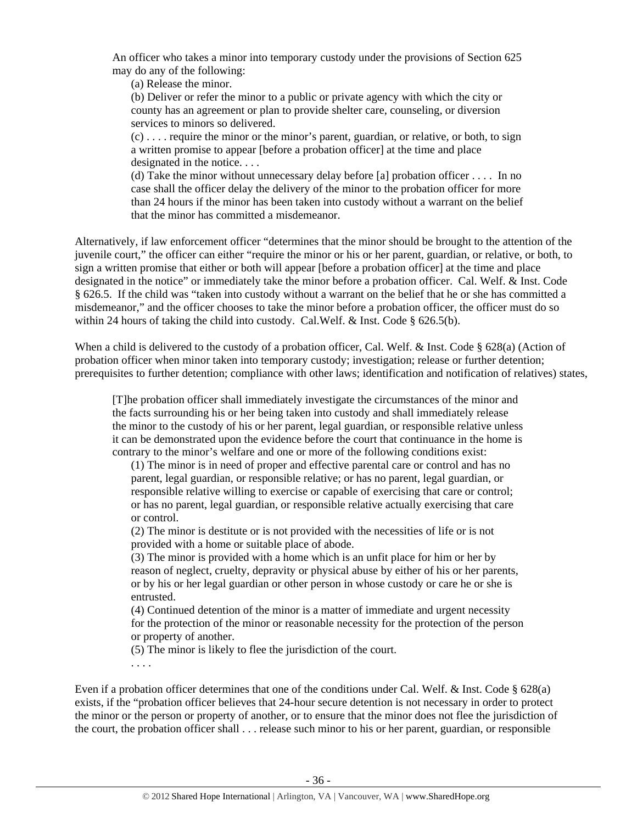An officer who takes a minor into temporary custody under the provisions of Section 625 may do any of the following:

(a) Release the minor.

(b) Deliver or refer the minor to a public or private agency with which the city or county has an agreement or plan to provide shelter care, counseling, or diversion services to minors so delivered.

 $(c)$ .... require the minor or the minor's parent, guardian, or relative, or both, to sign a written promise to appear [before a probation officer] at the time and place designated in the notice. . . .

(d) Take the minor without unnecessary delay before [a] probation officer . . . . In no case shall the officer delay the delivery of the minor to the probation officer for more than 24 hours if the minor has been taken into custody without a warrant on the belief that the minor has committed a misdemeanor.

Alternatively, if law enforcement officer "determines that the minor should be brought to the attention of the juvenile court," the officer can either "require the minor or his or her parent, guardian, or relative, or both, to sign a written promise that either or both will appear [before a probation officer] at the time and place designated in the notice" or immediately take the minor before a probation officer. Cal. Welf. & Inst. Code § 626.5. If the child was "taken into custody without a warrant on the belief that he or she has committed a misdemeanor," and the officer chooses to take the minor before a probation officer, the officer must do so within 24 hours of taking the child into custody. Cal.Welf. & Inst. Code § 626.5(b).

When a child is delivered to the custody of a probation officer, Cal. Welf. & Inst. Code § 628(a) (Action of probation officer when minor taken into temporary custody; investigation; release or further detention; prerequisites to further detention; compliance with other laws; identification and notification of relatives) states,

[T]he probation officer shall immediately investigate the circumstances of the minor and the facts surrounding his or her being taken into custody and shall immediately release the minor to the custody of his or her parent, legal guardian, or responsible relative unless it can be demonstrated upon the evidence before the court that continuance in the home is contrary to the minor's welfare and one or more of the following conditions exist:

(1) The minor is in need of proper and effective parental care or control and has no parent, legal guardian, or responsible relative; or has no parent, legal guardian, or responsible relative willing to exercise or capable of exercising that care or control; or has no parent, legal guardian, or responsible relative actually exercising that care or control.

(2) The minor is destitute or is not provided with the necessities of life or is not provided with a home or suitable place of abode.

(3) The minor is provided with a home which is an unfit place for him or her by reason of neglect, cruelty, depravity or physical abuse by either of his or her parents, or by his or her legal guardian or other person in whose custody or care he or she is entrusted.

(4) Continued detention of the minor is a matter of immediate and urgent necessity for the protection of the minor or reasonable necessity for the protection of the person or property of another.

(5) The minor is likely to flee the jurisdiction of the court.

. . . .

Even if a probation officer determines that one of the conditions under Cal. Welf. & Inst. Code § 628(a) exists, if the "probation officer believes that 24-hour secure detention is not necessary in order to protect the minor or the person or property of another, or to ensure that the minor does not flee the jurisdiction of the court, the probation officer shall . . . release such minor to his or her parent, guardian, or responsible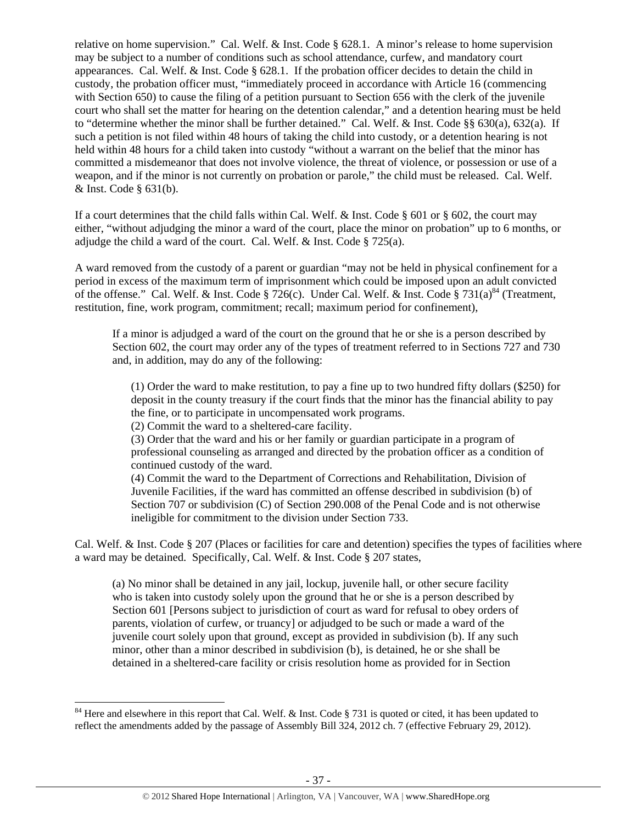relative on home supervision." Cal. Welf. & Inst. Code § 628.1. A minor's release to home supervision may be subject to a number of conditions such as school attendance, curfew, and mandatory court appearances. Cal. Welf.  $&$  Inst. Code  $&$  628.1. If the probation officer decides to detain the child in custody, the probation officer must, "immediately proceed in accordance with Article 16 (commencing with Section 650) to cause the filing of a petition pursuant to Section 656 with the clerk of the juvenile court who shall set the matter for hearing on the detention calendar," and a detention hearing must be held to "determine whether the minor shall be further detained." Cal. Welf. & Inst. Code §§ 630(a), 632(a). If such a petition is not filed within 48 hours of taking the child into custody, or a detention hearing is not held within 48 hours for a child taken into custody "without a warrant on the belief that the minor has committed a misdemeanor that does not involve violence, the threat of violence, or possession or use of a weapon, and if the minor is not currently on probation or parole," the child must be released. Cal. Welf. & Inst. Code § 631(b).

If a court determines that the child falls within Cal. Welf. & Inst. Code  $\S$  601 or  $\S$  602, the court may either, "without adjudging the minor a ward of the court, place the minor on probation" up to 6 months, or adjudge the child a ward of the court. Cal. Welf. & Inst. Code § 725(a).

A ward removed from the custody of a parent or guardian "may not be held in physical confinement for a period in excess of the maximum term of imprisonment which could be imposed upon an adult convicted of the offense." Cal. Welf. & Inst. Code § 726(c). Under Cal. Welf. & Inst. Code § 731(a)<sup>84</sup> (Treatment, restitution, fine, work program, commitment; recall; maximum period for confinement),

If a minor is adjudged a ward of the court on the ground that he or she is a person described by Section 602, the court may order any of the types of treatment referred to in Sections 727 and 730 and, in addition, may do any of the following:

(1) Order the ward to make restitution, to pay a fine up to two hundred fifty dollars (\$250) for deposit in the county treasury if the court finds that the minor has the financial ability to pay the fine, or to participate in uncompensated work programs.

(2) Commit the ward to a sheltered-care facility.

(3) Order that the ward and his or her family or guardian participate in a program of professional counseling as arranged and directed by the probation officer as a condition of continued custody of the ward.

(4) Commit the ward to the Department of Corrections and Rehabilitation, Division of Juvenile Facilities, if the ward has committed an offense described in subdivision (b) of Section 707 or subdivision (C) of Section 290.008 of the Penal Code and is not otherwise ineligible for commitment to the division under Section 733.

Cal. Welf. & Inst. Code § 207 (Places or facilities for care and detention) specifies the types of facilities where a ward may be detained. Specifically, Cal. Welf. & Inst. Code § 207 states,

(a) No minor shall be detained in any jail, lockup, juvenile hall, or other secure facility who is taken into custody solely upon the ground that he or she is a person described by Section 601 [Persons subject to jurisdiction of court as ward for refusal to obey orders of parents, violation of curfew, or truancy] or adjudged to be such or made a ward of the juvenile court solely upon that ground, except as provided in subdivision (b). If any such minor, other than a minor described in subdivision (b), is detained, he or she shall be detained in a sheltered-care facility or crisis resolution home as provided for in Section

 $84$  Here and elsewhere in this report that Cal. Welf. & Inst. Code § 731 is quoted or cited, it has been updated to reflect the amendments added by the passage of Assembly Bill 324, 2012 ch. 7 (effective February 29, 2012).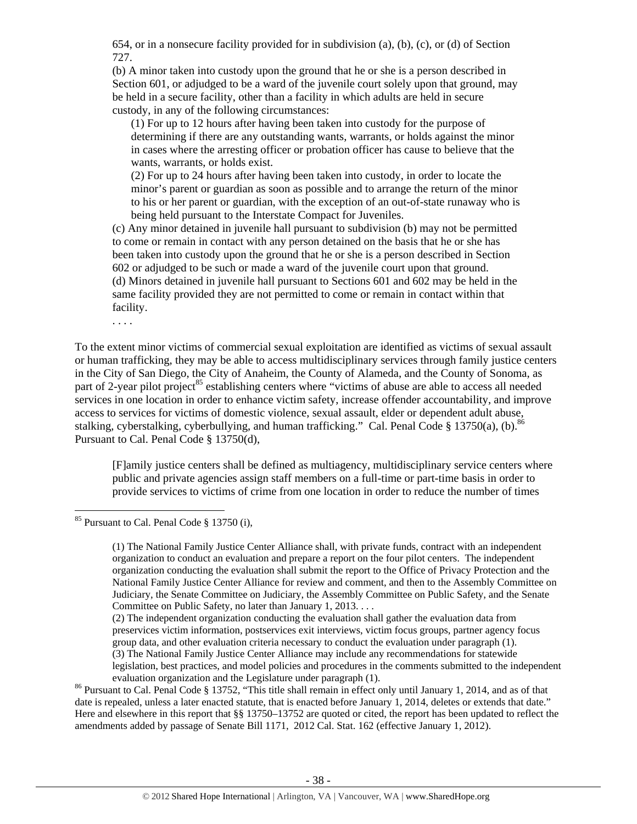654, or in a nonsecure facility provided for in subdivision (a), (b), (c), or (d) of Section 727.

(b) A minor taken into custody upon the ground that he or she is a person described in Section 601, or adjudged to be a ward of the juvenile court solely upon that ground, may be held in a secure facility, other than a facility in which adults are held in secure custody, in any of the following circumstances:

(1) For up to 12 hours after having been taken into custody for the purpose of determining if there are any outstanding wants, warrants, or holds against the minor in cases where the arresting officer or probation officer has cause to believe that the wants, warrants, or holds exist.

(2) For up to 24 hours after having been taken into custody, in order to locate the minor's parent or guardian as soon as possible and to arrange the return of the minor to his or her parent or guardian, with the exception of an out-of-state runaway who is being held pursuant to the Interstate Compact for Juveniles.

(c) Any minor detained in juvenile hall pursuant to subdivision (b) may not be permitted to come or remain in contact with any person detained on the basis that he or she has been taken into custody upon the ground that he or she is a person described in Section 602 or adjudged to be such or made a ward of the juvenile court upon that ground. (d) Minors detained in juvenile hall pursuant to Sections 601 and 602 may be held in the same facility provided they are not permitted to come or remain in contact within that facility.

. . . .

To the extent minor victims of commercial sexual exploitation are identified as victims of sexual assault or human trafficking, they may be able to access multidisciplinary services through family justice centers in the City of San Diego, the City of Anaheim, the County of Alameda, and the County of Sonoma, as part of 2-year pilot project<sup>85</sup> establishing centers where "victims of abuse are able to access all needed services in one location in order to enhance victim safety, increase offender accountability, and improve access to services for victims of domestic violence, sexual assault, elder or dependent adult abuse, stalking, cyberstalking, cyberbullying, and human trafficking." Cal. Penal Code § 13750(a), (b).<sup>86</sup> Pursuant to Cal. Penal Code § 13750(d),

[F]amily justice centers shall be defined as multiagency, multidisciplinary service centers where public and private agencies assign staff members on a full-time or part-time basis in order to provide services to victims of crime from one location in order to reduce the number of times

 $85$  Pursuant to Cal. Penal Code  $§$  13750 (i).

<sup>(1)</sup> The National Family Justice Center Alliance shall, with private funds, contract with an independent organization to conduct an evaluation and prepare a report on the four pilot centers. The independent organization conducting the evaluation shall submit the report to the Office of Privacy Protection and the National Family Justice Center Alliance for review and comment, and then to the Assembly Committee on Judiciary, the Senate Committee on Judiciary, the Assembly Committee on Public Safety, and the Senate Committee on Public Safety, no later than January 1, 2013. . . .

<sup>(2)</sup> The independent organization conducting the evaluation shall gather the evaluation data from preservices victim information, postservices exit interviews, victim focus groups, partner agency focus group data, and other evaluation criteria necessary to conduct the evaluation under paragraph (1). (3) The National Family Justice Center Alliance may include any recommendations for statewide

legislation, best practices, and model policies and procedures in the comments submitted to the independent

evaluation organization and the Legislature under paragraph (1).<br><sup>86</sup> Pursuant to Cal. Penal Code § 13752, "This title shall remain in effect only until January 1, 2014, and as of that date is repealed, unless a later enacted statute, that is enacted before January 1, 2014, deletes or extends that date." Here and elsewhere in this report that §§ 13750–13752 are quoted or cited, the report has been updated to reflect the amendments added by passage of Senate Bill 1171, 2012 Cal. Stat. 162 (effective January 1, 2012).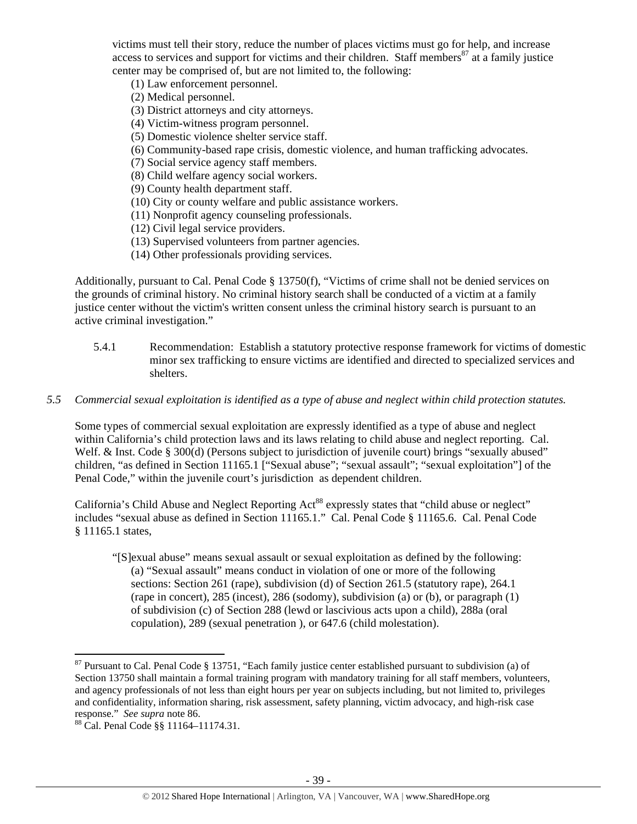victims must tell their story, reduce the number of places victims must go for help, and increase access to services and support for victims and their children. Staff members<sup>87</sup> at a family justice center may be comprised of, but are not limited to, the following:

- (1) Law enforcement personnel.
- (2) Medical personnel.
- (3) District attorneys and city attorneys.
- (4) Victim-witness program personnel.
- (5) Domestic violence shelter service staff.
- (6) Community-based rape crisis, domestic violence, and human trafficking advocates.
- (7) Social service agency staff members.
- (8) Child welfare agency social workers.
- (9) County health department staff.
- (10) City or county welfare and public assistance workers.
- (11) Nonprofit agency counseling professionals.
- (12) Civil legal service providers.
- (13) Supervised volunteers from partner agencies.
- (14) Other professionals providing services.

Additionally, pursuant to Cal. Penal Code § 13750(f), "Victims of crime shall not be denied services on the grounds of criminal history. No criminal history search shall be conducted of a victim at a family justice center without the victim's written consent unless the criminal history search is pursuant to an active criminal investigation."

- 5.4.1 Recommendation: Establish a statutory protective response framework for victims of domestic minor sex trafficking to ensure victims are identified and directed to specialized services and shelters.
- *5.5 Commercial sexual exploitation is identified as a type of abuse and neglect within child protection statutes.*

Some types of commercial sexual exploitation are expressly identified as a type of abuse and neglect within California's child protection laws and its laws relating to child abuse and neglect reporting. Cal. Welf. & Inst. Code § 300(d) (Persons subject to jurisdiction of juvenile court) brings "sexually abused" children, "as defined in Section 11165.1 ["Sexual abuse"; "sexual assault"; "sexual exploitation"] of the Penal Code," within the juvenile court's jurisdiction as dependent children.

California's Child Abuse and Neglect Reporting Act<sup>88</sup> expressly states that "child abuse or neglect" includes "sexual abuse as defined in Section 11165.1." Cal. Penal Code § 11165.6. Cal. Penal Code § 11165.1 states,

"[S]exual abuse" means sexual assault or sexual exploitation as defined by the following: (a) "Sexual assault" means conduct in violation of one or more of the following sections: Section 261 (rape), subdivision (d) of Section 261.5 (statutory rape), 264.1 (rape in concert), 285 (incest), 286 (sodomy), subdivision (a) or (b), or paragraph (1) of subdivision (c) of Section 288 (lewd or lascivious acts upon a child), 288a (oral copulation), 289 (sexual penetration ), or 647.6 (child molestation).

 $87$  Pursuant to Cal. Penal Code § 13751, "Each family justice center established pursuant to subdivision (a) of Section 13750 shall maintain a formal training program with mandatory training for all staff members, volunteers, and agency professionals of not less than eight hours per year on subjects including, but not limited to, privileges and confidentiality, information sharing, risk assessment, safety planning, victim advocacy, and high-risk case response." *See supra* note 86.<br><sup>88</sup> Cal. Penal Code §§ 11164–11174.31.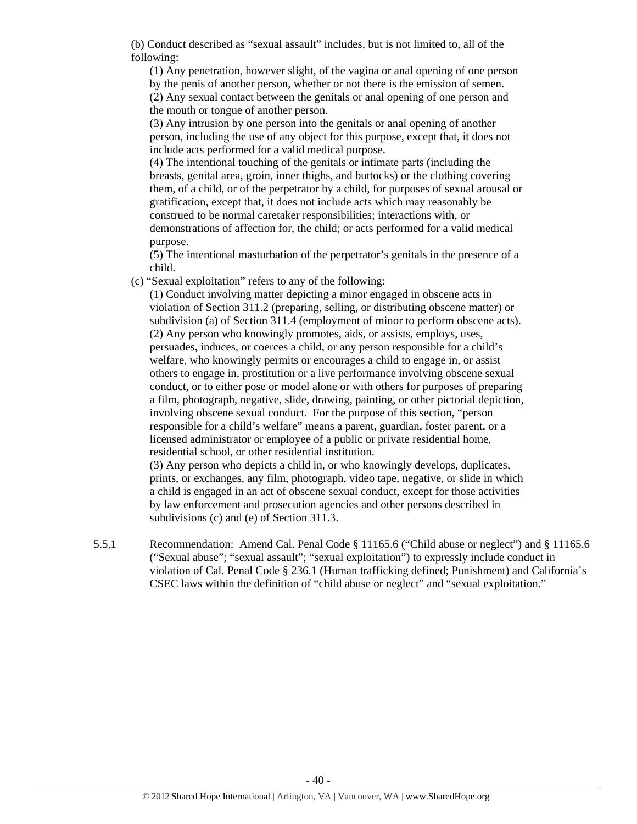(b) Conduct described as "sexual assault" includes, but is not limited to, all of the following:

(1) Any penetration, however slight, of the vagina or anal opening of one person by the penis of another person, whether or not there is the emission of semen. (2) Any sexual contact between the genitals or anal opening of one person and the mouth or tongue of another person.

(3) Any intrusion by one person into the genitals or anal opening of another person, including the use of any object for this purpose, except that, it does not include acts performed for a valid medical purpose.

(4) The intentional touching of the genitals or intimate parts (including the breasts, genital area, groin, inner thighs, and buttocks) or the clothing covering them, of a child, or of the perpetrator by a child, for purposes of sexual arousal or gratification, except that, it does not include acts which may reasonably be construed to be normal caretaker responsibilities; interactions with, or demonstrations of affection for, the child; or acts performed for a valid medical purpose.

(5) The intentional masturbation of the perpetrator's genitals in the presence of a child.

(c) "Sexual exploitation" refers to any of the following:

(1) Conduct involving matter depicting a minor engaged in obscene acts in violation of Section 311.2 (preparing, selling, or distributing obscene matter) or subdivision (a) of Section 311.4 (employment of minor to perform obscene acts). (2) Any person who knowingly promotes, aids, or assists, employs, uses, persuades, induces, or coerces a child, or any person responsible for a child's welfare, who knowingly permits or encourages a child to engage in, or assist others to engage in, prostitution or a live performance involving obscene sexual conduct, or to either pose or model alone or with others for purposes of preparing a film, photograph, negative, slide, drawing, painting, or other pictorial depiction, involving obscene sexual conduct. For the purpose of this section, "person responsible for a child's welfare" means a parent, guardian, foster parent, or a licensed administrator or employee of a public or private residential home, residential school, or other residential institution.

(3) Any person who depicts a child in, or who knowingly develops, duplicates, prints, or exchanges, any film, photograph, video tape, negative, or slide in which a child is engaged in an act of obscene sexual conduct, except for those activities by law enforcement and prosecution agencies and other persons described in subdivisions (c) and (e) of Section 311.3.

5.5.1 Recommendation: Amend Cal. Penal Code § 11165.6 ("Child abuse or neglect") and § 11165.6 ("Sexual abuse"; "sexual assault"; "sexual exploitation") to expressly include conduct in violation of Cal. Penal Code § 236.1 (Human trafficking defined; Punishment) and California's CSEC laws within the definition of "child abuse or neglect" and "sexual exploitation."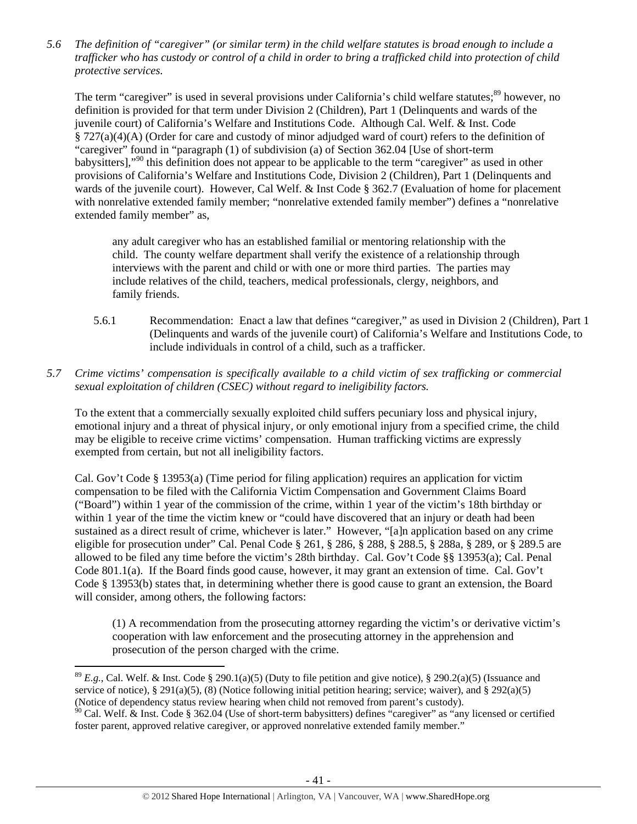*5.6 The definition of "caregiver" (or similar term) in the child welfare statutes is broad enough to include a trafficker who has custody or control of a child in order to bring a trafficked child into protection of child protective services.* 

The term "caregiver" is used in several provisions under California's child welfare statutes;<sup>89</sup> however, no definition is provided for that term under Division 2 (Children), Part 1 (Delinquents and wards of the juvenile court) of California's Welfare and Institutions Code. Although Cal. Welf. & Inst. Code § 727(a)(4)(A) (Order for care and custody of minor adjudged ward of court) refers to the definition of "caregiver" found in "paragraph (1) of subdivision (a) of Section 362.04 [Use of short-term babysitters],"90 this definition does not appear to be applicable to the term "caregiver" as used in other provisions of California's Welfare and Institutions Code, Division 2 (Children), Part 1 (Delinquents and wards of the juvenile court). However, Cal Welf. & Inst Code § 362.7 (Evaluation of home for placement with nonrelative extended family member; "nonrelative extended family member") defines a "nonrelative extended family member" as,

any adult caregiver who has an established familial or mentoring relationship with the child. The county welfare department shall verify the existence of a relationship through interviews with the parent and child or with one or more third parties. The parties may include relatives of the child, teachers, medical professionals, clergy, neighbors, and family friends.

- 5.6.1 Recommendation: Enact a law that defines "caregiver," as used in Division 2 (Children), Part 1 (Delinquents and wards of the juvenile court) of California's Welfare and Institutions Code, to include individuals in control of a child, such as a trafficker.
- *5.7 Crime victims' compensation is specifically available to a child victim of sex trafficking or commercial sexual exploitation of children (CSEC) without regard to ineligibility factors.*

To the extent that a commercially sexually exploited child suffers pecuniary loss and physical injury, emotional injury and a threat of physical injury, or only emotional injury from a specified crime, the child may be eligible to receive crime victims' compensation. Human trafficking victims are expressly exempted from certain, but not all ineligibility factors.

Cal. Gov't Code § 13953(a) (Time period for filing application) requires an application for victim compensation to be filed with the California Victim Compensation and Government Claims Board ("Board") within 1 year of the commission of the crime, within 1 year of the victim's 18th birthday or within 1 year of the time the victim knew or "could have discovered that an injury or death had been sustained as a direct result of crime, whichever is later." However, "[a]n application based on any crime eligible for prosecution under" Cal. Penal Code § 261, § 286, § 288, § 288.5, § 288a, § 289, or § 289.5 are allowed to be filed any time before the victim's 28th birthday. Cal. Gov't Code §§ 13953(a); Cal. Penal Code 801.1(a). If the Board finds good cause, however, it may grant an extension of time. Cal. Gov't Code § 13953(b) states that, in determining whether there is good cause to grant an extension, the Board will consider, among others, the following factors:

(1) A recommendation from the prosecuting attorney regarding the victim's or derivative victim's cooperation with law enforcement and the prosecuting attorney in the apprehension and prosecution of the person charged with the crime.

  $8^9$  *E.g.*, Cal. Welf. & Inst. Code § 290.1(a)(5) (Duty to file petition and give notice), § 290.2(a)(5) (Issuance and service of notice), § 291(a)(5), (8) (Notice following initial petition hearing; service; waiver), and § 292(a)(5) (Notice of dependency status review hearing when child not removed from parent's custody).

 $90$  Cal. Welf. & Inst. Code § 362.04 (Use of short-term babysitters) defines "caregiver" as "any licensed or certified foster parent, approved relative caregiver, or approved nonrelative extended family member."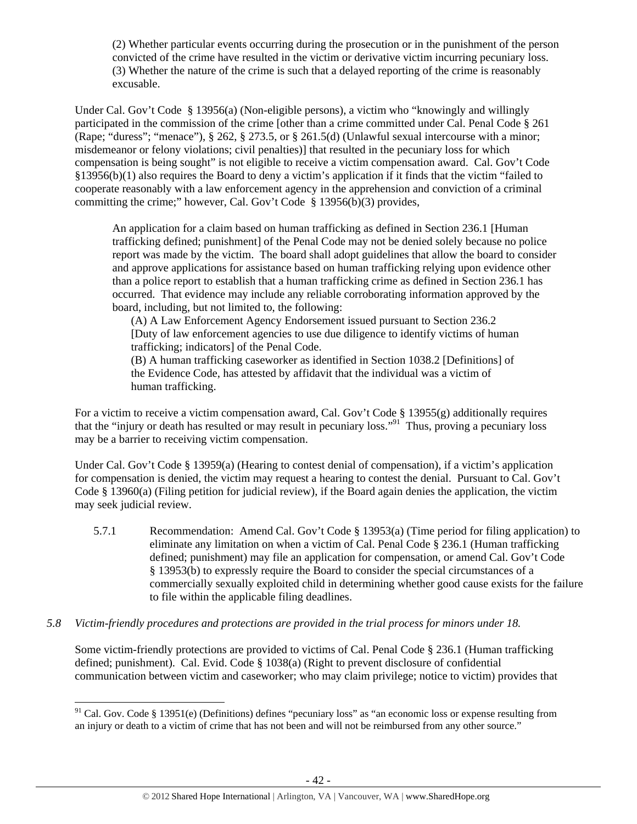(2) Whether particular events occurring during the prosecution or in the punishment of the person convicted of the crime have resulted in the victim or derivative victim incurring pecuniary loss. (3) Whether the nature of the crime is such that a delayed reporting of the crime is reasonably excusable.

Under Cal. Gov't Code § 13956(a) (Non-eligible persons), a victim who "knowingly and willingly participated in the commission of the crime [other than a crime committed under Cal. Penal Code § 261 (Rape; "duress"; "menace"), § 262, § 273.5, or § 261.5(d) (Unlawful sexual intercourse with a minor; misdemeanor or felony violations; civil penalties)] that resulted in the pecuniary loss for which compensation is being sought" is not eligible to receive a victim compensation award. Cal. Gov't Code §13956(b)(1) also requires the Board to deny a victim's application if it finds that the victim "failed to cooperate reasonably with a law enforcement agency in the apprehension and conviction of a criminal committing the crime;" however, Cal. Gov't Code § 13956(b)(3) provides,

An application for a claim based on human trafficking as defined in Section 236.1 [Human trafficking defined; punishment] of the Penal Code may not be denied solely because no police report was made by the victim. The board shall adopt guidelines that allow the board to consider and approve applications for assistance based on human trafficking relying upon evidence other than a police report to establish that a human trafficking crime as defined in Section 236.1 has occurred. That evidence may include any reliable corroborating information approved by the board, including, but not limited to, the following:

(A) A Law Enforcement Agency Endorsement issued pursuant to Section 236.2 [Duty of law enforcement agencies to use due diligence to identify victims of human trafficking; indicators] of the Penal Code.

(B) A human trafficking caseworker as identified in Section 1038.2 [Definitions] of the Evidence Code, has attested by affidavit that the individual was a victim of human trafficking.

For a victim to receive a victim compensation award, Cal. Gov't Code § 13955(g) additionally requires that the "injury or death has resulted or may result in pecuniary loss."91 Thus, proving a pecuniary loss may be a barrier to receiving victim compensation.

Under Cal. Gov't Code § 13959(a) (Hearing to contest denial of compensation), if a victim's application for compensation is denied, the victim may request a hearing to contest the denial. Pursuant to Cal. Gov't Code § 13960(a) (Filing petition for judicial review), if the Board again denies the application, the victim may seek judicial review.

- 5.7.1 Recommendation: Amend Cal. Gov't Code § 13953(a) (Time period for filing application) to eliminate any limitation on when a victim of Cal. Penal Code § 236.1 (Human trafficking defined; punishment) may file an application for compensation, or amend Cal. Gov't Code § 13953(b) to expressly require the Board to consider the special circumstances of a commercially sexually exploited child in determining whether good cause exists for the failure to file within the applicable filing deadlines.
- *5.8 Victim-friendly procedures and protections are provided in the trial process for minors under 18.*

Some victim-friendly protections are provided to victims of Cal. Penal Code § 236.1 (Human trafficking defined; punishment). Cal. Evid. Code § 1038(a) (Right to prevent disclosure of confidential communication between victim and caseworker; who may claim privilege; notice to victim) provides that

<sup>&</sup>lt;sup>91</sup> Cal. Gov. Code § 13951(e) (Definitions) defines "pecuniary loss" as "an economic loss or expense resulting from an injury or death to a victim of crime that has not been and will not be reimbursed from any other source."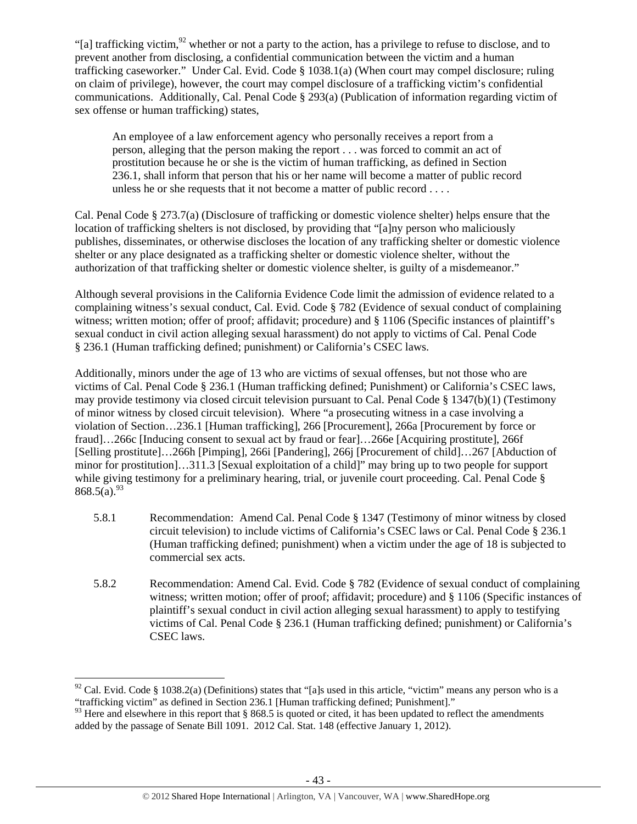"[a] trafficking victim,<sup>92</sup> whether or not a party to the action, has a privilege to refuse to disclose, and to prevent another from disclosing, a confidential communication between the victim and a human trafficking caseworker." Under Cal. Evid. Code § 1038.1(a) (When court may compel disclosure; ruling on claim of privilege), however, the court may compel disclosure of a trafficking victim's confidential communications. Additionally, Cal. Penal Code § 293(a) (Publication of information regarding victim of sex offense or human trafficking) states,

An employee of a law enforcement agency who personally receives a report from a person, alleging that the person making the report . . . was forced to commit an act of prostitution because he or she is the victim of human trafficking, as defined in Section 236.1, shall inform that person that his or her name will become a matter of public record unless he or she requests that it not become a matter of public record . . . .

Cal. Penal Code § 273.7(a) (Disclosure of trafficking or domestic violence shelter) helps ensure that the location of trafficking shelters is not disclosed, by providing that "[a]ny person who maliciously publishes, disseminates, or otherwise discloses the location of any trafficking shelter or domestic violence shelter or any place designated as a trafficking shelter or domestic violence shelter, without the authorization of that trafficking shelter or domestic violence shelter, is guilty of a misdemeanor."

Although several provisions in the California Evidence Code limit the admission of evidence related to a complaining witness's sexual conduct, Cal. Evid. Code § 782 (Evidence of sexual conduct of complaining witness; written motion; offer of proof; affidavit; procedure) and § 1106 (Specific instances of plaintiff's sexual conduct in civil action alleging sexual harassment) do not apply to victims of Cal. Penal Code § 236.1 (Human trafficking defined; punishment) or California's CSEC laws.

Additionally, minors under the age of 13 who are victims of sexual offenses, but not those who are victims of Cal. Penal Code § 236.1 (Human trafficking defined; Punishment) or California's CSEC laws, may provide testimony via closed circuit television pursuant to Cal. Penal Code § 1347(b)(1) (Testimony of minor witness by closed circuit television). Where "a prosecuting witness in a case involving a violation of Section…236.1 [Human trafficking], 266 [Procurement], 266a [Procurement by force or fraud]…266c [Inducing consent to sexual act by fraud or fear]…266e [Acquiring prostitute], 266f [Selling prostitute]…266h [Pimping], 266i [Pandering], 266j [Procurement of child]…267 [Abduction of minor for prostitution]…311.3 [Sexual exploitation of a child]" may bring up to two people for support while giving testimony for a preliminary hearing, trial, or juvenile court proceeding. Cal. Penal Code §  $868.5(a).^{93}$ 

- 5.8.1 Recommendation: Amend Cal. Penal Code § 1347 (Testimony of minor witness by closed circuit television) to include victims of California's CSEC laws or Cal. Penal Code § 236.1 (Human trafficking defined; punishment) when a victim under the age of 18 is subjected to commercial sex acts.
- 5.8.2 Recommendation: Amend Cal. Evid. Code § 782 (Evidence of sexual conduct of complaining witness; written motion; offer of proof; affidavit; procedure) and § 1106 (Specific instances of plaintiff's sexual conduct in civil action alleging sexual harassment) to apply to testifying victims of Cal. Penal Code § 236.1 (Human trafficking defined; punishment) or California's CSEC laws.

 $92$  Cal. Evid. Code § 1038.2(a) (Definitions) states that "[a]s used in this article, "victim" means any person who is a "trafficking victim" as defined in Section 236.1 [Human trafficking defined; Punishment]."

<sup>&</sup>lt;sup>93</sup> Here and elsewhere in this report that § 868.5 is quoted or cited, it has been updated to reflect the amendments added by the passage of Senate Bill 1091. 2012 Cal. Stat. 148 (effective January 1, 2012).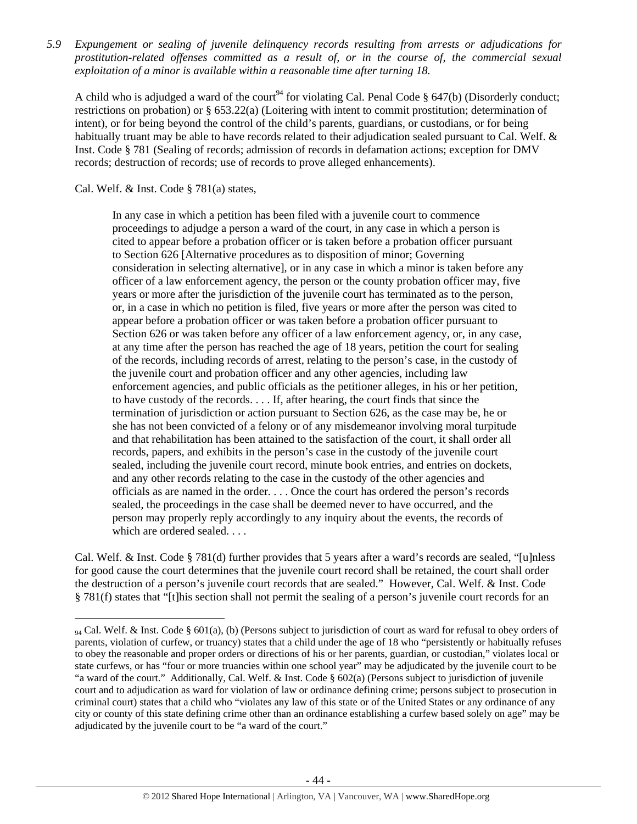*5.9 Expungement or sealing of juvenile delinquency records resulting from arrests or adjudications for prostitution-related offenses committed as a result of, or in the course of, the commercial sexual exploitation of a minor is available within a reasonable time after turning 18.* 

A child who is adjudged a ward of the court<sup>94</sup> for violating Cal. Penal Code § 647(b) (Disorderly conduct; restrictions on probation) or § 653.22(a) (Loitering with intent to commit prostitution; determination of intent), or for being beyond the control of the child's parents, guardians, or custodians, or for being habitually truant may be able to have records related to their adjudication sealed pursuant to Cal. Welf. & Inst. Code § 781 (Sealing of records; admission of records in defamation actions; exception for DMV records; destruction of records; use of records to prove alleged enhancements).

Cal. Welf. & Inst. Code § 781(a) states,

In any case in which a petition has been filed with a juvenile court to commence proceedings to adjudge a person a ward of the court, in any case in which a person is cited to appear before a probation officer or is taken before a probation officer pursuant to Section 626 [Alternative procedures as to disposition of minor; Governing consideration in selecting alternative], or in any case in which a minor is taken before any officer of a law enforcement agency, the person or the county probation officer may, five years or more after the jurisdiction of the juvenile court has terminated as to the person, or, in a case in which no petition is filed, five years or more after the person was cited to appear before a probation officer or was taken before a probation officer pursuant to Section 626 or was taken before any officer of a law enforcement agency, or, in any case, at any time after the person has reached the age of 18 years, petition the court for sealing of the records, including records of arrest, relating to the person's case, in the custody of the juvenile court and probation officer and any other agencies, including law enforcement agencies, and public officials as the petitioner alleges, in his or her petition, to have custody of the records. . . . If, after hearing, the court finds that since the termination of jurisdiction or action pursuant to Section 626, as the case may be, he or she has not been convicted of a felony or of any misdemeanor involving moral turpitude and that rehabilitation has been attained to the satisfaction of the court, it shall order all records, papers, and exhibits in the person's case in the custody of the juvenile court sealed, including the juvenile court record, minute book entries, and entries on dockets, and any other records relating to the case in the custody of the other agencies and officials as are named in the order. . . . Once the court has ordered the person's records sealed, the proceedings in the case shall be deemed never to have occurred, and the person may properly reply accordingly to any inquiry about the events, the records of which are ordered sealed. . . .

Cal. Welf. & Inst. Code § 781(d) further provides that 5 years after a ward's records are sealed, "[u]nless for good cause the court determines that the juvenile court record shall be retained, the court shall order the destruction of a person's juvenile court records that are sealed." However, Cal. Welf. & Inst. Code § 781(f) states that "[t]his section shall not permit the sealing of a person's juvenile court records for an

<sup>94</sup> Cal. Welf. & Inst. Code § 601(a), (b) (Persons subject to jurisdiction of court as ward for refusal to obey orders of parents, violation of curfew, or truancy) states that a child under the age of 18 who "persistently or habitually refuses to obey the reasonable and proper orders or directions of his or her parents, guardian, or custodian," violates local or state curfews, or has "four or more truancies within one school year" may be adjudicated by the juvenile court to be "a ward of the court." Additionally, Cal. Welf. & Inst. Code § 602(a) (Persons subject to jurisdiction of juvenile court and to adjudication as ward for violation of law or ordinance defining crime; persons subject to prosecution in criminal court) states that a child who "violates any law of this state or of the United States or any ordinance of any city or county of this state defining crime other than an ordinance establishing a curfew based solely on age" may be adjudicated by the juvenile court to be "a ward of the court."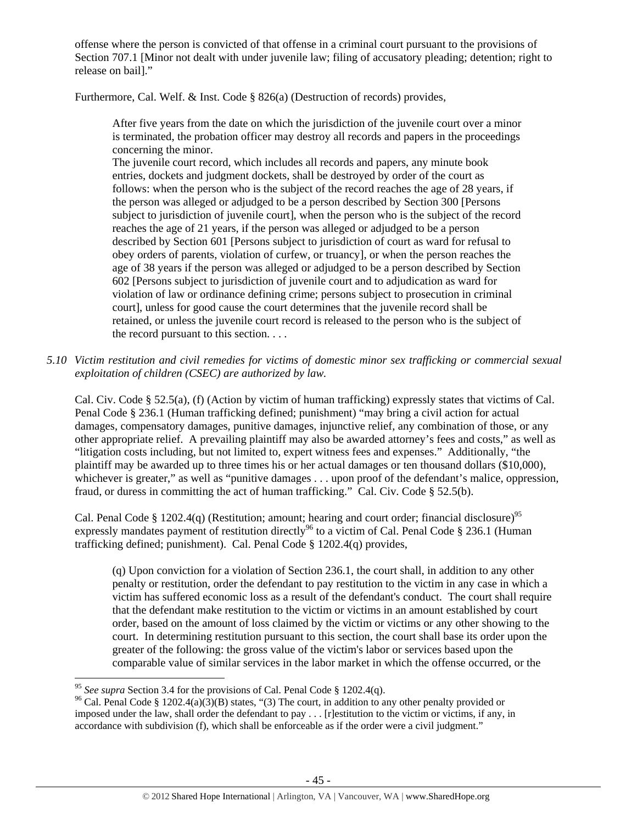offense where the person is convicted of that offense in a criminal court pursuant to the provisions of Section 707.1 [Minor not dealt with under juvenile law; filing of accusatory pleading; detention; right to release on bail]."

Furthermore, Cal. Welf. & Inst. Code § 826(a) (Destruction of records) provides,

After five years from the date on which the jurisdiction of the juvenile court over a minor is terminated, the probation officer may destroy all records and papers in the proceedings concerning the minor.

The juvenile court record, which includes all records and papers, any minute book entries, dockets and judgment dockets, shall be destroyed by order of the court as follows: when the person who is the subject of the record reaches the age of 28 years, if the person was alleged or adjudged to be a person described by Section 300 [Persons subject to jurisdiction of juvenile court], when the person who is the subject of the record reaches the age of 21 years, if the person was alleged or adjudged to be a person described by Section 601 [Persons subject to jurisdiction of court as ward for refusal to obey orders of parents, violation of curfew, or truancy], or when the person reaches the age of 38 years if the person was alleged or adjudged to be a person described by Section 602 [Persons subject to jurisdiction of juvenile court and to adjudication as ward for violation of law or ordinance defining crime; persons subject to prosecution in criminal court], unless for good cause the court determines that the juvenile record shall be retained, or unless the juvenile court record is released to the person who is the subject of the record pursuant to this section. . . .

*5.10 Victim restitution and civil remedies for victims of domestic minor sex trafficking or commercial sexual exploitation of children (CSEC) are authorized by law.* 

Cal. Civ. Code § 52.5(a), (f) (Action by victim of human trafficking) expressly states that victims of Cal. Penal Code § 236.1 (Human trafficking defined; punishment) "may bring a civil action for actual damages, compensatory damages, punitive damages, injunctive relief, any combination of those, or any other appropriate relief. A prevailing plaintiff may also be awarded attorney's fees and costs," as well as "litigation costs including, but not limited to, expert witness fees and expenses." Additionally, "the plaintiff may be awarded up to three times his or her actual damages or ten thousand dollars (\$10,000), whichever is greater," as well as "punitive damages . . . upon proof of the defendant's malice, oppression, fraud, or duress in committing the act of human trafficking." Cal. Civ. Code § 52.5(b).

Cal. Penal Code § 1202.4(q) (Restitution; amount; hearing and court order; financial disclosure)<sup>95</sup> expressly mandates payment of restitution directly<sup>96</sup> to a victim of Cal. Penal Code § 236.1 (Human trafficking defined; punishment). Cal. Penal Code § 1202.4(q) provides,

(q) Upon conviction for a violation of Section 236.1, the court shall, in addition to any other penalty or restitution, order the defendant to pay restitution to the victim in any case in which a victim has suffered economic loss as a result of the defendant's conduct. The court shall require that the defendant make restitution to the victim or victims in an amount established by court order, based on the amount of loss claimed by the victim or victims or any other showing to the court. In determining restitution pursuant to this section, the court shall base its order upon the greater of the following: the gross value of the victim's labor or services based upon the comparable value of similar services in the labor market in which the offense occurred, or the

<sup>&</sup>lt;sup>95</sup> See supra Section 3.4 for the provisions of Cal. Penal Code § 1202.4(q).

<sup>&</sup>lt;sup>96</sup> Cal. Penal Code § 1202.4(a)(3)(B) states, "(3) The court, in addition to any other penalty provided or imposed under the law, shall order the defendant to pay . . . [r]estitution to the victim or victims, if any, in accordance with subdivision (f), which shall be enforceable as if the order were a civil judgment."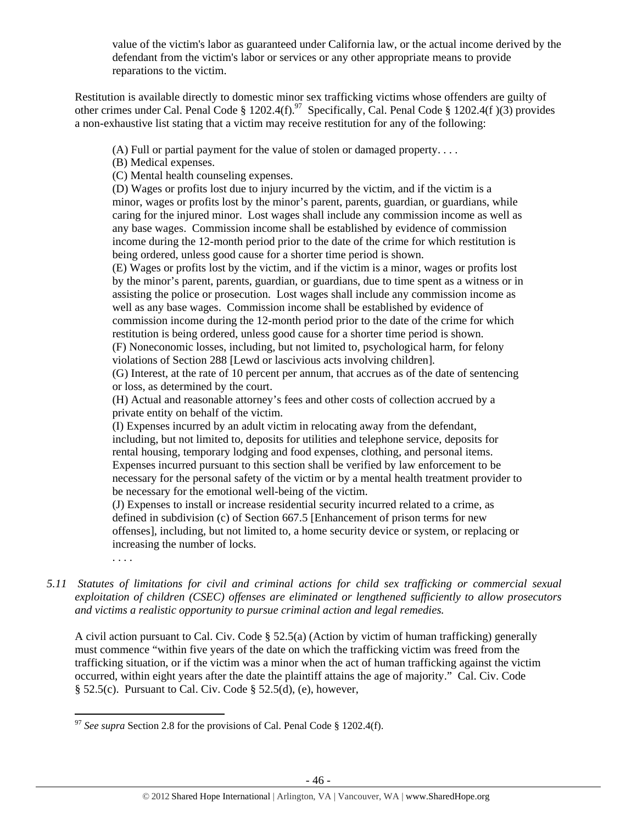value of the victim's labor as guaranteed under California law, or the actual income derived by the defendant from the victim's labor or services or any other appropriate means to provide reparations to the victim.

Restitution is available directly to domestic minor sex trafficking victims whose offenders are guilty of other crimes under Cal. Penal Code § 1202.4(f).<sup>97</sup> Specifically, Cal. Penal Code § 1202.4(f)(3) provides a non-exhaustive list stating that a victim may receive restitution for any of the following:

(A) Full or partial payment for the value of stolen or damaged property. . . .

(B) Medical expenses.

(C) Mental health counseling expenses.

(D) Wages or profits lost due to injury incurred by the victim, and if the victim is a minor, wages or profits lost by the minor's parent, parents, guardian, or guardians, while caring for the injured minor. Lost wages shall include any commission income as well as any base wages. Commission income shall be established by evidence of commission income during the 12-month period prior to the date of the crime for which restitution is being ordered, unless good cause for a shorter time period is shown.

(E) Wages or profits lost by the victim, and if the victim is a minor, wages or profits lost by the minor's parent, parents, guardian, or guardians, due to time spent as a witness or in assisting the police or prosecution. Lost wages shall include any commission income as well as any base wages. Commission income shall be established by evidence of commission income during the 12-month period prior to the date of the crime for which restitution is being ordered, unless good cause for a shorter time period is shown. (F) Noneconomic losses, including, but not limited to, psychological harm, for felony

violations of Section 288 [Lewd or lascivious acts involving children].

(G) Interest, at the rate of 10 percent per annum, that accrues as of the date of sentencing or loss, as determined by the court.

(H) Actual and reasonable attorney's fees and other costs of collection accrued by a private entity on behalf of the victim.

(I) Expenses incurred by an adult victim in relocating away from the defendant, including, but not limited to, deposits for utilities and telephone service, deposits for rental housing, temporary lodging and food expenses, clothing, and personal items. Expenses incurred pursuant to this section shall be verified by law enforcement to be necessary for the personal safety of the victim or by a mental health treatment provider to be necessary for the emotional well-being of the victim.

(J) Expenses to install or increase residential security incurred related to a crime, as defined in subdivision (c) of Section 667.5 [Enhancement of prison terms for new offenses], including, but not limited to, a home security device or system, or replacing or increasing the number of locks.

. . . .

*5.11 Statutes of limitations for civil and criminal actions for child sex trafficking or commercial sexual exploitation of children (CSEC) offenses are eliminated or lengthened sufficiently to allow prosecutors and victims a realistic opportunity to pursue criminal action and legal remedies.* 

A civil action pursuant to Cal. Civ. Code § 52.5(a) (Action by victim of human trafficking) generally must commence "within five years of the date on which the trafficking victim was freed from the trafficking situation, or if the victim was a minor when the act of human trafficking against the victim occurred, within eight years after the date the plaintiff attains the age of majority." Cal. Civ. Code § 52.5(c). Pursuant to Cal. Civ. Code § 52.5(d), (e), however,

<sup>&</sup>lt;sup>97</sup> See supra Section 2.8 for the provisions of Cal. Penal Code § 1202.4(f).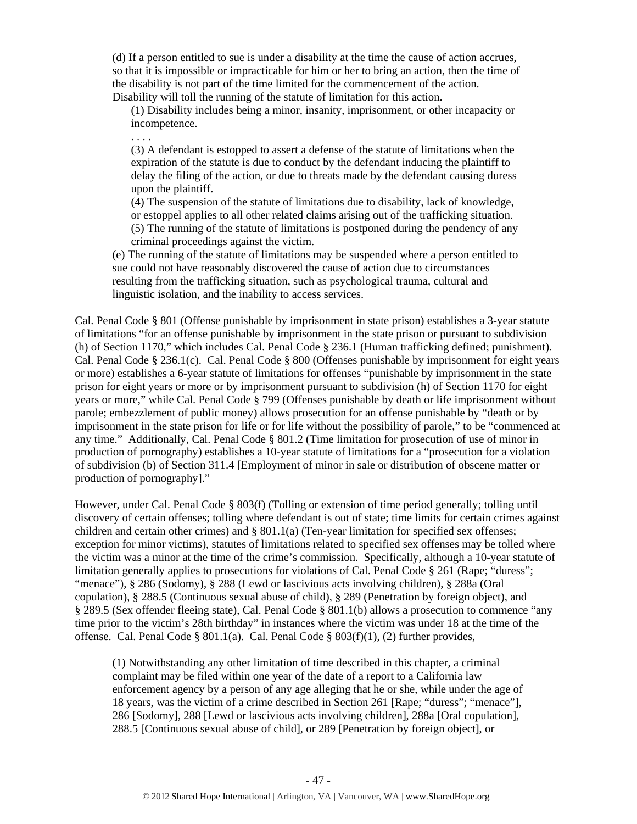(d) If a person entitled to sue is under a disability at the time the cause of action accrues, so that it is impossible or impracticable for him or her to bring an action, then the time of the disability is not part of the time limited for the commencement of the action. Disability will toll the running of the statute of limitation for this action.

(1) Disability includes being a minor, insanity, imprisonment, or other incapacity or incompetence.

. . . .

(3) A defendant is estopped to assert a defense of the statute of limitations when the expiration of the statute is due to conduct by the defendant inducing the plaintiff to delay the filing of the action, or due to threats made by the defendant causing duress upon the plaintiff.

(4) The suspension of the statute of limitations due to disability, lack of knowledge, or estoppel applies to all other related claims arising out of the trafficking situation. (5) The running of the statute of limitations is postponed during the pendency of any criminal proceedings against the victim.

(e) The running of the statute of limitations may be suspended where a person entitled to sue could not have reasonably discovered the cause of action due to circumstances resulting from the trafficking situation, such as psychological trauma, cultural and linguistic isolation, and the inability to access services.

Cal. Penal Code § 801 (Offense punishable by imprisonment in state prison) establishes a 3-year statute of limitations "for an offense punishable by imprisonment in the state prison or pursuant to subdivision (h) of Section 1170," which includes Cal. Penal Code § 236.1 (Human trafficking defined; punishment). Cal. Penal Code § 236.1(c). Cal. Penal Code § 800 (Offenses punishable by imprisonment for eight years or more) establishes a 6-year statute of limitations for offenses "punishable by imprisonment in the state prison for eight years or more or by imprisonment pursuant to subdivision (h) of Section 1170 for eight years or more," while Cal. Penal Code § 799 (Offenses punishable by death or life imprisonment without parole; embezzlement of public money) allows prosecution for an offense punishable by "death or by imprisonment in the state prison for life or for life without the possibility of parole," to be "commenced at any time." Additionally, Cal. Penal Code § 801.2 (Time limitation for prosecution of use of minor in production of pornography) establishes a 10-year statute of limitations for a "prosecution for a violation of subdivision (b) of Section 311.4 [Employment of minor in sale or distribution of obscene matter or production of pornography]."

However, under Cal. Penal Code § 803(f) (Tolling or extension of time period generally; tolling until discovery of certain offenses; tolling where defendant is out of state; time limits for certain crimes against children and certain other crimes) and § 801.1(a) (Ten-year limitation for specified sex offenses; exception for minor victims), statutes of limitations related to specified sex offenses may be tolled where the victim was a minor at the time of the crime's commission. Specifically, although a 10-year statute of limitation generally applies to prosecutions for violations of Cal. Penal Code § 261 (Rape; "duress"; "menace"), § 286 (Sodomy), § 288 (Lewd or lascivious acts involving children), § 288a (Oral copulation), § 288.5 (Continuous sexual abuse of child), § 289 (Penetration by foreign object), and § 289.5 (Sex offender fleeing state), Cal. Penal Code § 801.1(b) allows a prosecution to commence "any time prior to the victim's 28th birthday" in instances where the victim was under 18 at the time of the offense. Cal. Penal Code §  $801.1(a)$ . Cal. Penal Code §  $803(f)(1)$ , (2) further provides,

(1) Notwithstanding any other limitation of time described in this chapter, a criminal complaint may be filed within one year of the date of a report to a California law enforcement agency by a person of any age alleging that he or she, while under the age of 18 years, was the victim of a crime described in Section 261 [Rape; "duress"; "menace"], 286 [Sodomy], 288 [Lewd or lascivious acts involving children], 288a [Oral copulation], 288.5 [Continuous sexual abuse of child], or 289 [Penetration by foreign object], or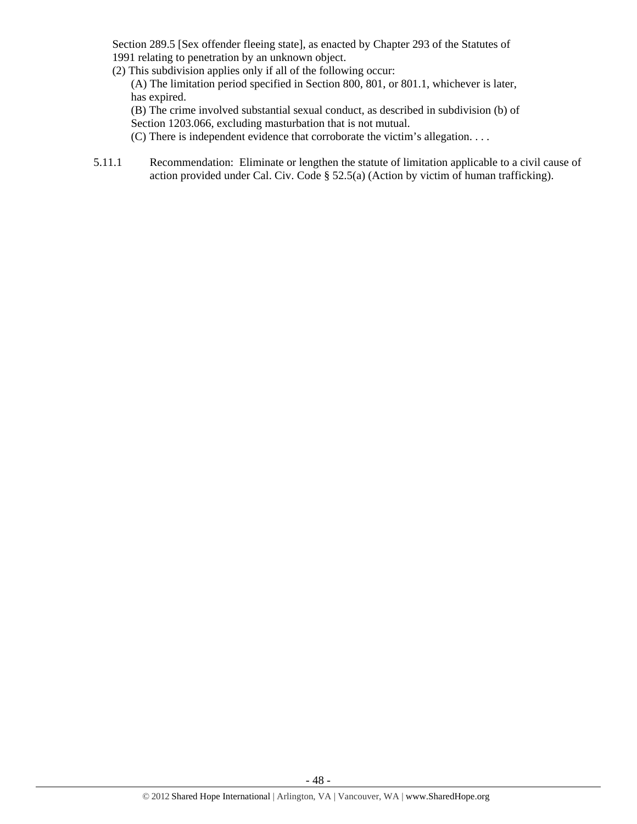Section 289.5 [Sex offender fleeing state], as enacted by Chapter 293 of the Statutes of 1991 relating to penetration by an unknown object.

(2) This subdivision applies only if all of the following occur:

(A) The limitation period specified in Section 800, 801, or 801.1, whichever is later, has expired.

(B) The crime involved substantial sexual conduct, as described in subdivision (b) of Section 1203.066, excluding masturbation that is not mutual.

- (C) There is independent evidence that corroborate the victim's allegation. . . .
- 5.11.1 Recommendation: Eliminate or lengthen the statute of limitation applicable to a civil cause of action provided under Cal. Civ. Code § 52.5(a) (Action by victim of human trafficking).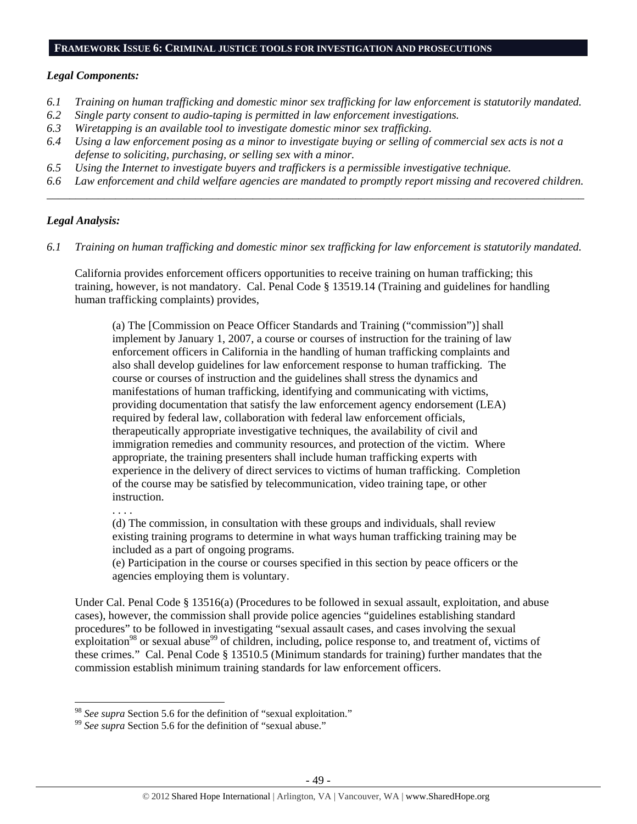#### **FRAMEWORK ISSUE 6: CRIMINAL JUSTICE TOOLS FOR INVESTIGATION AND PROSECUTIONS**

#### *Legal Components:*

- *6.1 Training on human trafficking and domestic minor sex trafficking for law enforcement is statutorily mandated.*
- *6.2 Single party consent to audio-taping is permitted in law enforcement investigations.*
- *6.3 Wiretapping is an available tool to investigate domestic minor sex trafficking.*
- *6.4 Using a law enforcement posing as a minor to investigate buying or selling of commercial sex acts is not a defense to soliciting, purchasing, or selling sex with a minor.*
- *6.5 Using the Internet to investigate buyers and traffickers is a permissible investigative technique.*
- *6.6 Law enforcement and child welfare agencies are mandated to promptly report missing and recovered children. \_\_\_\_\_\_\_\_\_\_\_\_\_\_\_\_\_\_\_\_\_\_\_\_\_\_\_\_\_\_\_\_\_\_\_\_\_\_\_\_\_\_\_\_\_\_\_\_\_\_\_\_\_\_\_\_\_\_\_\_\_\_\_\_\_\_\_\_\_\_\_\_\_\_\_\_\_\_\_\_\_\_\_\_\_\_\_\_\_\_\_\_\_\_*

# *Legal Analysis:*

*6.1 Training on human trafficking and domestic minor sex trafficking for law enforcement is statutorily mandated.* 

California provides enforcement officers opportunities to receive training on human trafficking; this training, however, is not mandatory. Cal. Penal Code § 13519.14 (Training and guidelines for handling human trafficking complaints) provides,

(a) The [Commission on Peace Officer Standards and Training ("commission")] shall implement by January 1, 2007, a course or courses of instruction for the training of law enforcement officers in California in the handling of human trafficking complaints and also shall develop guidelines for law enforcement response to human trafficking. The course or courses of instruction and the guidelines shall stress the dynamics and manifestations of human trafficking, identifying and communicating with victims, providing documentation that satisfy the law enforcement agency endorsement (LEA) required by federal law, collaboration with federal law enforcement officials, therapeutically appropriate investigative techniques, the availability of civil and immigration remedies and community resources, and protection of the victim. Where appropriate, the training presenters shall include human trafficking experts with experience in the delivery of direct services to victims of human trafficking. Completion of the course may be satisfied by telecommunication, video training tape, or other instruction.

. . . .

(d) The commission, in consultation with these groups and individuals, shall review existing training programs to determine in what ways human trafficking training may be included as a part of ongoing programs.

(e) Participation in the course or courses specified in this section by peace officers or the agencies employing them is voluntary.

Under Cal. Penal Code § 13516(a) (Procedures to be followed in sexual assault, exploitation, and abuse cases), however, the commission shall provide police agencies "guidelines establishing standard procedures" to be followed in investigating "sexual assault cases, and cases involving the sexual exploitation<sup>98</sup> or sexual abuse<sup>99</sup> of children, including, police response to, and treatment of, victims of these crimes." Cal. Penal Code § 13510.5 (Minimum standards for training) further mandates that the commission establish minimum training standards for law enforcement officers.

 $98$  See supra Section 5.6 for the definition of "sexual exploitation."

<sup>&</sup>lt;sup>99</sup> See supra Section 5.6 for the definition of "sexual abuse."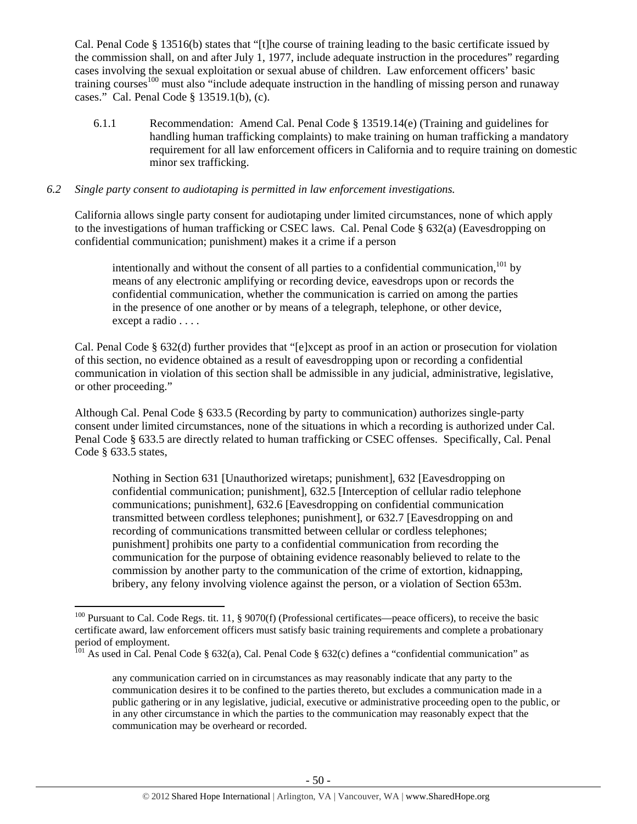Cal. Penal Code § 13516(b) states that "[t]he course of training leading to the basic certificate issued by the commission shall, on and after July 1, 1977, include adequate instruction in the procedures" regarding cases involving the sexual exploitation or sexual abuse of children. Law enforcement officers' basic training courses<sup>100</sup> must also "include adequate instruction in the handling of missing person and runaway cases." Cal. Penal Code § 13519.1(b), (c).

6.1.1 Recommendation: Amend Cal. Penal Code § 13519.14(e) (Training and guidelines for handling human trafficking complaints) to make training on human trafficking a mandatory requirement for all law enforcement officers in California and to require training on domestic minor sex trafficking.

# *6.2 Single party consent to audiotaping is permitted in law enforcement investigations.*

California allows single party consent for audiotaping under limited circumstances, none of which apply to the investigations of human trafficking or CSEC laws. Cal. Penal Code § 632(a) (Eavesdropping on confidential communication; punishment) makes it a crime if a person

intentionally and without the consent of all parties to a confidential communication, $^{101}$  by means of any electronic amplifying or recording device, eavesdrops upon or records the confidential communication, whether the communication is carried on among the parties in the presence of one another or by means of a telegraph, telephone, or other device, except a radio . . . .

Cal. Penal Code § 632(d) further provides that "[e]xcept as proof in an action or prosecution for violation of this section, no evidence obtained as a result of eavesdropping upon or recording a confidential communication in violation of this section shall be admissible in any judicial, administrative, legislative, or other proceeding."

Although Cal. Penal Code § 633.5 (Recording by party to communication) authorizes single-party consent under limited circumstances, none of the situations in which a recording is authorized under Cal. Penal Code § 633.5 are directly related to human trafficking or CSEC offenses. Specifically, Cal. Penal Code § 633.5 states,

Nothing in Section 631 [Unauthorized wiretaps; punishment], 632 [Eavesdropping on confidential communication; punishment], 632.5 [Interception of cellular radio telephone communications; punishment], 632.6 [Eavesdropping on confidential communication transmitted between cordless telephones; punishment], or 632.7 [Eavesdropping on and recording of communications transmitted between cellular or cordless telephones; punishment] prohibits one party to a confidential communication from recording the communication for the purpose of obtaining evidence reasonably believed to relate to the commission by another party to the communication of the crime of extortion, kidnapping, bribery, any felony involving violence against the person, or a violation of Section 653m.

<sup>&</sup>lt;sup>100</sup> Pursuant to Cal. Code Regs. tit. 11, § 9070(f) (Professional certificates—peace officers), to receive the basic certificate award, law enforcement officers must satisfy basic training requirements and complete a probationary period of employment.

<sup>&</sup>lt;sup>101</sup> As used in Cal. Penal Code § 632(a), Cal. Penal Code § 632(c) defines a "confidential communication" as

any communication carried on in circumstances as may reasonably indicate that any party to the communication desires it to be confined to the parties thereto, but excludes a communication made in a public gathering or in any legislative, judicial, executive or administrative proceeding open to the public, or in any other circumstance in which the parties to the communication may reasonably expect that the communication may be overheard or recorded.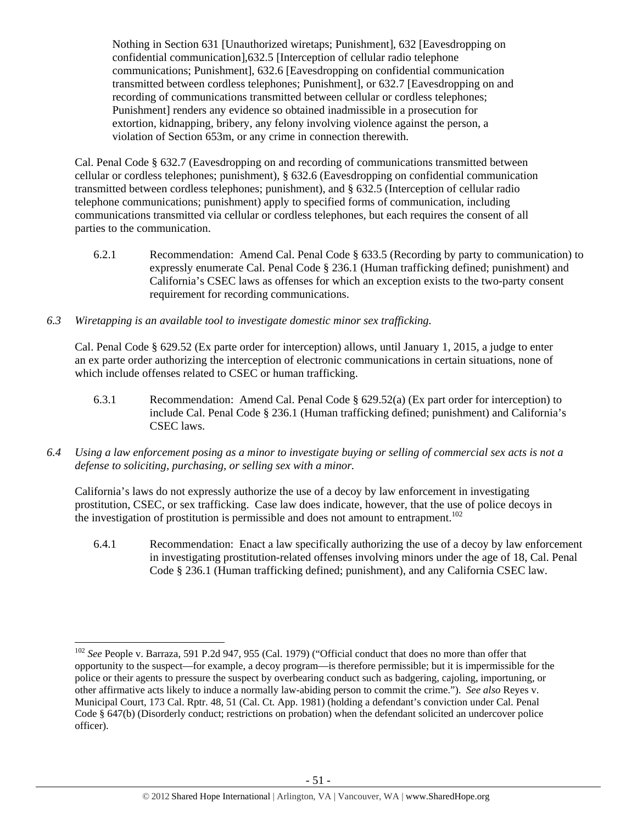Nothing in Section 631 [Unauthorized wiretaps; Punishment], 632 [Eavesdropping on confidential communication],632.5 [Interception of cellular radio telephone communications; Punishment], 632.6 [Eavesdropping on confidential communication transmitted between cordless telephones; Punishment], or 632.7 [Eavesdropping on and recording of communications transmitted between cellular or cordless telephones; Punishment] renders any evidence so obtained inadmissible in a prosecution for extortion, kidnapping, bribery, any felony involving violence against the person, a violation of Section 653m, or any crime in connection therewith.

Cal. Penal Code § 632.7 (Eavesdropping on and recording of communications transmitted between cellular or cordless telephones; punishment), § 632.6 (Eavesdropping on confidential communication transmitted between cordless telephones; punishment), and § 632.5 (Interception of cellular radio telephone communications; punishment) apply to specified forms of communication, including communications transmitted via cellular or cordless telephones, but each requires the consent of all parties to the communication.

- 6.2.1 Recommendation: Amend Cal. Penal Code § 633.5 (Recording by party to communication) to expressly enumerate Cal. Penal Code § 236.1 (Human trafficking defined; punishment) and California's CSEC laws as offenses for which an exception exists to the two-party consent requirement for recording communications.
- *6.3 Wiretapping is an available tool to investigate domestic minor sex trafficking.*

Cal. Penal Code § 629.52 (Ex parte order for interception) allows, until January 1, 2015, a judge to enter an ex parte order authorizing the interception of electronic communications in certain situations, none of which include offenses related to CSEC or human trafficking.

- 6.3.1 Recommendation: Amend Cal. Penal Code § 629.52(a) (Ex part order for interception) to include Cal. Penal Code § 236.1 (Human trafficking defined; punishment) and California's CSEC laws.
- *6.4 Using a law enforcement posing as a minor to investigate buying or selling of commercial sex acts is not a defense to soliciting, purchasing, or selling sex with a minor.*

California's laws do not expressly authorize the use of a decoy by law enforcement in investigating prostitution, CSEC, or sex trafficking. Case law does indicate, however, that the use of police decoys in the investigation of prostitution is permissible and does not amount to entrapment.<sup>102</sup>

6.4.1 Recommendation: Enact a law specifically authorizing the use of a decoy by law enforcement in investigating prostitution-related offenses involving minors under the age of 18, Cal. Penal Code § 236.1 (Human trafficking defined; punishment), and any California CSEC law.

<sup>102</sup> *See* People v. Barraza, 591 P.2d 947, 955 (Cal. 1979) ("Official conduct that does no more than offer that opportunity to the suspect—for example, a decoy program—is therefore permissible; but it is impermissible for the police or their agents to pressure the suspect by overbearing conduct such as badgering, cajoling, importuning, or other affirmative acts likely to induce a normally law-abiding person to commit the crime."). *See also* Reyes v. Municipal Court, 173 Cal. Rptr. 48, 51 (Cal. Ct. App. 1981) (holding a defendant's conviction under Cal. Penal Code § 647(b) (Disorderly conduct; restrictions on probation) when the defendant solicited an undercover police officer).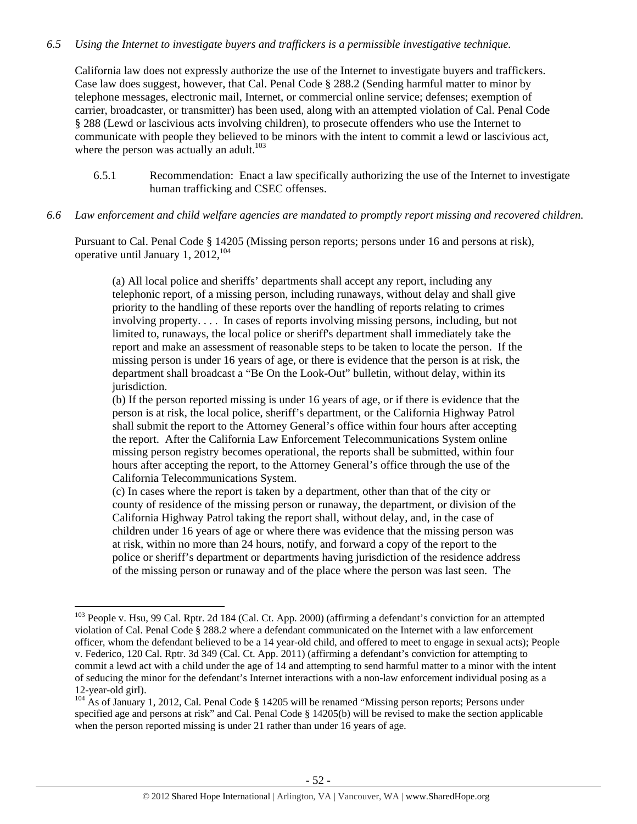# *6.5 Using the Internet to investigate buyers and traffickers is a permissible investigative technique.*

California law does not expressly authorize the use of the Internet to investigate buyers and traffickers. Case law does suggest, however, that Cal. Penal Code § 288.2 (Sending harmful matter to minor by telephone messages, electronic mail, Internet, or commercial online service; defenses; exemption of carrier, broadcaster, or transmitter) has been used, along with an attempted violation of Cal. Penal Code § 288 (Lewd or lascivious acts involving children), to prosecute offenders who use the Internet to communicate with people they believed to be minors with the intent to commit a lewd or lascivious act, where the person was actually an adult. $103$ 

- 6.5.1 Recommendation: Enact a law specifically authorizing the use of the Internet to investigate human trafficking and CSEC offenses.
- *6.6 Law enforcement and child welfare agencies are mandated to promptly report missing and recovered children.*

Pursuant to Cal. Penal Code § 14205 (Missing person reports; persons under 16 and persons at risk), operative until January 1,  $2012$ ,  $104$ 

(a) All local police and sheriffs' departments shall accept any report, including any telephonic report, of a missing person, including runaways, without delay and shall give priority to the handling of these reports over the handling of reports relating to crimes involving property. . . . In cases of reports involving missing persons, including, but not limited to, runaways, the local police or sheriff's department shall immediately take the report and make an assessment of reasonable steps to be taken to locate the person. If the missing person is under 16 years of age, or there is evidence that the person is at risk, the department shall broadcast a "Be On the Look-Out" bulletin, without delay, within its jurisdiction.

(b) If the person reported missing is under 16 years of age, or if there is evidence that the person is at risk, the local police, sheriff's department, or the California Highway Patrol shall submit the report to the Attorney General's office within four hours after accepting the report. After the California Law Enforcement Telecommunications System online missing person registry becomes operational, the reports shall be submitted, within four hours after accepting the report, to the Attorney General's office through the use of the California Telecommunications System.

(c) In cases where the report is taken by a department, other than that of the city or county of residence of the missing person or runaway, the department, or division of the California Highway Patrol taking the report shall, without delay, and, in the case of children under 16 years of age or where there was evidence that the missing person was at risk, within no more than 24 hours, notify, and forward a copy of the report to the police or sheriff's department or departments having jurisdiction of the residence address of the missing person or runaway and of the place where the person was last seen. The

<sup>&</sup>lt;sup>103</sup> People v. Hsu, 99 Cal. Rptr. 2d 184 (Cal. Ct. App. 2000) (affirming a defendant's conviction for an attempted violation of Cal. Penal Code § 288.2 where a defendant communicated on the Internet with a law enforcement officer, whom the defendant believed to be a 14 year-old child, and offered to meet to engage in sexual acts); People v. Federico, 120 Cal. Rptr. 3d 349 (Cal. Ct. App. 2011) (affirming a defendant's conviction for attempting to commit a lewd act with a child under the age of 14 and attempting to send harmful matter to a minor with the intent of seducing the minor for the defendant's Internet interactions with a non-law enforcement individual posing as a 12-year-old girl).

<sup>&</sup>lt;sup>104</sup> As of January 1, 2012, Cal. Penal Code § 14205 will be renamed "Missing person reports; Persons under specified age and persons at risk" and Cal. Penal Code § 14205(b) will be revised to make the section applicable when the person reported missing is under 21 rather than under 16 years of age.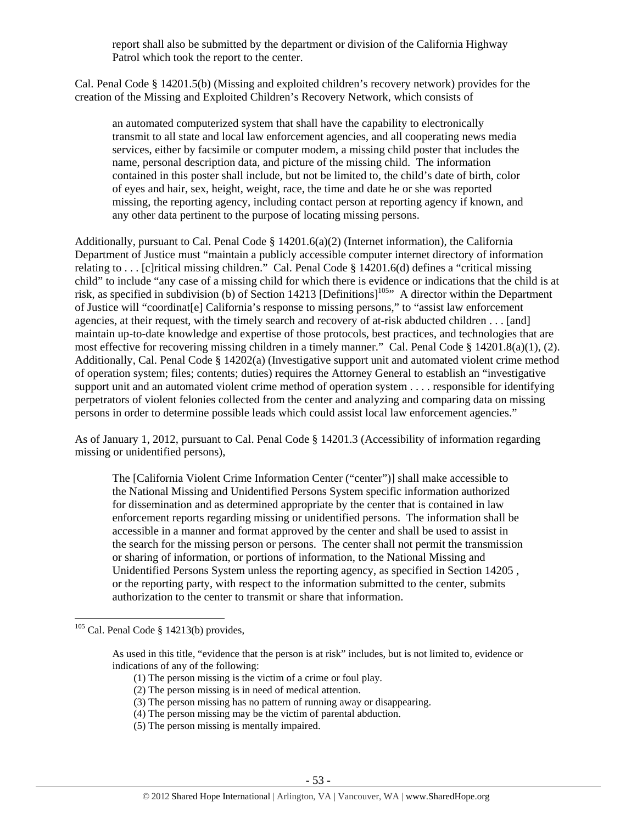report shall also be submitted by the department or division of the California Highway Patrol which took the report to the center.

Cal. Penal Code § 14201.5(b) (Missing and exploited children's recovery network) provides for the creation of the Missing and Exploited Children's Recovery Network, which consists of

an automated computerized system that shall have the capability to electronically transmit to all state and local law enforcement agencies, and all cooperating news media services, either by facsimile or computer modem, a missing child poster that includes the name, personal description data, and picture of the missing child. The information contained in this poster shall include, but not be limited to, the child's date of birth, color of eyes and hair, sex, height, weight, race, the time and date he or she was reported missing, the reporting agency, including contact person at reporting agency if known, and any other data pertinent to the purpose of locating missing persons.

Additionally, pursuant to Cal. Penal Code § 14201.6(a)(2) (Internet information), the California Department of Justice must "maintain a publicly accessible computer internet directory of information relating to . . . [c]ritical missing children." Cal. Penal Code § 14201.6(d) defines a "critical missing child" to include "any case of a missing child for which there is evidence or indications that the child is at risk, as specified in subdivision (b) of Section 14213 [Definitions]105" A director within the Department of Justice will "coordinat[e] California's response to missing persons," to "assist law enforcement agencies, at their request, with the timely search and recovery of at-risk abducted children . . . [and] maintain up-to-date knowledge and expertise of those protocols, best practices, and technologies that are most effective for recovering missing children in a timely manner." Cal. Penal Code § 14201.8(a)(1), (2). Additionally, Cal. Penal Code § 14202(a) (Investigative support unit and automated violent crime method of operation system; files; contents; duties) requires the Attorney General to establish an "investigative support unit and an automated violent crime method of operation system . . . . responsible for identifying perpetrators of violent felonies collected from the center and analyzing and comparing data on missing persons in order to determine possible leads which could assist local law enforcement agencies."

As of January 1, 2012, pursuant to Cal. Penal Code § 14201.3 (Accessibility of information regarding missing or unidentified persons),

The [California Violent Crime Information Center ("center")] shall make accessible to the National Missing and Unidentified Persons System specific information authorized for dissemination and as determined appropriate by the center that is contained in law enforcement reports regarding missing or unidentified persons. The information shall be accessible in a manner and format approved by the center and shall be used to assist in the search for the missing person or persons. The center shall not permit the transmission or sharing of information, or portions of information, to the National Missing and Unidentified Persons System unless the reporting agency, as specified in Section 14205 , or the reporting party, with respect to the information submitted to the center, submits authorization to the center to transmit or share that information.

- (1) The person missing is the victim of a crime or foul play.
- (2) The person missing is in need of medical attention.
- (3) The person missing has no pattern of running away or disappearing.
- (4) The person missing may be the victim of parental abduction.
- (5) The person missing is mentally impaired.

 $105$  Cal. Penal Code § 14213(b) provides,

As used in this title, "evidence that the person is at risk" includes, but is not limited to, evidence or indications of any of the following: